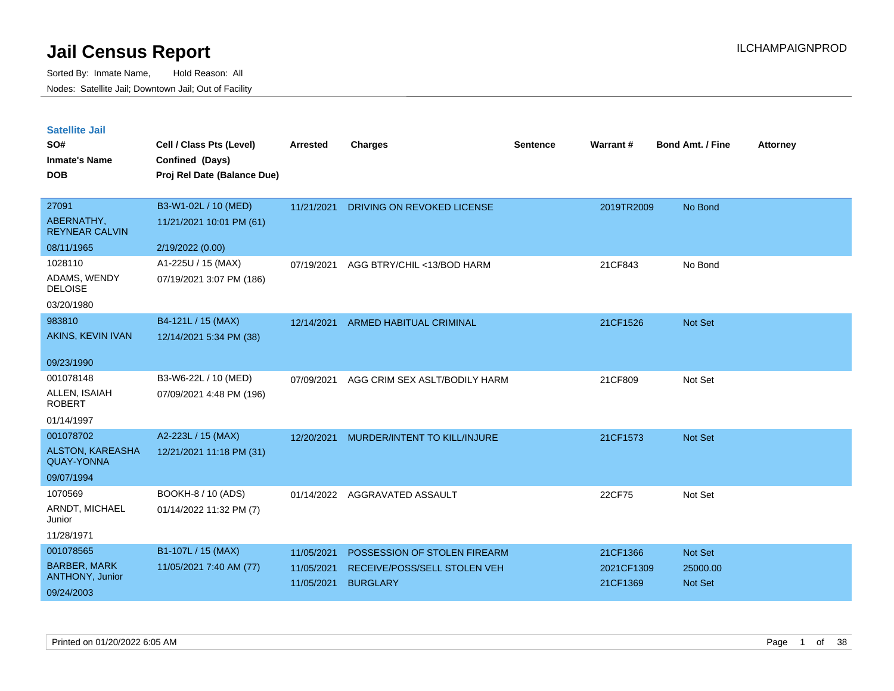| <b>Satellite Jail</b> |  |
|-----------------------|--|
|                       |  |

| <b>DOB</b><br>Proj Rel Date (Balance Due)<br>27091<br>B3-W1-02L / 10 (MED)<br>DRIVING ON REVOKED LICENSE<br>2019TR2009<br>No Bond<br>11/21/2021<br>ABERNATHY,<br>11/21/2021 10:01 PM (61)<br><b>REYNEAR CALVIN</b><br>08/11/1965<br>2/19/2022 (0.00)<br>1028110<br>A1-225U / 15 (MAX)<br>AGG BTRY/CHIL <13/BOD HARM<br>21CF843<br>No Bond<br>07/19/2021<br>ADAMS, WENDY<br>07/19/2021 3:07 PM (186) |  |
|-----------------------------------------------------------------------------------------------------------------------------------------------------------------------------------------------------------------------------------------------------------------------------------------------------------------------------------------------------------------------------------------------------|--|
|                                                                                                                                                                                                                                                                                                                                                                                                     |  |
|                                                                                                                                                                                                                                                                                                                                                                                                     |  |
|                                                                                                                                                                                                                                                                                                                                                                                                     |  |
|                                                                                                                                                                                                                                                                                                                                                                                                     |  |
|                                                                                                                                                                                                                                                                                                                                                                                                     |  |
| <b>DELOISE</b>                                                                                                                                                                                                                                                                                                                                                                                      |  |
| 03/20/1980                                                                                                                                                                                                                                                                                                                                                                                          |  |
| 983810<br>B4-121L / 15 (MAX)<br>ARMED HABITUAL CRIMINAL<br>21CF1526<br>Not Set<br>12/14/2021                                                                                                                                                                                                                                                                                                        |  |
| AKINS, KEVIN IVAN<br>12/14/2021 5:34 PM (38)                                                                                                                                                                                                                                                                                                                                                        |  |
| 09/23/1990                                                                                                                                                                                                                                                                                                                                                                                          |  |
| 001078148<br>B3-W6-22L / 10 (MED)<br>Not Set<br>07/09/2021<br>AGG CRIM SEX ASLT/BODILY HARM<br>21CF809                                                                                                                                                                                                                                                                                              |  |
| ALLEN, ISAIAH<br>07/09/2021 4:48 PM (196)<br><b>ROBERT</b>                                                                                                                                                                                                                                                                                                                                          |  |
| 01/14/1997                                                                                                                                                                                                                                                                                                                                                                                          |  |
| 001078702<br>A2-223L / 15 (MAX)<br>MURDER/INTENT TO KILL/INJURE<br>21CF1573<br>Not Set<br>12/20/2021                                                                                                                                                                                                                                                                                                |  |
| ALSTON, KAREASHA<br>12/21/2021 11:18 PM (31)<br><b>QUAY-YONNA</b>                                                                                                                                                                                                                                                                                                                                   |  |
| 09/07/1994                                                                                                                                                                                                                                                                                                                                                                                          |  |
| 1070569<br>BOOKH-8 / 10 (ADS)<br>22CF75<br>01/14/2022<br>AGGRAVATED ASSAULT<br>Not Set                                                                                                                                                                                                                                                                                                              |  |
| ARNDT, MICHAEL<br>01/14/2022 11:32 PM (7)<br>Junior                                                                                                                                                                                                                                                                                                                                                 |  |
| 11/28/1971                                                                                                                                                                                                                                                                                                                                                                                          |  |
| 001078565<br>B1-107L / 15 (MAX)<br>Not Set<br>11/05/2021<br>POSSESSION OF STOLEN FIREARM<br>21CF1366                                                                                                                                                                                                                                                                                                |  |
| <b>BARBER, MARK</b><br>11/05/2021 7:40 AM (77)<br>RECEIVE/POSS/SELL STOLEN VEH<br>2021CF1309<br>25000.00<br>11/05/2021<br>ANTHONY, Junior                                                                                                                                                                                                                                                           |  |
| 11/05/2021<br><b>BURGLARY</b><br>21CF1369<br>Not Set<br>09/24/2003                                                                                                                                                                                                                                                                                                                                  |  |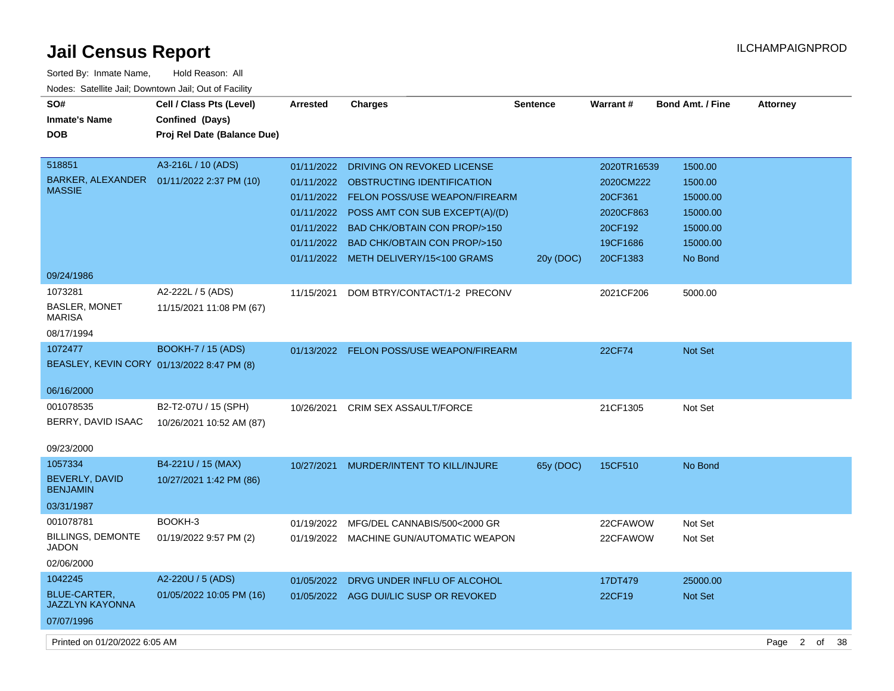| Sorted By: Inmate Name,<br>Hold Reason: All           |                             |                 |                                           |                 |                 |                  |                 |  |
|-------------------------------------------------------|-----------------------------|-----------------|-------------------------------------------|-----------------|-----------------|------------------|-----------------|--|
| Nodes: Satellite Jail; Downtown Jail; Out of Facility |                             |                 |                                           |                 |                 |                  |                 |  |
| SO#                                                   | Cell / Class Pts (Level)    | <b>Arrested</b> | <b>Charges</b>                            | <b>Sentence</b> | <b>Warrant#</b> | Bond Amt. / Fine | <b>Attorney</b> |  |
| <b>Inmate's Name</b>                                  | Confined (Days)             |                 |                                           |                 |                 |                  |                 |  |
| <b>DOB</b>                                            | Proj Rel Date (Balance Due) |                 |                                           |                 |                 |                  |                 |  |
|                                                       |                             |                 |                                           |                 |                 |                  |                 |  |
| 518851                                                | A3-216L / 10 (ADS)          | 01/11/2022      | DRIVING ON REVOKED LICENSE                |                 | 2020TR16539     | 1500.00          |                 |  |
| BARKER, ALEXANDER                                     | 01/11/2022 2:37 PM (10)     | 01/11/2022      | OBSTRUCTING IDENTIFICATION                |                 | 2020CM222       | 1500.00          |                 |  |
| <b>MASSIE</b>                                         |                             |                 | 01/11/2022 FELON POSS/USE WEAPON/FIREARM  |                 | 20CF361         | 15000.00         |                 |  |
|                                                       |                             |                 | 01/11/2022 POSS AMT CON SUB EXCEPT(A)/(D) |                 | 2020CF863       | 15000.00         |                 |  |
|                                                       |                             |                 | 01/11/2022 BAD CHK/OBTAIN CON PROP/>150   |                 | 20CF192         | 15000.00         |                 |  |
|                                                       |                             |                 | 01/11/2022 BAD CHK/OBTAIN CON PROP/>150   |                 | 19CF1686        | 15000.00         |                 |  |
|                                                       |                             |                 | 01/11/2022 METH DELIVERY/15<100 GRAMS     | 20y (DOC)       | 20CF1383        | No Bond          |                 |  |
| 09/24/1986                                            |                             |                 |                                           |                 |                 |                  |                 |  |
| 1073281                                               | A2-222L / 5 (ADS)           | 11/15/2021      | DOM BTRY/CONTACT/1-2 PRECONV              |                 | 2021CF206       | 5000.00          |                 |  |
| <b>BASLER, MONET</b><br><b>MARISA</b>                 | 11/15/2021 11:08 PM (67)    |                 |                                           |                 |                 |                  |                 |  |
| 08/17/1994                                            |                             |                 |                                           |                 |                 |                  |                 |  |
| 1072477                                               | <b>BOOKH-7 / 15 (ADS)</b>   |                 | 01/13/2022 FELON POSS/USE WEAPON/FIREARM  |                 | 22CF74          | <b>Not Set</b>   |                 |  |
| BEASLEY, KEVIN CORY 01/13/2022 8:47 PM (8)            |                             |                 |                                           |                 |                 |                  |                 |  |
|                                                       |                             |                 |                                           |                 |                 |                  |                 |  |
| 06/16/2000                                            |                             |                 |                                           |                 |                 |                  |                 |  |
| 001078535                                             | B2-T2-07U / 15 (SPH)        | 10/26/2021      | <b>CRIM SEX ASSAULT/FORCE</b>             |                 | 21CF1305        | Not Set          |                 |  |
| BERRY, DAVID ISAAC                                    | 10/26/2021 10:52 AM (87)    |                 |                                           |                 |                 |                  |                 |  |
|                                                       |                             |                 |                                           |                 |                 |                  |                 |  |
| 09/23/2000                                            |                             |                 |                                           |                 |                 |                  |                 |  |
| 1057334                                               | B4-221U / 15 (MAX)          | 10/27/2021      | MURDER/INTENT TO KILL/INJURE              | 65y (DOC)       | 15CF510         | No Bond          |                 |  |
| BEVERLY, DAVID<br><b>BENJAMIN</b>                     | 10/27/2021 1:42 PM (86)     |                 |                                           |                 |                 |                  |                 |  |
|                                                       |                             |                 |                                           |                 |                 |                  |                 |  |
| 03/31/1987                                            |                             |                 |                                           |                 |                 |                  |                 |  |
| 001078781                                             | BOOKH-3                     | 01/19/2022      | MFG/DEL CANNABIS/500<2000 GR              |                 | 22CFAWOW        | Not Set          |                 |  |
| <b>BILLINGS, DEMONTE</b><br><b>JADON</b>              | 01/19/2022 9:57 PM (2)      |                 | 01/19/2022 MACHINE GUN/AUTOMATIC WEAPON   |                 | 22CFAWOW        | Not Set          |                 |  |
| 02/06/2000                                            |                             |                 |                                           |                 |                 |                  |                 |  |
| 1042245                                               | A2-220U / 5 (ADS)           | 01/05/2022      | DRVG UNDER INFLU OF ALCOHOL               |                 | 17DT479         | 25000.00         |                 |  |
| <b>BLUE-CARTER,</b>                                   | 01/05/2022 10:05 PM (16)    |                 | 01/05/2022 AGG DUI/LIC SUSP OR REVOKED    |                 | 22CF19          | <b>Not Set</b>   |                 |  |
| <b>JAZZLYN KAYONNA</b>                                |                             |                 |                                           |                 |                 |                  |                 |  |
| 07/07/1996                                            |                             |                 |                                           |                 |                 |                  |                 |  |
|                                                       |                             |                 |                                           |                 |                 |                  |                 |  |

Printed on 01/20/2022 6:05 AM Page 2 of 38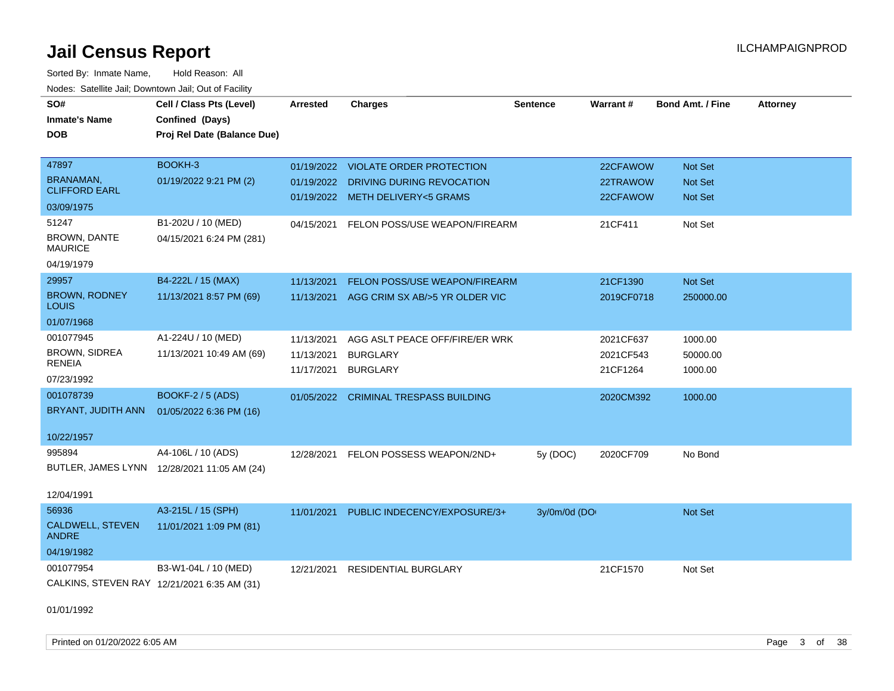| rouco. Calcillo Jali, Downtown Jali, Out of Facility |                                                                            |                 |                                       |                 |                 |                         |                 |
|------------------------------------------------------|----------------------------------------------------------------------------|-----------------|---------------------------------------|-----------------|-----------------|-------------------------|-----------------|
| SO#<br><b>Inmate's Name</b><br><b>DOB</b>            | Cell / Class Pts (Level)<br>Confined (Days)<br>Proj Rel Date (Balance Due) | <b>Arrested</b> | <b>Charges</b>                        | <b>Sentence</b> | <b>Warrant#</b> | <b>Bond Amt. / Fine</b> | <b>Attorney</b> |
|                                                      |                                                                            |                 |                                       |                 |                 |                         |                 |
| 47897                                                | BOOKH-3                                                                    |                 | 01/19/2022 VIOLATE ORDER PROTECTION   |                 | 22CFAWOW        | Not Set                 |                 |
| BRANAMAN,                                            | 01/19/2022 9:21 PM (2)                                                     | 01/19/2022      | DRIVING DURING REVOCATION             |                 | 22TRAWOW        | Not Set                 |                 |
| <b>CLIFFORD EARL</b>                                 |                                                                            |                 | 01/19/2022 METH DELIVERY<5 GRAMS      |                 | 22CFAWOW        | <b>Not Set</b>          |                 |
| 03/09/1975                                           |                                                                            |                 |                                       |                 |                 |                         |                 |
| 51247                                                | B1-202U / 10 (MED)                                                         | 04/15/2021      | FELON POSS/USE WEAPON/FIREARM         |                 | 21CF411         | Not Set                 |                 |
| BROWN, DANTE<br><b>MAURICE</b>                       | 04/15/2021 6:24 PM (281)                                                   |                 |                                       |                 |                 |                         |                 |
| 04/19/1979                                           |                                                                            |                 |                                       |                 |                 |                         |                 |
| 29957                                                | B4-222L / 15 (MAX)                                                         | 11/13/2021      | FELON POSS/USE WEAPON/FIREARM         |                 | 21CF1390        | Not Set                 |                 |
| <b>BROWN, RODNEY</b><br>LOUIS                        | 11/13/2021 8:57 PM (69)                                                    | 11/13/2021      | AGG CRIM SX AB/>5 YR OLDER VIC        |                 | 2019CF0718      | 250000.00               |                 |
| 01/07/1968                                           |                                                                            |                 |                                       |                 |                 |                         |                 |
| 001077945                                            | A1-224U / 10 (MED)                                                         | 11/13/2021      | AGG ASLT PEACE OFF/FIRE/ER WRK        |                 | 2021CF637       | 1000.00                 |                 |
| <b>BROWN, SIDREA</b>                                 | 11/13/2021 10:49 AM (69)                                                   | 11/13/2021      | <b>BURGLARY</b>                       |                 | 2021CF543       | 50000.00                |                 |
| RENEIA                                               |                                                                            | 11/17/2021      | <b>BURGLARY</b>                       |                 | 21CF1264        | 1000.00                 |                 |
| 07/23/1992                                           |                                                                            |                 |                                       |                 |                 |                         |                 |
| 001078739                                            | <b>BOOKF-2 / 5 (ADS)</b>                                                   |                 | 01/05/2022 CRIMINAL TRESPASS BUILDING |                 | 2020CM392       | 1000.00                 |                 |
| BRYANT, JUDITH ANN                                   | 01/05/2022 6:36 PM (16)                                                    |                 |                                       |                 |                 |                         |                 |
| 10/22/1957                                           |                                                                            |                 |                                       |                 |                 |                         |                 |
| 995894                                               | A4-106L / 10 (ADS)                                                         | 12/28/2021      | FELON POSSESS WEAPON/2ND+             | 5y(DOC)         | 2020CF709       | No Bond                 |                 |
|                                                      | BUTLER, JAMES LYNN 12/28/2021 11:05 AM (24)                                |                 |                                       |                 |                 |                         |                 |
|                                                      |                                                                            |                 |                                       |                 |                 |                         |                 |
| 12/04/1991                                           |                                                                            |                 |                                       |                 |                 |                         |                 |
| 56936                                                | A3-215L / 15 (SPH)                                                         | 11/01/2021      | PUBLIC INDECENCY/EXPOSURE/3+          | 3y/0m/0d (DO    |                 | Not Set                 |                 |
| CALDWELL, STEVEN<br><b>ANDRE</b>                     | 11/01/2021 1:09 PM (81)                                                    |                 |                                       |                 |                 |                         |                 |
| 04/19/1982                                           |                                                                            |                 |                                       |                 |                 |                         |                 |
| 001077954                                            | B3-W1-04L / 10 (MED)                                                       | 12/21/2021      | <b>RESIDENTIAL BURGLARY</b>           |                 | 21CF1570        | Not Set                 |                 |
|                                                      | CALKINS, STEVEN RAY 12/21/2021 6:35 AM (31)                                |                 |                                       |                 |                 |                         |                 |
| 01/01/1992                                           |                                                                            |                 |                                       |                 |                 |                         |                 |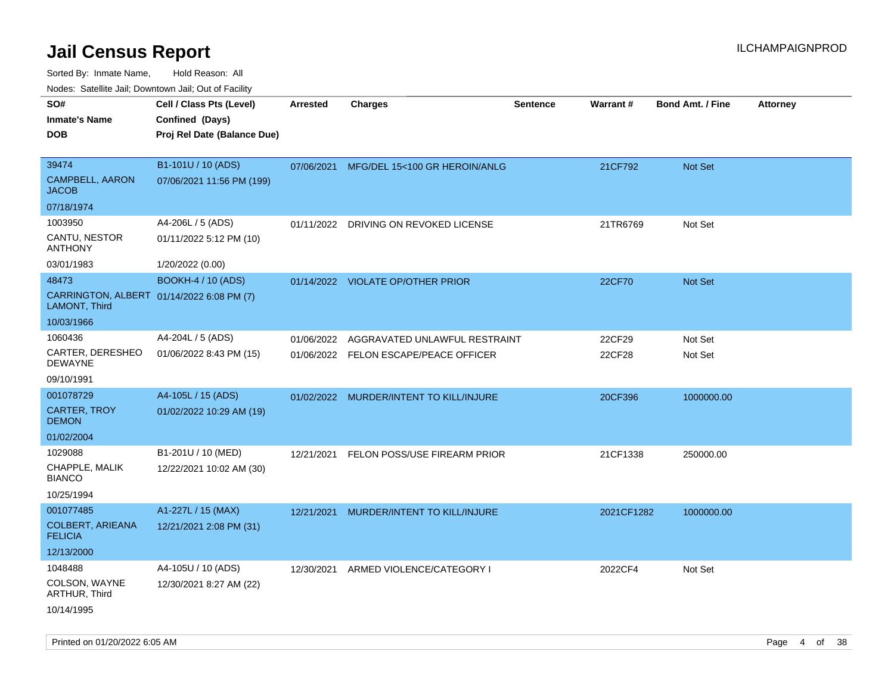| SO#                                       | Cell / Class Pts (Level)                  | <b>Arrested</b> | <b>Charges</b>                          | <b>Sentence</b> | Warrant#   | <b>Bond Amt. / Fine</b> | <b>Attorney</b> |
|-------------------------------------------|-------------------------------------------|-----------------|-----------------------------------------|-----------------|------------|-------------------------|-----------------|
| <b>Inmate's Name</b>                      | Confined (Days)                           |                 |                                         |                 |            |                         |                 |
| <b>DOB</b>                                | Proj Rel Date (Balance Due)               |                 |                                         |                 |            |                         |                 |
|                                           |                                           |                 |                                         |                 |            |                         |                 |
| 39474                                     | B1-101U / 10 (ADS)                        | 07/06/2021      | MFG/DEL 15<100 GR HEROIN/ANLG           |                 | 21CF792    | <b>Not Set</b>          |                 |
| <b>CAMPBELL, AARON</b><br><b>JACOB</b>    | 07/06/2021 11:56 PM (199)                 |                 |                                         |                 |            |                         |                 |
| 07/18/1974                                |                                           |                 |                                         |                 |            |                         |                 |
| 1003950                                   | A4-206L / 5 (ADS)                         | 01/11/2022      | DRIVING ON REVOKED LICENSE              |                 | 21TR6769   | Not Set                 |                 |
| CANTU, NESTOR<br><b>ANTHONY</b>           | 01/11/2022 5:12 PM (10)                   |                 |                                         |                 |            |                         |                 |
| 03/01/1983                                | 1/20/2022 (0.00)                          |                 |                                         |                 |            |                         |                 |
| 48473                                     | <b>BOOKH-4 / 10 (ADS)</b>                 |                 | 01/14/2022 VIOLATE OP/OTHER PRIOR       |                 | 22CF70     | Not Set                 |                 |
| LAMONT, Third                             | CARRINGTON, ALBERT 01/14/2022 6:08 PM (7) |                 |                                         |                 |            |                         |                 |
| 10/03/1966                                |                                           |                 |                                         |                 |            |                         |                 |
| 1060436                                   | A4-204L / 5 (ADS)                         | 01/06/2022      | AGGRAVATED UNLAWFUL RESTRAINT           |                 | 22CF29     | Not Set                 |                 |
| CARTER, DERESHEO<br><b>DEWAYNE</b>        | 01/06/2022 8:43 PM (15)                   |                 | 01/06/2022 FELON ESCAPE/PEACE OFFICER   |                 | 22CF28     | Not Set                 |                 |
| 09/10/1991                                |                                           |                 |                                         |                 |            |                         |                 |
| 001078729                                 | A4-105L / 15 (ADS)                        |                 | 01/02/2022 MURDER/INTENT TO KILL/INJURE |                 | 20CF396    | 1000000.00              |                 |
| <b>CARTER, TROY</b><br><b>DEMON</b>       | 01/02/2022 10:29 AM (19)                  |                 |                                         |                 |            |                         |                 |
| 01/02/2004                                |                                           |                 |                                         |                 |            |                         |                 |
| 1029088                                   | B1-201U / 10 (MED)                        | 12/21/2021      | FELON POSS/USE FIREARM PRIOR            |                 | 21CF1338   | 250000.00               |                 |
| CHAPPLE, MALIK<br><b>BIANCO</b>           | 12/22/2021 10:02 AM (30)                  |                 |                                         |                 |            |                         |                 |
| 10/25/1994                                |                                           |                 |                                         |                 |            |                         |                 |
| 001077485                                 | A1-227L / 15 (MAX)                        | 12/21/2021      | MURDER/INTENT TO KILL/INJURE            |                 | 2021CF1282 | 1000000.00              |                 |
| <b>COLBERT, ARIEANA</b><br><b>FELICIA</b> | 12/21/2021 2:08 PM (31)                   |                 |                                         |                 |            |                         |                 |
| 12/13/2000                                |                                           |                 |                                         |                 |            |                         |                 |
| 1048488                                   | A4-105U / 10 (ADS)                        | 12/30/2021      | ARMED VIOLENCE/CATEGORY I               |                 | 2022CF4    | Not Set                 |                 |
| COLSON, WAYNE<br>ARTHUR, Third            | 12/30/2021 8:27 AM (22)                   |                 |                                         |                 |            |                         |                 |
| 10/14/1995                                |                                           |                 |                                         |                 |            |                         |                 |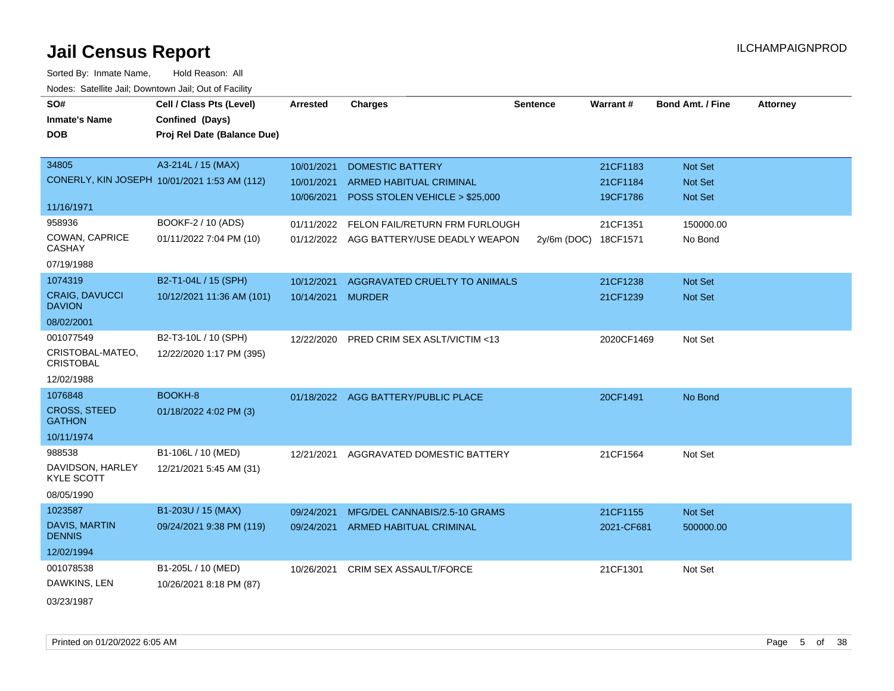| SO#                                    | Cell / Class Pts (Level)                     | <b>Arrested</b>   | <b>Charges</b>                            | <b>Sentence</b> | Warrant#             | <b>Bond Amt. / Fine</b> | <b>Attorney</b> |
|----------------------------------------|----------------------------------------------|-------------------|-------------------------------------------|-----------------|----------------------|-------------------------|-----------------|
| <b>Inmate's Name</b>                   | Confined (Days)                              |                   |                                           |                 |                      |                         |                 |
| <b>DOB</b>                             | Proj Rel Date (Balance Due)                  |                   |                                           |                 |                      |                         |                 |
|                                        |                                              |                   |                                           |                 |                      |                         |                 |
| 34805                                  | A3-214L / 15 (MAX)                           | 10/01/2021        | <b>DOMESTIC BATTERY</b>                   |                 | 21CF1183             | Not Set                 |                 |
|                                        | CONERLY, KIN JOSEPH 10/01/2021 1:53 AM (112) | 10/01/2021        | <b>ARMED HABITUAL CRIMINAL</b>            |                 | 21CF1184             | Not Set                 |                 |
|                                        |                                              | 10/06/2021        | POSS STOLEN VEHICLE > \$25,000            |                 | 19CF1786             | Not Set                 |                 |
| 11/16/1971                             |                                              |                   |                                           |                 |                      |                         |                 |
| 958936                                 | BOOKF-2 / 10 (ADS)                           |                   | 01/11/2022 FELON FAIL/RETURN FRM FURLOUGH |                 | 21CF1351             | 150000.00               |                 |
| COWAN, CAPRICE<br><b>CASHAY</b>        | 01/11/2022 7:04 PM (10)                      |                   | 01/12/2022 AGG BATTERY/USE DEADLY WEAPON  |                 | 2y/6m (DOC) 18CF1571 | No Bond                 |                 |
| 07/19/1988                             |                                              |                   |                                           |                 |                      |                         |                 |
| 1074319                                | B2-T1-04L / 15 (SPH)                         | 10/12/2021        | AGGRAVATED CRUELTY TO ANIMALS             |                 | 21CF1238             | Not Set                 |                 |
| <b>CRAIG, DAVUCCI</b><br><b>DAVION</b> | 10/12/2021 11:36 AM (101)                    | 10/14/2021 MURDER |                                           |                 | 21CF1239             | Not Set                 |                 |
| 08/02/2001                             |                                              |                   |                                           |                 |                      |                         |                 |
| 001077549                              | B2-T3-10L / 10 (SPH)                         | 12/22/2020        | PRED CRIM SEX ASLT/VICTIM <13             |                 | 2020CF1469           | Not Set                 |                 |
| CRISTOBAL-MATEO,<br><b>CRISTOBAL</b>   | 12/22/2020 1:17 PM (395)                     |                   |                                           |                 |                      |                         |                 |
| 12/02/1988                             |                                              |                   |                                           |                 |                      |                         |                 |
| 1076848                                | BOOKH-8                                      |                   | 01/18/2022 AGG BATTERY/PUBLIC PLACE       |                 | 20CF1491             | No Bond                 |                 |
| <b>CROSS, STEED</b><br><b>GATHON</b>   | 01/18/2022 4:02 PM (3)                       |                   |                                           |                 |                      |                         |                 |
| 10/11/1974                             |                                              |                   |                                           |                 |                      |                         |                 |
| 988538                                 | B1-106L / 10 (MED)                           | 12/21/2021        | AGGRAVATED DOMESTIC BATTERY               |                 | 21CF1564             | Not Set                 |                 |
| DAVIDSON, HARLEY<br><b>KYLE SCOTT</b>  | 12/21/2021 5:45 AM (31)                      |                   |                                           |                 |                      |                         |                 |
| 08/05/1990                             |                                              |                   |                                           |                 |                      |                         |                 |
| 1023587                                | B1-203U / 15 (MAX)                           | 09/24/2021        | MFG/DEL CANNABIS/2.5-10 GRAMS             |                 | 21CF1155             | Not Set                 |                 |
| DAVIS, MARTIN<br><b>DENNIS</b>         | 09/24/2021 9:38 PM (119)                     |                   | 09/24/2021 ARMED HABITUAL CRIMINAL        |                 | 2021-CF681           | 500000.00               |                 |
| 12/02/1994                             |                                              |                   |                                           |                 |                      |                         |                 |
| 001078538                              | B1-205L / 10 (MED)                           | 10/26/2021        | <b>CRIM SEX ASSAULT/FORCE</b>             |                 | 21CF1301             | Not Set                 |                 |
| DAWKINS, LEN                           | 10/26/2021 8:18 PM (87)                      |                   |                                           |                 |                      |                         |                 |
| 03/23/1987                             |                                              |                   |                                           |                 |                      |                         |                 |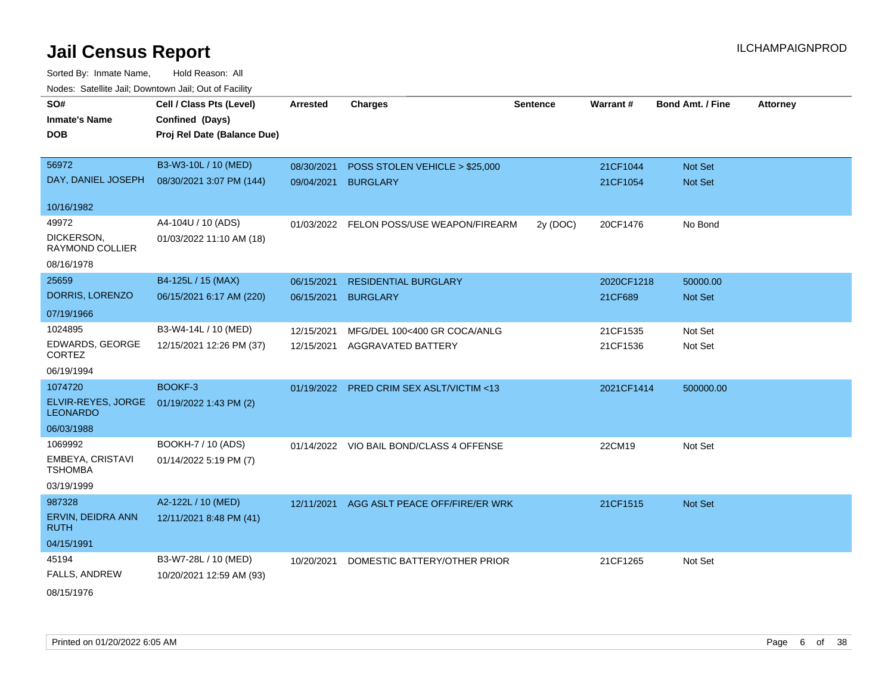| rougs. Calcinic Jan, Downtown Jan, Out of Facility |                             |                 |                                           |                 |            |                         |                 |
|----------------------------------------------------|-----------------------------|-----------------|-------------------------------------------|-----------------|------------|-------------------------|-----------------|
| SO#                                                | Cell / Class Pts (Level)    | <b>Arrested</b> | <b>Charges</b>                            | <b>Sentence</b> | Warrant#   | <b>Bond Amt. / Fine</b> | <b>Attorney</b> |
| <b>Inmate's Name</b>                               | Confined (Days)             |                 |                                           |                 |            |                         |                 |
| <b>DOB</b>                                         | Proj Rel Date (Balance Due) |                 |                                           |                 |            |                         |                 |
|                                                    |                             |                 |                                           |                 |            |                         |                 |
| 56972                                              | B3-W3-10L / 10 (MED)        | 08/30/2021      | POSS STOLEN VEHICLE > \$25,000            |                 | 21CF1044   | Not Set                 |                 |
| DAY, DANIEL JOSEPH                                 | 08/30/2021 3:07 PM (144)    | 09/04/2021      | <b>BURGLARY</b>                           |                 | 21CF1054   | Not Set                 |                 |
| 10/16/1982                                         |                             |                 |                                           |                 |            |                         |                 |
| 49972                                              | A4-104U / 10 (ADS)          |                 | 01/03/2022 FELON POSS/USE WEAPON/FIREARM  | 2y (DOC)        | 20CF1476   | No Bond                 |                 |
| DICKERSON,<br><b>RAYMOND COLLIER</b>               | 01/03/2022 11:10 AM (18)    |                 |                                           |                 |            |                         |                 |
| 08/16/1978                                         |                             |                 |                                           |                 |            |                         |                 |
| 25659                                              | B4-125L / 15 (MAX)          | 06/15/2021      | <b>RESIDENTIAL BURGLARY</b>               |                 | 2020CF1218 | 50000.00                |                 |
| DORRIS, LORENZO                                    | 06/15/2021 6:17 AM (220)    | 06/15/2021      | <b>BURGLARY</b>                           |                 | 21CF689    | Not Set                 |                 |
| 07/19/1966                                         |                             |                 |                                           |                 |            |                         |                 |
| 1024895                                            | B3-W4-14L / 10 (MED)        | 12/15/2021      | MFG/DEL 100<400 GR COCA/ANLG              |                 | 21CF1535   | Not Set                 |                 |
| EDWARDS, GEORGE<br><b>CORTEZ</b>                   | 12/15/2021 12:26 PM (37)    |                 | 12/15/2021 AGGRAVATED BATTERY             |                 | 21CF1536   | Not Set                 |                 |
| 06/19/1994                                         |                             |                 |                                           |                 |            |                         |                 |
| 1074720                                            | BOOKF-3                     |                 | 01/19/2022 PRED CRIM SEX ASLT/VICTIM <13  |                 | 2021CF1414 | 500000.00               |                 |
| ELVIR-REYES, JORGE<br><b>LEONARDO</b>              | 01/19/2022 1:43 PM (2)      |                 |                                           |                 |            |                         |                 |
| 06/03/1988                                         |                             |                 |                                           |                 |            |                         |                 |
| 1069992                                            | BOOKH-7 / 10 (ADS)          |                 | 01/14/2022 VIO BAIL BOND/CLASS 4 OFFENSE  |                 | 22CM19     | Not Set                 |                 |
| <b>EMBEYA, CRISTAVI</b><br><b>TSHOMBA</b>          | 01/14/2022 5:19 PM (7)      |                 |                                           |                 |            |                         |                 |
| 03/19/1999                                         |                             |                 |                                           |                 |            |                         |                 |
| 987328                                             | A2-122L / 10 (MED)          |                 | 12/11/2021 AGG ASLT PEACE OFF/FIRE/ER WRK |                 | 21CF1515   | Not Set                 |                 |
| ERVIN, DEIDRA ANN<br><b>RUTH</b>                   | 12/11/2021 8:48 PM (41)     |                 |                                           |                 |            |                         |                 |
| 04/15/1991                                         |                             |                 |                                           |                 |            |                         |                 |
| 45194                                              | B3-W7-28L / 10 (MED)        | 10/20/2021      | DOMESTIC BATTERY/OTHER PRIOR              |                 | 21CF1265   | Not Set                 |                 |
| FALLS, ANDREW                                      | 10/20/2021 12:59 AM (93)    |                 |                                           |                 |            |                         |                 |
| 08/15/1976                                         |                             |                 |                                           |                 |            |                         |                 |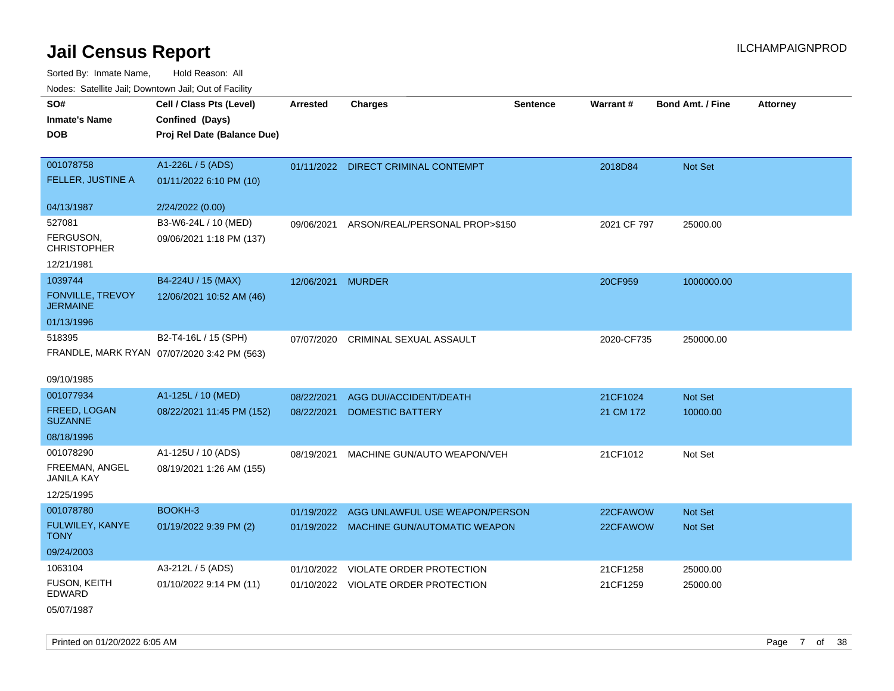Sorted By: Inmate Name, Hold Reason: All Nodes: Satellite Jail; Downtown Jail; Out of Facility

|                                     | ivuutos. Saltiilit Jall, Duwilluwii Jall, Oul of Facility |                   |                                         |                 |             |                         |                 |  |  |
|-------------------------------------|-----------------------------------------------------------|-------------------|-----------------------------------------|-----------------|-------------|-------------------------|-----------------|--|--|
| SO#                                 | Cell / Class Pts (Level)                                  | Arrested          | <b>Charges</b>                          | <b>Sentence</b> | Warrant#    | <b>Bond Amt. / Fine</b> | <b>Attorney</b> |  |  |
| <b>Inmate's Name</b>                | Confined (Days)                                           |                   |                                         |                 |             |                         |                 |  |  |
| <b>DOB</b>                          | Proj Rel Date (Balance Due)                               |                   |                                         |                 |             |                         |                 |  |  |
|                                     |                                                           |                   |                                         |                 |             |                         |                 |  |  |
| 001078758                           | A1-226L / 5 (ADS)                                         |                   | 01/11/2022 DIRECT CRIMINAL CONTEMPT     |                 | 2018D84     | <b>Not Set</b>          |                 |  |  |
| FELLER, JUSTINE A                   | 01/11/2022 6:10 PM (10)                                   |                   |                                         |                 |             |                         |                 |  |  |
| 04/13/1987                          | 2/24/2022 (0.00)                                          |                   |                                         |                 |             |                         |                 |  |  |
| 527081                              | B3-W6-24L / 10 (MED)                                      | 09/06/2021        | ARSON/REAL/PERSONAL PROP>\$150          |                 | 2021 CF 797 | 25000.00                |                 |  |  |
| FERGUSON,<br><b>CHRISTOPHER</b>     | 09/06/2021 1:18 PM (137)                                  |                   |                                         |                 |             |                         |                 |  |  |
| 12/21/1981                          |                                                           |                   |                                         |                 |             |                         |                 |  |  |
| 1039744                             | B4-224U / 15 (MAX)                                        | 12/06/2021 MURDER |                                         |                 | 20CF959     | 1000000.00              |                 |  |  |
| FONVILLE, TREVOY<br><b>JERMAINE</b> | 12/06/2021 10:52 AM (46)                                  |                   |                                         |                 |             |                         |                 |  |  |
| 01/13/1996                          |                                                           |                   |                                         |                 |             |                         |                 |  |  |
| 518395                              | B2-T4-16L / 15 (SPH)                                      | 07/07/2020        | CRIMINAL SEXUAL ASSAULT                 |                 | 2020-CF735  | 250000.00               |                 |  |  |
|                                     | FRANDLE, MARK RYAN 07/07/2020 3:42 PM (563)               |                   |                                         |                 |             |                         |                 |  |  |
|                                     |                                                           |                   |                                         |                 |             |                         |                 |  |  |
| 09/10/1985                          |                                                           |                   |                                         |                 |             |                         |                 |  |  |
| 001077934                           | A1-125L / 10 (MED)                                        | 08/22/2021        | AGG DUI/ACCIDENT/DEATH                  |                 | 21CF1024    | Not Set                 |                 |  |  |
| FREED, LOGAN<br><b>SUZANNE</b>      | 08/22/2021 11:45 PM (152)                                 | 08/22/2021        | <b>DOMESTIC BATTERY</b>                 |                 | 21 CM 172   | 10000.00                |                 |  |  |
| 08/18/1996                          |                                                           |                   |                                         |                 |             |                         |                 |  |  |
| 001078290                           | A1-125U / 10 (ADS)                                        | 08/19/2021        | MACHINE GUN/AUTO WEAPON/VEH             |                 | 21CF1012    | Not Set                 |                 |  |  |
| FREEMAN, ANGEL<br><b>JANILA KAY</b> | 08/19/2021 1:26 AM (155)                                  |                   |                                         |                 |             |                         |                 |  |  |
| 12/25/1995                          |                                                           |                   |                                         |                 |             |                         |                 |  |  |
| 001078780                           | BOOKH-3                                                   | 01/19/2022        | AGG UNLAWFUL USE WEAPON/PERSON          |                 | 22CFAWOW    | Not Set                 |                 |  |  |
| FULWILEY, KANYE<br><b>TONY</b>      | 01/19/2022 9:39 PM (2)                                    |                   | 01/19/2022 MACHINE GUN/AUTOMATIC WEAPON |                 | 22CFAWOW    | <b>Not Set</b>          |                 |  |  |
| 09/24/2003                          |                                                           |                   |                                         |                 |             |                         |                 |  |  |
| 1063104                             | A3-212L / 5 (ADS)                                         |                   | 01/10/2022 VIOLATE ORDER PROTECTION     |                 | 21CF1258    | 25000.00                |                 |  |  |
| FUSON, KEITH<br>EDWARD              | 01/10/2022 9:14 PM (11)                                   |                   | 01/10/2022 VIOLATE ORDER PROTECTION     |                 | 21CF1259    | 25000.00                |                 |  |  |
| 05/07/1987                          |                                                           |                   |                                         |                 |             |                         |                 |  |  |

Printed on 01/20/2022 6:05 AM Page 7 of 38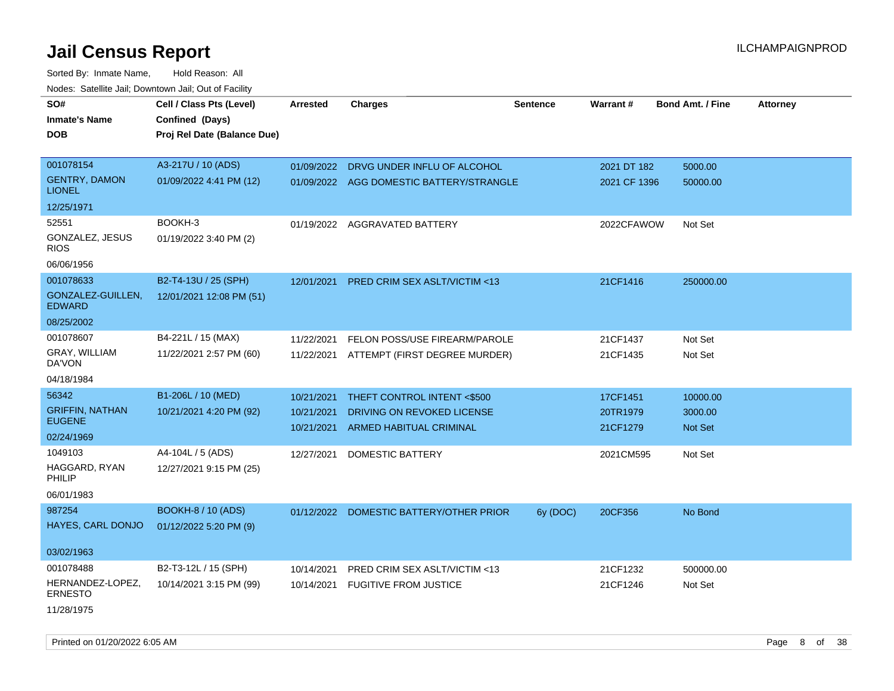Sorted By: Inmate Name, Hold Reason: All Nodes: Satellite Jail; Downtown Jail; Out of Facility

| SO#                                | Cell / Class Pts (Level)    | <b>Arrested</b> | <b>Charges</b>                           | <b>Sentence</b> | Warrant#     | <b>Bond Amt. / Fine</b> | <b>Attorney</b> |
|------------------------------------|-----------------------------|-----------------|------------------------------------------|-----------------|--------------|-------------------------|-----------------|
| <b>Inmate's Name</b>               | Confined (Days)             |                 |                                          |                 |              |                         |                 |
| <b>DOB</b>                         | Proj Rel Date (Balance Due) |                 |                                          |                 |              |                         |                 |
| 001078154                          | A3-217U / 10 (ADS)          | 01/09/2022      | DRVG UNDER INFLU OF ALCOHOL              |                 | 2021 DT 182  | 5000.00                 |                 |
| <b>GENTRY, DAMON</b>               | 01/09/2022 4:41 PM (12)     |                 | 01/09/2022 AGG DOMESTIC BATTERY/STRANGLE |                 | 2021 CF 1396 | 50000.00                |                 |
| <b>LIONEL</b>                      |                             |                 |                                          |                 |              |                         |                 |
| 12/25/1971                         |                             |                 |                                          |                 |              |                         |                 |
| 52551                              | BOOKH-3                     |                 | 01/19/2022 AGGRAVATED BATTERY            |                 | 2022CFAWOW   | Not Set                 |                 |
| GONZALEZ, JESUS<br><b>RIOS</b>     | 01/19/2022 3:40 PM (2)      |                 |                                          |                 |              |                         |                 |
| 06/06/1956                         |                             |                 |                                          |                 |              |                         |                 |
| 001078633                          | B2-T4-13U / 25 (SPH)        | 12/01/2021      | PRED CRIM SEX ASLT/VICTIM <13            |                 | 21CF1416     | 250000.00               |                 |
| GONZALEZ-GUILLEN,<br><b>EDWARD</b> | 12/01/2021 12:08 PM (51)    |                 |                                          |                 |              |                         |                 |
| 08/25/2002                         |                             |                 |                                          |                 |              |                         |                 |
| 001078607                          | B4-221L / 15 (MAX)          | 11/22/2021      | FELON POSS/USE FIREARM/PAROLE            |                 | 21CF1437     | Not Set                 |                 |
| GRAY, WILLIAM<br>DA'VON            | 11/22/2021 2:57 PM (60)     | 11/22/2021      | ATTEMPT (FIRST DEGREE MURDER)            |                 | 21CF1435     | Not Set                 |                 |
| 04/18/1984                         |                             |                 |                                          |                 |              |                         |                 |
| 56342                              | B1-206L / 10 (MED)          | 10/21/2021      | THEFT CONTROL INTENT <\$500              |                 | 17CF1451     | 10000.00                |                 |
| <b>GRIFFIN, NATHAN</b>             | 10/21/2021 4:20 PM (92)     | 10/21/2021      | DRIVING ON REVOKED LICENSE               |                 | 20TR1979     | 3000.00                 |                 |
| <b>EUGENE</b>                      |                             | 10/21/2021      | <b>ARMED HABITUAL CRIMINAL</b>           |                 | 21CF1279     | <b>Not Set</b>          |                 |
| 02/24/1969                         |                             |                 |                                          |                 |              |                         |                 |
| 1049103                            | A4-104L / 5 (ADS)           | 12/27/2021      | DOMESTIC BATTERY                         |                 | 2021CM595    | Not Set                 |                 |
| HAGGARD, RYAN<br>PHILIP            | 12/27/2021 9:15 PM (25)     |                 |                                          |                 |              |                         |                 |
| 06/01/1983                         |                             |                 |                                          |                 |              |                         |                 |
| 987254                             | <b>BOOKH-8 / 10 (ADS)</b>   |                 | 01/12/2022 DOMESTIC BATTERY/OTHER PRIOR  | 6y (DOC)        | 20CF356      | No Bond                 |                 |
| HAYES, CARL DONJO                  | 01/12/2022 5:20 PM (9)      |                 |                                          |                 |              |                         |                 |
| 03/02/1963                         |                             |                 |                                          |                 |              |                         |                 |
| 001078488                          | B2-T3-12L / 15 (SPH)        | 10/14/2021      | PRED CRIM SEX ASLT/VICTIM <13            |                 | 21CF1232     | 500000.00               |                 |
| HERNANDEZ-LOPEZ,<br><b>ERNESTO</b> | 10/14/2021 3:15 PM (99)     | 10/14/2021      | <b>FUGITIVE FROM JUSTICE</b>             |                 | 21CF1246     | Not Set                 |                 |
| 11/28/1975                         |                             |                 |                                          |                 |              |                         |                 |

Printed on 01/20/2022 6:05 AM **Page 8** of 38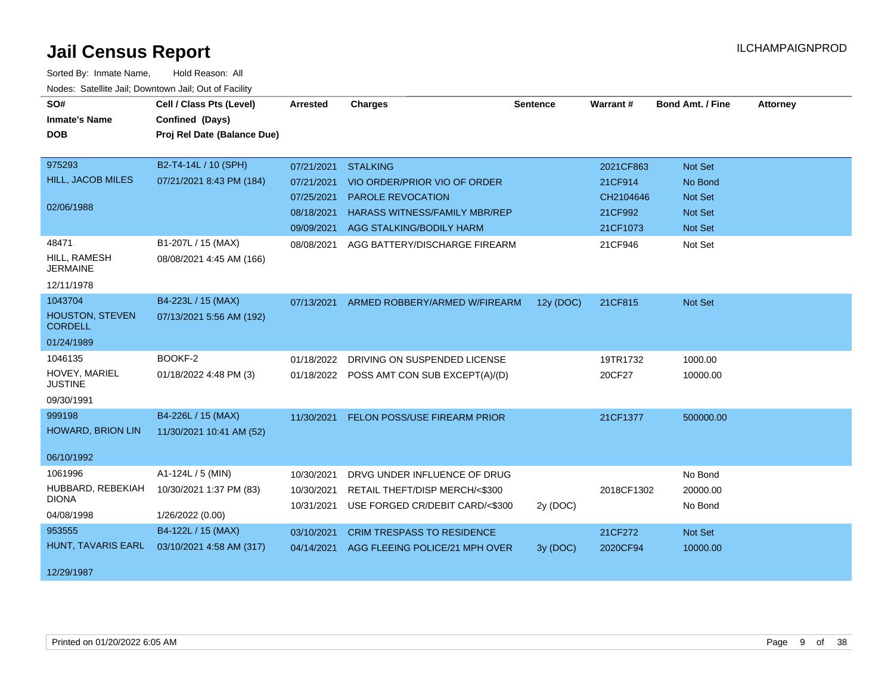| SO#<br><b>Inmate's Name</b>       | Cell / Class Pts (Level)<br>Confined (Days) | <b>Arrested</b> | <b>Charges</b>                            | <b>Sentence</b> | Warrant#   | <b>Bond Amt. / Fine</b> | <b>Attorney</b> |
|-----------------------------------|---------------------------------------------|-----------------|-------------------------------------------|-----------------|------------|-------------------------|-----------------|
| <b>DOB</b>                        | Proj Rel Date (Balance Due)                 |                 |                                           |                 |            |                         |                 |
|                                   |                                             |                 |                                           |                 |            |                         |                 |
| 975293                            | B2-T4-14L / 10 (SPH)                        | 07/21/2021      | <b>STALKING</b>                           |                 | 2021CF863  | <b>Not Set</b>          |                 |
| HILL, JACOB MILES                 | 07/21/2021 8:43 PM (184)                    | 07/21/2021      | VIO ORDER/PRIOR VIO OF ORDER              |                 | 21CF914    | No Bond                 |                 |
|                                   |                                             | 07/25/2021      | PAROLE REVOCATION                         |                 | CH2104646  | <b>Not Set</b>          |                 |
| 02/06/1988                        |                                             | 08/18/2021      | <b>HARASS WITNESS/FAMILY MBR/REP</b>      |                 | 21CF992    | <b>Not Set</b>          |                 |
|                                   |                                             |                 | 09/09/2021 AGG STALKING/BODILY HARM       |                 | 21CF1073   | <b>Not Set</b>          |                 |
| 48471                             | B1-207L / 15 (MAX)                          | 08/08/2021      | AGG BATTERY/DISCHARGE FIREARM             |                 | 21CF946    | Not Set                 |                 |
| HILL, RAMESH                      | 08/08/2021 4:45 AM (166)                    |                 |                                           |                 |            |                         |                 |
| <b>JERMAINE</b>                   |                                             |                 |                                           |                 |            |                         |                 |
| 12/11/1978                        |                                             |                 |                                           |                 |            |                         |                 |
| 1043704                           | B4-223L / 15 (MAX)                          | 07/13/2021      | ARMED ROBBERY/ARMED W/FIREARM             | 12y (DOC)       | 21CF815    | <b>Not Set</b>          |                 |
| <b>HOUSTON, STEVEN</b>            | 07/13/2021 5:56 AM (192)                    |                 |                                           |                 |            |                         |                 |
| <b>CORDELL</b>                    |                                             |                 |                                           |                 |            |                         |                 |
| 01/24/1989                        |                                             |                 |                                           |                 |            |                         |                 |
| 1046135                           | BOOKF-2                                     | 01/18/2022      | DRIVING ON SUSPENDED LICENSE              |                 | 19TR1732   | 1000.00                 |                 |
| HOVEY, MARIEL<br><b>JUSTINE</b>   | 01/18/2022 4:48 PM (3)                      |                 | 01/18/2022 POSS AMT CON SUB EXCEPT(A)/(D) |                 | 20CF27     | 10000.00                |                 |
| 09/30/1991                        |                                             |                 |                                           |                 |            |                         |                 |
| 999198                            | B4-226L / 15 (MAX)                          | 11/30/2021      | FELON POSS/USE FIREARM PRIOR              |                 | 21CF1377   | 500000.00               |                 |
| <b>HOWARD, BRION LIN</b>          | 11/30/2021 10:41 AM (52)                    |                 |                                           |                 |            |                         |                 |
|                                   |                                             |                 |                                           |                 |            |                         |                 |
| 06/10/1992                        |                                             |                 |                                           |                 |            |                         |                 |
| 1061996                           | A1-124L / 5 (MIN)                           | 10/30/2021      | DRVG UNDER INFLUENCE OF DRUG              |                 |            | No Bond                 |                 |
| HUBBARD, REBEKIAH<br><b>DIONA</b> | 10/30/2021 1:37 PM (83)                     | 10/30/2021      | RETAIL THEFT/DISP MERCH/<\$300            |                 | 2018CF1302 | 20000.00                |                 |
|                                   |                                             | 10/31/2021      | USE FORGED CR/DEBIT CARD/<\$300           | 2y (DOC)        |            | No Bond                 |                 |
| 04/08/1998                        | 1/26/2022 (0.00)                            |                 |                                           |                 |            |                         |                 |
| 953555                            | B4-122L / 15 (MAX)                          | 03/10/2021      | <b>CRIM TRESPASS TO RESIDENCE</b>         |                 | 21CF272    | <b>Not Set</b>          |                 |
| HUNT, TAVARIS EARL                | 03/10/2021 4:58 AM (317)                    | 04/14/2021      | AGG FLEEING POLICE/21 MPH OVER            | 3y(DOC)         | 2020CF94   | 10000.00                |                 |
| 12/29/1987                        |                                             |                 |                                           |                 |            |                         |                 |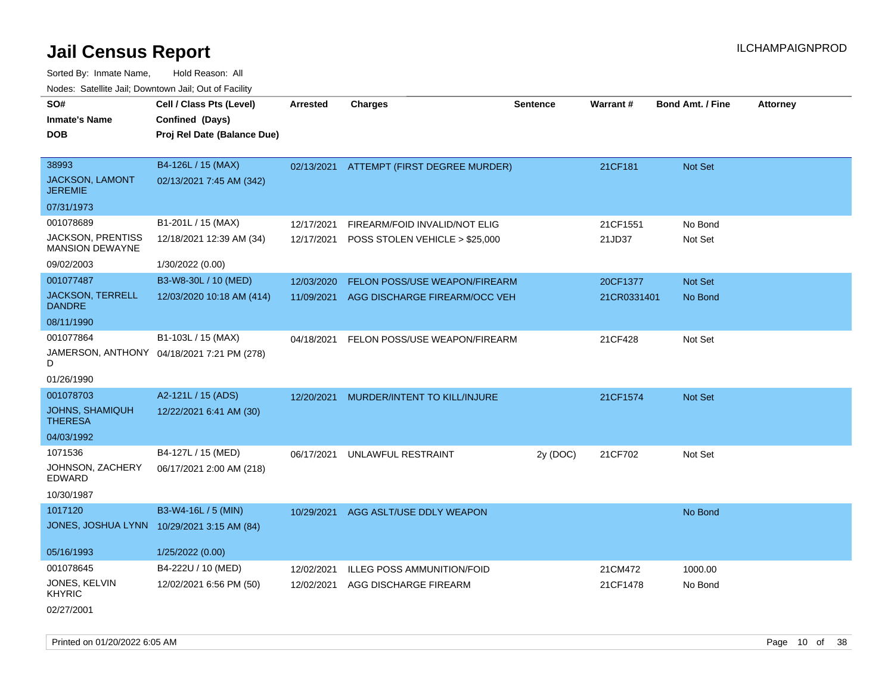Sorted By: Inmate Name, Hold Reason: All Nodes: Satellite Jail; Downtown Jail; Out of Facility

| SO#<br><b>Inmate's Name</b><br><b>DOB</b>   | Cell / Class Pts (Level)<br>Confined (Days)<br>Proj Rel Date (Balance Due) | <b>Arrested</b> | <b>Charges</b>                       | Sentence | <b>Warrant#</b> | <b>Bond Amt. / Fine</b> | <b>Attorney</b> |
|---------------------------------------------|----------------------------------------------------------------------------|-----------------|--------------------------------------|----------|-----------------|-------------------------|-----------------|
| 38993<br>JACKSON, LAMONT<br><b>JEREMIE</b>  | B4-126L / 15 (MAX)<br>02/13/2021 7:45 AM (342)                             | 02/13/2021      | <b>ATTEMPT (FIRST DEGREE MURDER)</b> |          | 21CF181         | Not Set                 |                 |
| 07/31/1973                                  |                                                                            |                 |                                      |          |                 |                         |                 |
| 001078689                                   | B1-201L / 15 (MAX)                                                         | 12/17/2021      | FIREARM/FOID INVALID/NOT ELIG        |          | 21CF1551        | No Bond                 |                 |
| JACKSON, PRENTISS<br><b>MANSION DEWAYNE</b> | 12/18/2021 12:39 AM (34)                                                   | 12/17/2021      | POSS STOLEN VEHICLE > \$25,000       |          | 21JD37          | Not Set                 |                 |
| 09/02/2003                                  | 1/30/2022 (0.00)                                                           |                 |                                      |          |                 |                         |                 |
| 001077487                                   | B3-W8-30L / 10 (MED)                                                       | 12/03/2020      | FELON POSS/USE WEAPON/FIREARM        |          | 20CF1377        | Not Set                 |                 |
| <b>JACKSON, TERRELL</b><br><b>DANDRE</b>    | 12/03/2020 10:18 AM (414)                                                  | 11/09/2021      | AGG DISCHARGE FIREARM/OCC VEH        |          | 21CR0331401     | No Bond                 |                 |
| 08/11/1990                                  |                                                                            |                 |                                      |          |                 |                         |                 |
| 001077864                                   | B1-103L / 15 (MAX)                                                         | 04/18/2021      | FELON POSS/USE WEAPON/FIREARM        |          | 21CF428         | Not Set                 |                 |
| D                                           | JAMERSON, ANTHONY 04/18/2021 7:21 PM (278)                                 |                 |                                      |          |                 |                         |                 |
| 01/26/1990                                  |                                                                            |                 |                                      |          |                 |                         |                 |
| 001078703                                   | A2-121L / 15 (ADS)                                                         | 12/20/2021      | MURDER/INTENT TO KILL/INJURE         |          | 21CF1574        | Not Set                 |                 |
| <b>JOHNS, SHAMIQUH</b><br><b>THERESA</b>    | 12/22/2021 6:41 AM (30)                                                    |                 |                                      |          |                 |                         |                 |
| 04/03/1992                                  |                                                                            |                 |                                      |          |                 |                         |                 |
| 1071536                                     | B4-127L / 15 (MED)                                                         | 06/17/2021      | UNLAWFUL RESTRAINT                   | 2y (DOC) | 21CF702         | Not Set                 |                 |
| JOHNSON, ZACHERY<br><b>EDWARD</b>           | 06/17/2021 2:00 AM (218)                                                   |                 |                                      |          |                 |                         |                 |
| 10/30/1987                                  |                                                                            |                 |                                      |          |                 |                         |                 |
| 1017120                                     | B3-W4-16L / 5 (MIN)                                                        |                 | 10/29/2021 AGG ASLT/USE DDLY WEAPON  |          |                 | No Bond                 |                 |
| JONES, JOSHUA LYNN                          | 10/29/2021 3:15 AM (84)                                                    |                 |                                      |          |                 |                         |                 |
| 05/16/1993                                  | 1/25/2022 (0.00)                                                           |                 |                                      |          |                 |                         |                 |
| 001078645                                   | B4-222U / 10 (MED)                                                         | 12/02/2021      | <b>ILLEG POSS AMMUNITION/FOID</b>    |          | 21CM472         | 1000.00                 |                 |
| JONES, KELVIN<br><b>KHYRIC</b>              | 12/02/2021 6:56 PM (50)                                                    | 12/02/2021      | AGG DISCHARGE FIREARM                |          | 21CF1478        | No Bond                 |                 |
| 02/27/2001                                  |                                                                            |                 |                                      |          |                 |                         |                 |

Printed on 01/20/2022 6:05 AM **Page 10** of 38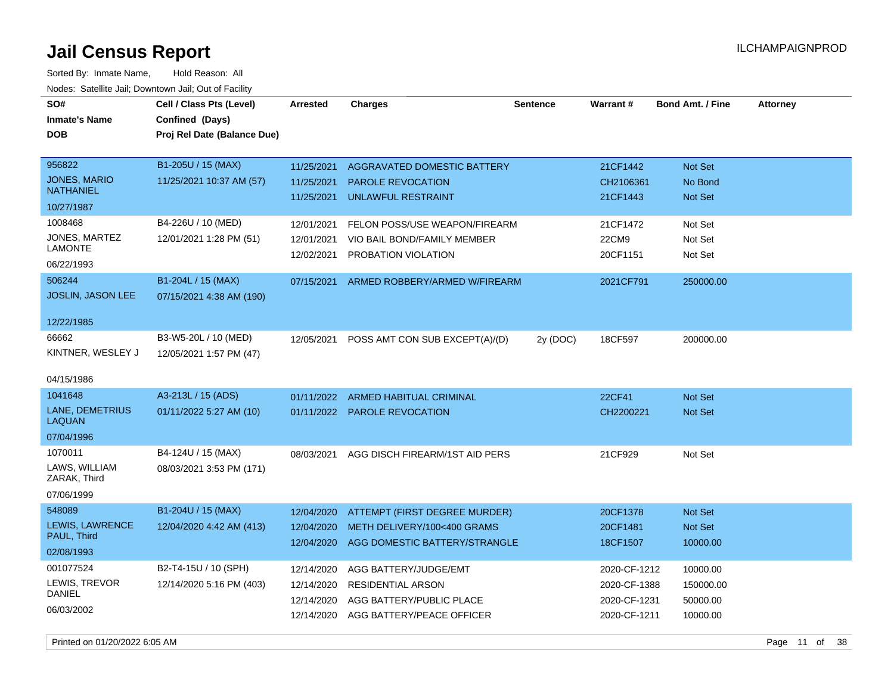Sorted By: Inmate Name, Hold Reason: All Nodes: Satellite Jail; Downtown Jail; Out of Facility

| SO#<br><b>Inmate's Name</b><br><b>DOB</b>                   | Cell / Class Pts (Level)<br>Confined (Days)<br>Proj Rel Date (Balance Due) | <b>Arrested</b>                                      | <b>Charges</b>                                                                                                       | <b>Sentence</b> | <b>Warrant#</b>                                              | <b>Bond Amt. / Fine</b>                       | <b>Attorney</b> |
|-------------------------------------------------------------|----------------------------------------------------------------------------|------------------------------------------------------|----------------------------------------------------------------------------------------------------------------------|-----------------|--------------------------------------------------------------|-----------------------------------------------|-----------------|
| 956822<br>JONES, MARIO<br><b>NATHANIEL</b><br>10/27/1987    | B1-205U / 15 (MAX)<br>11/25/2021 10:37 AM (57)                             | 11/25/2021<br>11/25/2021<br>11/25/2021               | AGGRAVATED DOMESTIC BATTERY<br><b>PAROLE REVOCATION</b><br><b>UNLAWFUL RESTRAINT</b>                                 |                 | 21CF1442<br>CH2106361<br>21CF1443                            | <b>Not Set</b><br>No Bond<br><b>Not Set</b>   |                 |
| 1008468<br>JONES, MARTEZ<br>LAMONTE<br>06/22/1993<br>506244 | B4-226U / 10 (MED)<br>12/01/2021 1:28 PM (51)<br>B1-204L / 15 (MAX)        | 12/01/2021<br>12/01/2021<br>12/02/2021<br>07/15/2021 | FELON POSS/USE WEAPON/FIREARM<br>VIO BAIL BOND/FAMILY MEMBER<br>PROBATION VIOLATION<br>ARMED ROBBERY/ARMED W/FIREARM |                 | 21CF1472<br>22CM9<br>20CF1151<br>2021CF791                   | Not Set<br>Not Set<br>Not Set<br>250000.00    |                 |
| JOSLIN, JASON LEE<br>12/22/1985                             | 07/15/2021 4:38 AM (190)                                                   |                                                      |                                                                                                                      |                 |                                                              |                                               |                 |
| 66662<br>KINTNER, WESLEY J<br>04/15/1986                    | B3-W5-20L / 10 (MED)<br>12/05/2021 1:57 PM (47)                            | 12/05/2021                                           | POSS AMT CON SUB EXCEPT(A)/(D)                                                                                       | 2y (DOC)        | 18CF597                                                      | 200000.00                                     |                 |
| 1041648<br>LANE, DEMETRIUS<br><b>LAQUAN</b><br>07/04/1996   | A3-213L / 15 (ADS)<br>01/11/2022 5:27 AM (10)                              | 01/11/2022                                           | <b>ARMED HABITUAL CRIMINAL</b><br>01/11/2022 PAROLE REVOCATION                                                       |                 | <b>22CF41</b><br>CH2200221                                   | Not Set<br>Not Set                            |                 |
| 1070011<br>LAWS, WILLIAM<br>ZARAK, Third<br>07/06/1999      | B4-124U / 15 (MAX)<br>08/03/2021 3:53 PM (171)                             | 08/03/2021                                           | AGG DISCH FIREARM/1ST AID PERS                                                                                       |                 | 21CF929                                                      | Not Set                                       |                 |
| 548089<br>LEWIS, LAWRENCE<br>PAUL, Third<br>02/08/1993      | B1-204U / 15 (MAX)<br>12/04/2020 4:42 AM (413)                             | 12/04/2020<br>12/04/2020<br>12/04/2020               | ATTEMPT (FIRST DEGREE MURDER)<br>METH DELIVERY/100<400 GRAMS<br>AGG DOMESTIC BATTERY/STRANGLE                        |                 | 20CF1378<br>20CF1481<br>18CF1507                             | <b>Not Set</b><br>Not Set<br>10000.00         |                 |
| 001077524<br>LEWIS, TREVOR<br><b>DANIEL</b><br>06/03/2002   | B2-T4-15U / 10 (SPH)<br>12/14/2020 5:16 PM (403)                           | 12/14/2020<br>12/14/2020<br>12/14/2020<br>12/14/2020 | AGG BATTERY/JUDGE/EMT<br><b>RESIDENTIAL ARSON</b><br>AGG BATTERY/PUBLIC PLACE<br>AGG BATTERY/PEACE OFFICER           |                 | 2020-CF-1212<br>2020-CF-1388<br>2020-CF-1231<br>2020-CF-1211 | 10000.00<br>150000.00<br>50000.00<br>10000.00 |                 |

Printed on 01/20/2022 6:05 AM **Page 11** of 38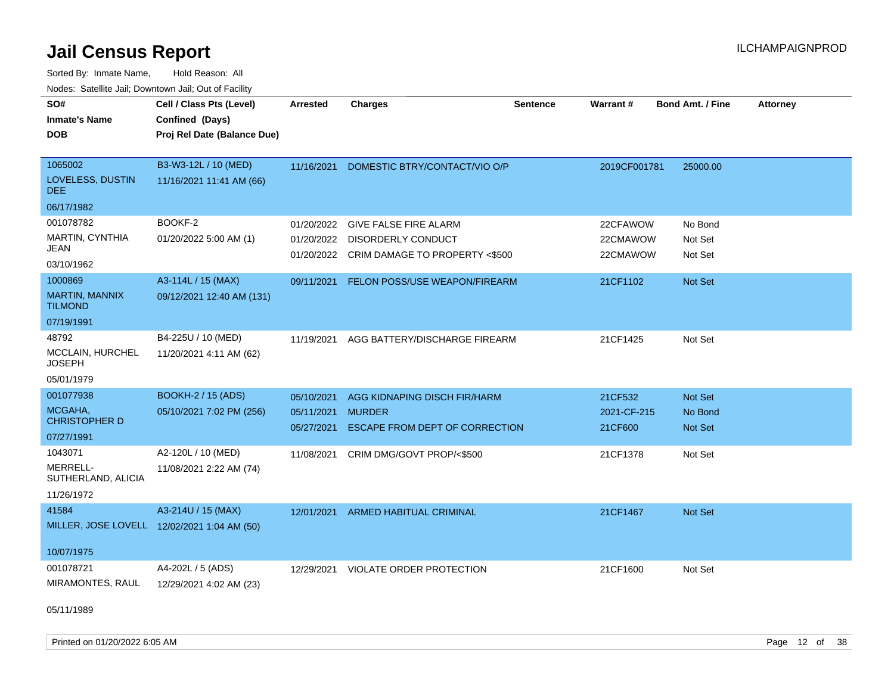Sorted By: Inmate Name, Hold Reason: All Nodes: Satellite Jail; Downtown Jail; Out of Facility

| SO#                               | Cell / Class Pts (Level)                    | Arrested   | <b>Charges</b>                            | <b>Sentence</b> | Warrant#     | <b>Bond Amt. / Fine</b> | <b>Attorney</b> |
|-----------------------------------|---------------------------------------------|------------|-------------------------------------------|-----------------|--------------|-------------------------|-----------------|
| <b>Inmate's Name</b>              | Confined (Days)                             |            |                                           |                 |              |                         |                 |
| <b>DOB</b>                        | Proj Rel Date (Balance Due)                 |            |                                           |                 |              |                         |                 |
|                                   |                                             |            |                                           |                 |              |                         |                 |
| 1065002                           | B3-W3-12L / 10 (MED)                        | 11/16/2021 | DOMESTIC BTRY/CONTACT/VIO O/P             |                 | 2019CF001781 | 25000.00                |                 |
| LOVELESS, DUSTIN<br>DEE.          | 11/16/2021 11:41 AM (66)                    |            |                                           |                 |              |                         |                 |
| 06/17/1982                        |                                             |            |                                           |                 |              |                         |                 |
| 001078782                         | BOOKF-2                                     | 01/20/2022 | <b>GIVE FALSE FIRE ALARM</b>              |                 | 22CFAWOW     | No Bond                 |                 |
| MARTIN, CYNTHIA                   | 01/20/2022 5:00 AM (1)                      | 01/20/2022 | <b>DISORDERLY CONDUCT</b>                 |                 | 22CMAWOW     | Not Set                 |                 |
| JEAN<br>03/10/1962                |                                             |            | 01/20/2022 CRIM DAMAGE TO PROPERTY <\$500 |                 | 22CMAWOW     | Not Set                 |                 |
| 1000869                           | A3-114L / 15 (MAX)                          | 09/11/2021 | FELON POSS/USE WEAPON/FIREARM             |                 | 21CF1102     | Not Set                 |                 |
| MARTIN, MANNIX<br><b>TILMOND</b>  | 09/12/2021 12:40 AM (131)                   |            |                                           |                 |              |                         |                 |
| 07/19/1991                        |                                             |            |                                           |                 |              |                         |                 |
| 48792                             | B4-225U / 10 (MED)                          | 11/19/2021 | AGG BATTERY/DISCHARGE FIREARM             |                 | 21CF1425     | Not Set                 |                 |
| MCCLAIN, HURCHEL<br><b>JOSEPH</b> | 11/20/2021 4:11 AM (62)                     |            |                                           |                 |              |                         |                 |
| 05/01/1979                        |                                             |            |                                           |                 |              |                         |                 |
| 001077938                         | <b>BOOKH-2 / 15 (ADS)</b>                   | 05/10/2021 | AGG KIDNAPING DISCH FIR/HARM              |                 | 21CF532      | Not Set                 |                 |
| MCGAHA,                           | 05/10/2021 7:02 PM (256)                    | 05/11/2021 | <b>MURDER</b>                             |                 | 2021-CF-215  | No Bond                 |                 |
| <b>CHRISTOPHER D</b>              |                                             |            | 05/27/2021 ESCAPE FROM DEPT OF CORRECTION |                 | 21CF600      | Not Set                 |                 |
| 07/27/1991                        |                                             |            |                                           |                 |              |                         |                 |
| 1043071                           | A2-120L / 10 (MED)                          | 11/08/2021 | CRIM DMG/GOVT PROP/<\$500                 |                 | 21CF1378     | Not Set                 |                 |
| MERRELL-<br>SUTHERLAND, ALICIA    | 11/08/2021 2:22 AM (74)                     |            |                                           |                 |              |                         |                 |
| 11/26/1972                        |                                             |            |                                           |                 |              |                         |                 |
| 41584                             | A3-214U / 15 (MAX)                          | 12/01/2021 | ARMED HABITUAL CRIMINAL                   |                 | 21CF1467     | Not Set                 |                 |
|                                   | MILLER, JOSE LOVELL 12/02/2021 1:04 AM (50) |            |                                           |                 |              |                         |                 |
|                                   |                                             |            |                                           |                 |              |                         |                 |
| 10/07/1975                        |                                             |            |                                           |                 |              |                         |                 |
| 001078721                         | A4-202L / 5 (ADS)                           | 12/29/2021 | <b>VIOLATE ORDER PROTECTION</b>           |                 | 21CF1600     | Not Set                 |                 |
| MIRAMONTES, RAUL                  | 12/29/2021 4:02 AM (23)                     |            |                                           |                 |              |                         |                 |
|                                   |                                             |            |                                           |                 |              |                         |                 |

05/11/1989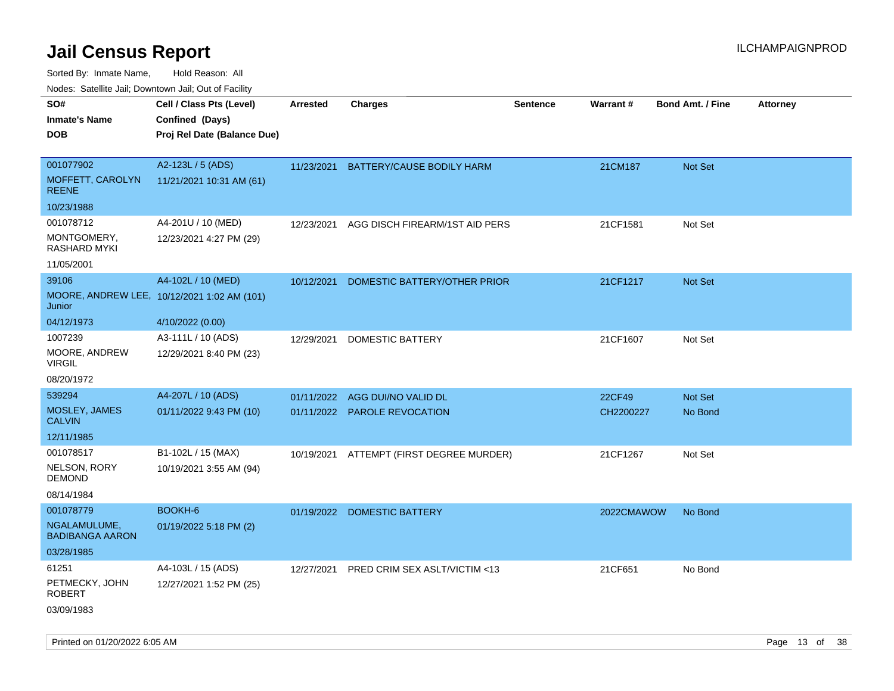| rouco. Calcillo Jali, Downtown Jali, Out of Facility |                                             |                 |                                         |                 |            |                         |                 |
|------------------------------------------------------|---------------------------------------------|-----------------|-----------------------------------------|-----------------|------------|-------------------------|-----------------|
| SO#                                                  | Cell / Class Pts (Level)                    | <b>Arrested</b> | <b>Charges</b>                          | <b>Sentence</b> | Warrant#   | <b>Bond Amt. / Fine</b> | <b>Attorney</b> |
| Inmate's Name                                        | Confined (Days)                             |                 |                                         |                 |            |                         |                 |
| DOB                                                  | Proj Rel Date (Balance Due)                 |                 |                                         |                 |            |                         |                 |
|                                                      |                                             |                 |                                         |                 |            |                         |                 |
| 001077902                                            | A2-123L / 5 (ADS)                           |                 | 11/23/2021 BATTERY/CAUSE BODILY HARM    |                 | 21CM187    | <b>Not Set</b>          |                 |
| <b>MOFFETT, CAROLYN</b><br>REENE                     | 11/21/2021 10:31 AM (61)                    |                 |                                         |                 |            |                         |                 |
| 10/23/1988                                           |                                             |                 |                                         |                 |            |                         |                 |
| 001078712                                            | A4-201U / 10 (MED)                          | 12/23/2021      | AGG DISCH FIREARM/1ST AID PERS          |                 | 21CF1581   | Not Set                 |                 |
| MONTGOMERY,<br>RASHARD MYKI                          | 12/23/2021 4:27 PM (29)                     |                 |                                         |                 |            |                         |                 |
| 11/05/2001                                           |                                             |                 |                                         |                 |            |                         |                 |
| 39106                                                | A4-102L / 10 (MED)                          | 10/12/2021      | DOMESTIC BATTERY/OTHER PRIOR            |                 | 21CF1217   | <b>Not Set</b>          |                 |
| Junior                                               | MOORE, ANDREW LEE, 10/12/2021 1:02 AM (101) |                 |                                         |                 |            |                         |                 |
| 04/12/1973                                           | 4/10/2022 (0.00)                            |                 |                                         |                 |            |                         |                 |
| 1007239                                              | A3-111L / 10 (ADS)                          | 12/29/2021      | DOMESTIC BATTERY                        |                 | 21CF1607   | Not Set                 |                 |
| MOORE, ANDREW<br>VIRGIL                              | 12/29/2021 8:40 PM (23)                     |                 |                                         |                 |            |                         |                 |
| 08/20/1972                                           |                                             |                 |                                         |                 |            |                         |                 |
| 539294                                               | A4-207L / 10 (ADS)                          | 01/11/2022      | AGG DUI/NO VALID DL                     |                 | 22CF49     | <b>Not Set</b>          |                 |
| MOSLEY, JAMES<br>CALVIN                              | 01/11/2022 9:43 PM (10)                     |                 | 01/11/2022 PAROLE REVOCATION            |                 | CH2200227  | No Bond                 |                 |
| 12/11/1985                                           |                                             |                 |                                         |                 |            |                         |                 |
| 001078517                                            | B1-102L / 15 (MAX)                          | 10/19/2021      | ATTEMPT (FIRST DEGREE MURDER)           |                 | 21CF1267   | Not Set                 |                 |
| NELSON, RORY<br>DEMOND                               | 10/19/2021 3:55 AM (94)                     |                 |                                         |                 |            |                         |                 |
| 08/14/1984                                           |                                             |                 |                                         |                 |            |                         |                 |
| 001078779                                            | BOOKH-6                                     |                 | 01/19/2022 DOMESTIC BATTERY             |                 | 2022CMAWOW | No Bond                 |                 |
| NGALAMULUME.<br><b>BADIBANGA AARON</b>               | 01/19/2022 5:18 PM (2)                      |                 |                                         |                 |            |                         |                 |
| 03/28/1985                                           |                                             |                 |                                         |                 |            |                         |                 |
| 61251                                                | A4-103L / 15 (ADS)                          | 12/27/2021      | <b>PRED CRIM SEX ASLT/VICTIM &lt;13</b> |                 | 21CF651    | No Bond                 |                 |
| PETMECKY, JOHN<br>ROBERT                             | 12/27/2021 1:52 PM (25)                     |                 |                                         |                 |            |                         |                 |
| 03/09/1983                                           |                                             |                 |                                         |                 |            |                         |                 |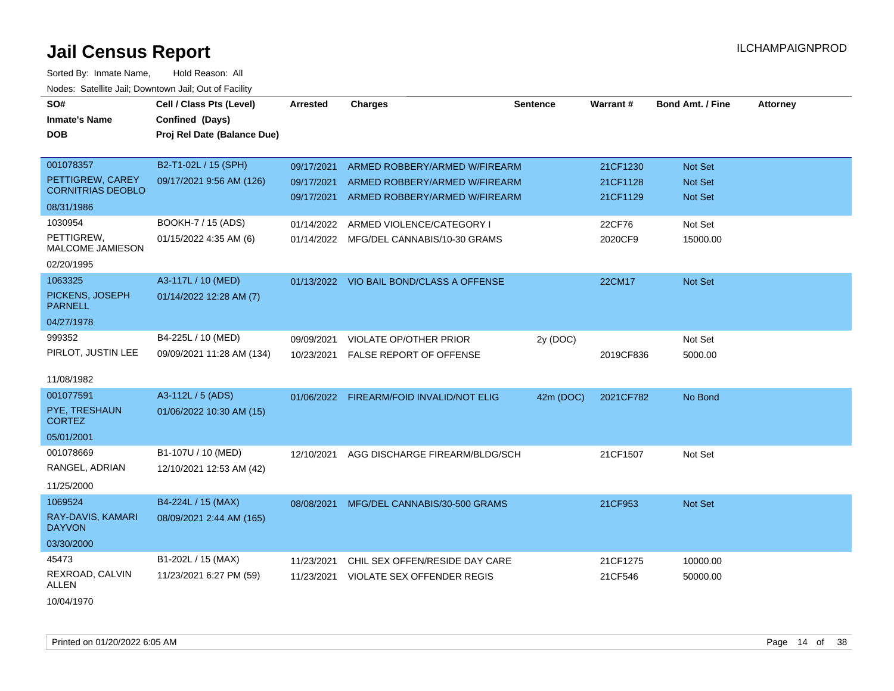| SO#<br><b>Inmate's Name</b><br><b>DOB</b>                               | Cell / Class Pts (Level)<br>Confined (Days)<br>Proj Rel Date (Balance Due) | <b>Arrested</b>          | <b>Charges</b>                                                                                             | <b>Sentence</b> | Warrant#                         | <b>Bond Amt. / Fine</b>              | <b>Attorney</b> |
|-------------------------------------------------------------------------|----------------------------------------------------------------------------|--------------------------|------------------------------------------------------------------------------------------------------------|-----------------|----------------------------------|--------------------------------------|-----------------|
| 001078357<br>PETTIGREW, CAREY<br><b>CORNITRIAS DEOBLO</b><br>08/31/1986 | B2-T1-02L / 15 (SPH)<br>09/17/2021 9:56 AM (126)                           | 09/17/2021<br>09/17/2021 | ARMED ROBBERY/ARMED W/FIREARM<br>ARMED ROBBERY/ARMED W/FIREARM<br>09/17/2021 ARMED ROBBERY/ARMED W/FIREARM |                 | 21CF1230<br>21CF1128<br>21CF1129 | Not Set<br><b>Not Set</b><br>Not Set |                 |
| 1030954<br>PETTIGREW,<br><b>MALCOME JAMIESON</b><br>02/20/1995          | BOOKH-7 / 15 (ADS)<br>01/15/2022 4:35 AM (6)                               | 01/14/2022               | ARMED VIOLENCE/CATEGORY I<br>01/14/2022 MFG/DEL CANNABIS/10-30 GRAMS                                       |                 | 22CF76<br>2020CF9                | Not Set<br>15000.00                  |                 |
| 1063325<br>PICKENS, JOSEPH<br><b>PARNELL</b><br>04/27/1978              | A3-117L / 10 (MED)<br>01/14/2022 12:28 AM (7)                              |                          | 01/13/2022 VIO BAIL BOND/CLASS A OFFENSE                                                                   |                 | 22CM17                           | Not Set                              |                 |
| 999352<br>PIRLOT, JUSTIN LEE<br>11/08/1982                              | B4-225L / 10 (MED)<br>09/09/2021 11:28 AM (134)                            | 09/09/2021<br>10/23/2021 | VIOLATE OP/OTHER PRIOR<br><b>FALSE REPORT OF OFFENSE</b>                                                   | 2y (DOC)        | 2019CF836                        | Not Set<br>5000.00                   |                 |
| 001077591<br>PYE, TRESHAUN<br><b>CORTEZ</b><br>05/01/2001               | A3-112L / 5 (ADS)<br>01/06/2022 10:30 AM (15)                              |                          | 01/06/2022 FIREARM/FOID INVALID/NOT ELIG                                                                   | 42m (DOC)       | 2021CF782                        | No Bond                              |                 |
| 001078669<br>RANGEL, ADRIAN<br>11/25/2000                               | B1-107U / 10 (MED)<br>12/10/2021 12:53 AM (42)                             | 12/10/2021               | AGG DISCHARGE FIREARM/BLDG/SCH                                                                             |                 | 21CF1507                         | Not Set                              |                 |
| 1069524<br>RAY-DAVIS, KAMARI<br><b>DAYVON</b><br>03/30/2000             | B4-224L / 15 (MAX)<br>08/09/2021 2:44 AM (165)                             |                          | 08/08/2021 MFG/DEL CANNABIS/30-500 GRAMS                                                                   |                 | 21CF953                          | Not Set                              |                 |
| 45473<br>REXROAD, CALVIN<br>ALLEN<br>10/04/1970                         | B1-202L / 15 (MAX)<br>11/23/2021 6:27 PM (59)                              | 11/23/2021<br>11/23/2021 | CHIL SEX OFFEN/RESIDE DAY CARE<br><b>VIOLATE SEX OFFENDER REGIS</b>                                        |                 | 21CF1275<br>21CF546              | 10000.00<br>50000.00                 |                 |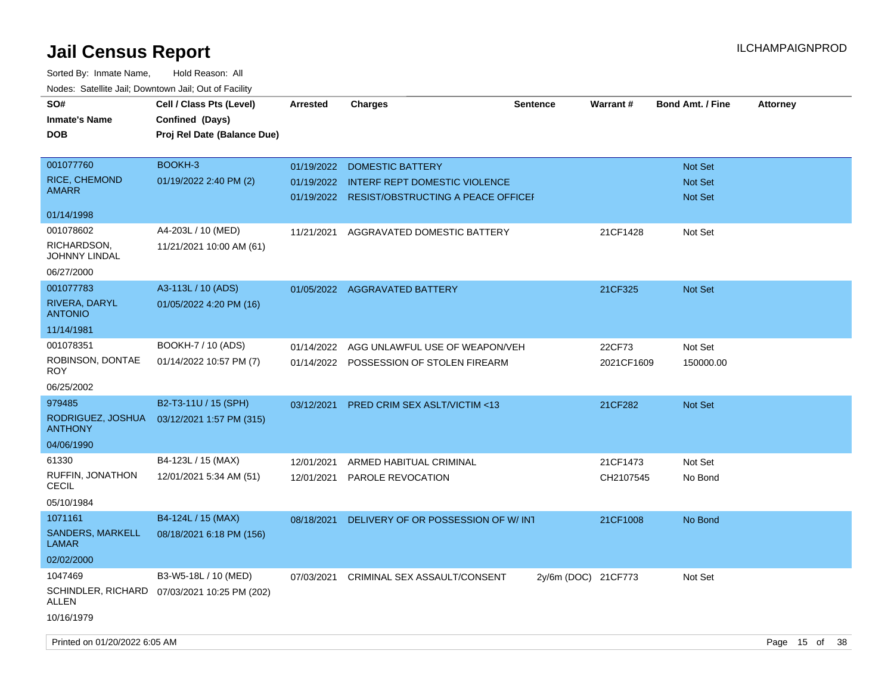| SO#                                 | Cell / Class Pts (Level)                     | <b>Arrested</b> | <b>Charges</b>                       | <b>Sentence</b>     | Warrant#   | <b>Bond Amt. / Fine</b> | <b>Attorney</b> |
|-------------------------------------|----------------------------------------------|-----------------|--------------------------------------|---------------------|------------|-------------------------|-----------------|
| <b>Inmate's Name</b>                | Confined (Days)                              |                 |                                      |                     |            |                         |                 |
| <b>DOB</b>                          | Proj Rel Date (Balance Due)                  |                 |                                      |                     |            |                         |                 |
|                                     |                                              |                 |                                      |                     |            |                         |                 |
| 001077760                           | BOOKH-3                                      | 01/19/2022      | <b>DOMESTIC BATTERY</b>              |                     |            | Not Set                 |                 |
| RICE, CHEMOND                       | 01/19/2022 2:40 PM (2)                       | 01/19/2022      | <b>INTERF REPT DOMESTIC VIOLENCE</b> |                     |            | Not Set                 |                 |
| AMARR                               |                                              | 01/19/2022      | RESIST/OBSTRUCTING A PEACE OFFICEF   |                     |            | <b>Not Set</b>          |                 |
| 01/14/1998                          |                                              |                 |                                      |                     |            |                         |                 |
| 001078602                           | A4-203L / 10 (MED)                           | 11/21/2021      | AGGRAVATED DOMESTIC BATTERY          |                     | 21CF1428   | Not Set                 |                 |
| RICHARDSON,<br>JOHNNY LINDAL        | 11/21/2021 10:00 AM (61)                     |                 |                                      |                     |            |                         |                 |
| 06/27/2000                          |                                              |                 |                                      |                     |            |                         |                 |
| 001077783                           | A3-113L / 10 (ADS)                           |                 | 01/05/2022 AGGRAVATED BATTERY        |                     | 21CF325    | <b>Not Set</b>          |                 |
| RIVERA, DARYL<br><b>ANTONIO</b>     | 01/05/2022 4:20 PM (16)                      |                 |                                      |                     |            |                         |                 |
| 11/14/1981                          |                                              |                 |                                      |                     |            |                         |                 |
| 001078351                           | BOOKH-7 / 10 (ADS)                           | 01/14/2022      | AGG UNLAWFUL USE OF WEAPON/VEH       |                     | 22CF73     | Not Set                 |                 |
| ROBINSON, DONTAE<br><b>ROY</b>      | 01/14/2022 10:57 PM (7)                      | 01/14/2022      | POSSESSION OF STOLEN FIREARM         |                     | 2021CF1609 | 150000.00               |                 |
| 06/25/2002                          |                                              |                 |                                      |                     |            |                         |                 |
| 979485                              | B2-T3-11U / 15 (SPH)                         | 03/12/2021      | PRED CRIM SEX ASLT/VICTIM <13        |                     | 21CF282    | <b>Not Set</b>          |                 |
| RODRIGUEZ, JOSHUA<br><b>ANTHONY</b> | 03/12/2021 1:57 PM (315)                     |                 |                                      |                     |            |                         |                 |
| 04/06/1990                          |                                              |                 |                                      |                     |            |                         |                 |
| 61330                               | B4-123L / 15 (MAX)                           | 12/01/2021      | ARMED HABITUAL CRIMINAL              |                     | 21CF1473   | Not Set                 |                 |
| RUFFIN, JONATHON<br><b>CECIL</b>    | 12/01/2021 5:34 AM (51)                      | 12/01/2021      | PAROLE REVOCATION                    |                     | CH2107545  | No Bond                 |                 |
| 05/10/1984                          |                                              |                 |                                      |                     |            |                         |                 |
| 1071161                             | B4-124L / 15 (MAX)                           | 08/18/2021      | DELIVERY OF OR POSSESSION OF W/INT   |                     | 21CF1008   | No Bond                 |                 |
| SANDERS, MARKELL<br>LAMAR           | 08/18/2021 6:18 PM (156)                     |                 |                                      |                     |            |                         |                 |
| 02/02/2000                          |                                              |                 |                                      |                     |            |                         |                 |
| 1047469                             | B3-W5-18L / 10 (MED)                         | 07/03/2021      | CRIMINAL SEX ASSAULT/CONSENT         | 2y/6m (DOC) 21CF773 |            | Not Set                 |                 |
| ALLEN                               | SCHINDLER, RICHARD 07/03/2021 10:25 PM (202) |                 |                                      |                     |            |                         |                 |
| 10/16/1979                          |                                              |                 |                                      |                     |            |                         |                 |
|                                     |                                              |                 |                                      |                     |            |                         |                 |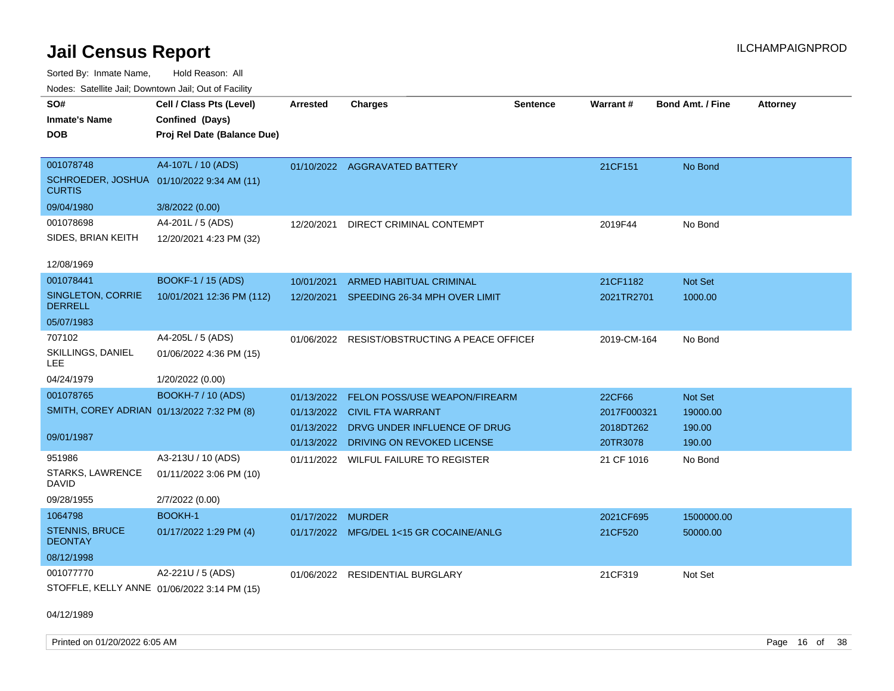Sorted By: Inmate Name, Hold Reason: All Nodes: Satellite Jail; Downtown Jail; Out of Facility

| SO#<br><b>Inmate's Name</b><br><b>DOB</b>  | Cell / Class Pts (Level)<br>Confined (Days)<br>Proj Rel Date (Balance Due) | Arrested          | <b>Charges</b>                            | <b>Sentence</b> | <b>Warrant#</b> | <b>Bond Amt. / Fine</b> | <b>Attorney</b> |
|--------------------------------------------|----------------------------------------------------------------------------|-------------------|-------------------------------------------|-----------------|-----------------|-------------------------|-----------------|
| 001078748                                  | A4-107L / 10 (ADS)                                                         |                   | 01/10/2022 AGGRAVATED BATTERY             |                 | 21CF151         | No Bond                 |                 |
| <b>CURTIS</b>                              | SCHROEDER, JOSHUA 01/10/2022 9:34 AM (11)                                  |                   |                                           |                 |                 |                         |                 |
| 09/04/1980                                 | 3/8/2022 (0.00)                                                            |                   |                                           |                 |                 |                         |                 |
| 001078698                                  | A4-201L / 5 (ADS)                                                          | 12/20/2021        | DIRECT CRIMINAL CONTEMPT                  |                 | 2019F44         | No Bond                 |                 |
| SIDES, BRIAN KEITH                         | 12/20/2021 4:23 PM (32)                                                    |                   |                                           |                 |                 |                         |                 |
| 12/08/1969                                 |                                                                            |                   |                                           |                 |                 |                         |                 |
| 001078441                                  | <b>BOOKF-1 / 15 (ADS)</b>                                                  | 10/01/2021        | ARMED HABITUAL CRIMINAL                   |                 | 21CF1182        | Not Set                 |                 |
| SINGLETON, CORRIE<br><b>DERRELL</b>        | 10/01/2021 12:36 PM (112)                                                  |                   | 12/20/2021 SPEEDING 26-34 MPH OVER LIMIT  |                 | 2021TR2701      | 1000.00                 |                 |
| 05/07/1983                                 |                                                                            |                   |                                           |                 |                 |                         |                 |
| 707102                                     | A4-205L / 5 (ADS)                                                          | 01/06/2022        | <b>RESIST/OBSTRUCTING A PEACE OFFICEF</b> |                 | 2019-CM-164     | No Bond                 |                 |
| SKILLINGS, DANIEL<br>LEE.                  | 01/06/2022 4:36 PM (15)                                                    |                   |                                           |                 |                 |                         |                 |
| 04/24/1979                                 | 1/20/2022 (0.00)                                                           |                   |                                           |                 |                 |                         |                 |
| 001078765                                  | <b>BOOKH-7 / 10 (ADS)</b>                                                  | 01/13/2022        | FELON POSS/USE WEAPON/FIREARM             |                 | 22CF66          | Not Set                 |                 |
| SMITH, COREY ADRIAN 01/13/2022 7:32 PM (8) |                                                                            |                   | 01/13/2022 CIVIL FTA WARRANT              |                 | 2017F000321     | 19000.00                |                 |
|                                            |                                                                            |                   | 01/13/2022 DRVG UNDER INFLUENCE OF DRUG   |                 | 2018DT262       | 190.00                  |                 |
| 09/01/1987                                 |                                                                            |                   | 01/13/2022 DRIVING ON REVOKED LICENSE     |                 | 20TR3078        | 190.00                  |                 |
| 951986                                     | A3-213U / 10 (ADS)                                                         | 01/11/2022        | WILFUL FAILURE TO REGISTER                |                 | 21 CF 1016      | No Bond                 |                 |
| STARKS, LAWRENCE<br><b>DAVID</b>           | 01/11/2022 3:06 PM (10)                                                    |                   |                                           |                 |                 |                         |                 |
| 09/28/1955                                 | 2/7/2022 (0.00)                                                            |                   |                                           |                 |                 |                         |                 |
| 1064798                                    | <b>BOOKH-1</b>                                                             | 01/17/2022 MURDER |                                           |                 | 2021CF695       | 1500000.00              |                 |
| <b>STENNIS, BRUCE</b><br><b>DEONTAY</b>    | 01/17/2022 1:29 PM (4)                                                     |                   | 01/17/2022 MFG/DEL 1<15 GR COCAINE/ANLG   |                 | 21CF520         | 50000.00                |                 |
| 08/12/1998                                 |                                                                            |                   |                                           |                 |                 |                         |                 |
| 001077770                                  | A2-221U / 5 (ADS)                                                          | 01/06/2022        | <b>RESIDENTIAL BURGLARY</b>               |                 | 21CF319         | Not Set                 |                 |
|                                            | STOFFLE, KELLY ANNE 01/06/2022 3:14 PM (15)                                |                   |                                           |                 |                 |                         |                 |

04/12/1989

Printed on 01/20/2022 6:05 AM **Page 16** of 38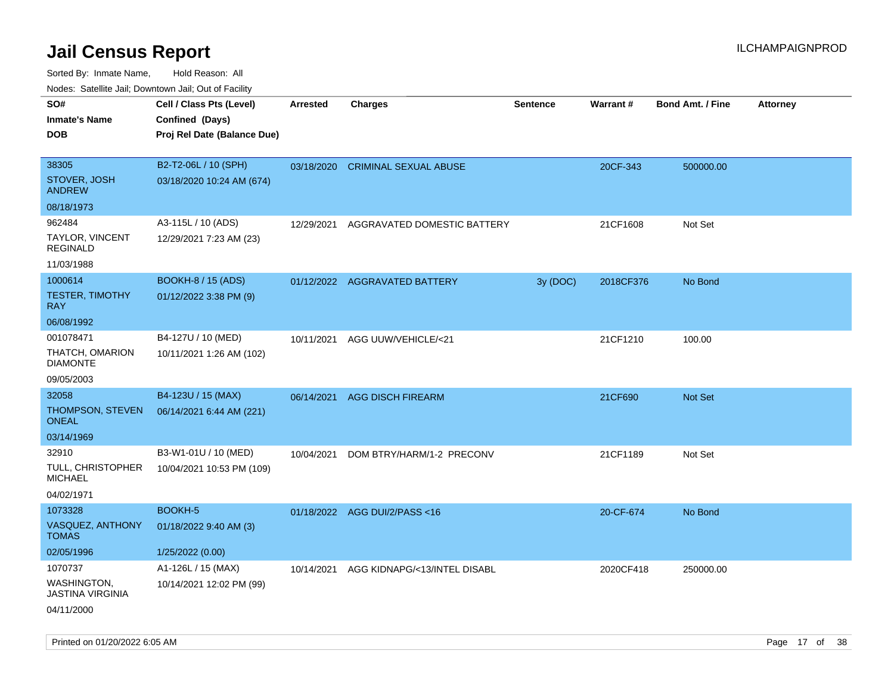| rouco. Calcinic Jan, Downtown Jan, Out of Facility |                             |                 |                                  |                 |                 |                         |                 |
|----------------------------------------------------|-----------------------------|-----------------|----------------------------------|-----------------|-----------------|-------------------------|-----------------|
| SO#                                                | Cell / Class Pts (Level)    | <b>Arrested</b> | <b>Charges</b>                   | <b>Sentence</b> | <b>Warrant#</b> | <b>Bond Amt. / Fine</b> | <b>Attorney</b> |
| Inmate's Name                                      | Confined (Days)             |                 |                                  |                 |                 |                         |                 |
| <b>DOB</b>                                         | Proj Rel Date (Balance Due) |                 |                                  |                 |                 |                         |                 |
|                                                    |                             |                 |                                  |                 |                 |                         |                 |
| 38305                                              | B2-T2-06L / 10 (SPH)        |                 | 03/18/2020 CRIMINAL SEXUAL ABUSE |                 | 20CF-343        | 500000.00               |                 |
| <b>STOVER, JOSH</b><br><b>ANDREW</b>               | 03/18/2020 10:24 AM (674)   |                 |                                  |                 |                 |                         |                 |
| 08/18/1973                                         |                             |                 |                                  |                 |                 |                         |                 |
| 962484                                             | A3-115L / 10 (ADS)          | 12/29/2021      | AGGRAVATED DOMESTIC BATTERY      |                 | 21CF1608        | Not Set                 |                 |
| TAYLOR, VINCENT<br>REGINALD                        | 12/29/2021 7:23 AM (23)     |                 |                                  |                 |                 |                         |                 |
| 11/03/1988                                         |                             |                 |                                  |                 |                 |                         |                 |
| 1000614                                            | <b>BOOKH-8 / 15 (ADS)</b>   |                 | 01/12/2022 AGGRAVATED BATTERY    | 3y(DOC)         | 2018CF376       | No Bond                 |                 |
| TESTER, TIMOTHY<br>RAY.                            | 01/12/2022 3:38 PM (9)      |                 |                                  |                 |                 |                         |                 |
| 06/08/1992                                         |                             |                 |                                  |                 |                 |                         |                 |
| 001078471                                          | B4-127U / 10 (MED)          |                 | 10/11/2021 AGG UUW/VEHICLE/<21   |                 | 21CF1210        | 100.00                  |                 |
| THATCH, OMARION<br>DIAMONTE                        | 10/11/2021 1:26 AM (102)    |                 |                                  |                 |                 |                         |                 |
| 09/05/2003                                         |                             |                 |                                  |                 |                 |                         |                 |
| 32058                                              | B4-123U / 15 (MAX)          |                 | 06/14/2021 AGG DISCH FIREARM     |                 | 21CF690         | <b>Not Set</b>          |                 |
| THOMPSON, STEVEN<br>ONEAL                          | 06/14/2021 6:44 AM (221)    |                 |                                  |                 |                 |                         |                 |
| 03/14/1969                                         |                             |                 |                                  |                 |                 |                         |                 |
| 32910                                              | B3-W1-01U / 10 (MED)        | 10/04/2021      | DOM BTRY/HARM/1-2 PRECONV        |                 | 21CF1189        | Not Set                 |                 |
| TULL, CHRISTOPHER<br>MICHAEL                       | 10/04/2021 10:53 PM (109)   |                 |                                  |                 |                 |                         |                 |
| 04/02/1971                                         |                             |                 |                                  |                 |                 |                         |                 |
| 1073328                                            | BOOKH-5                     |                 | 01/18/2022 AGG DUI/2/PASS<16     |                 | 20-CF-674       | No Bond                 |                 |
| <b>VASQUEZ, ANTHONY</b><br>TOMAS                   | 01/18/2022 9:40 AM (3)      |                 |                                  |                 |                 |                         |                 |
| 02/05/1996                                         | 1/25/2022 (0.00)            |                 |                                  |                 |                 |                         |                 |
| 1070737                                            | A1-126L / 15 (MAX)          | 10/14/2021      | AGG KIDNAPG/<13/INTEL DISABL     |                 | 2020CF418       | 250000.00               |                 |
| WASHINGTON,<br>JASTINA VIRGINIA                    | 10/14/2021 12:02 PM (99)    |                 |                                  |                 |                 |                         |                 |
| 04/11/2000                                         |                             |                 |                                  |                 |                 |                         |                 |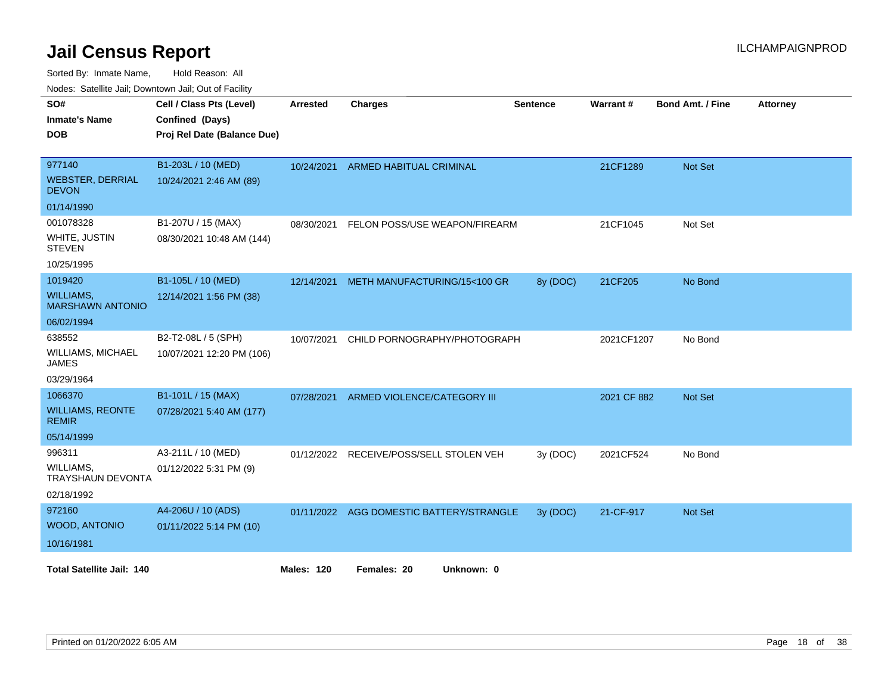Sorted By: Inmate Name, Hold Reason: All

Nodes: Satellite Jail; Downtown Jail; Out of Facility

| SO#<br><b>Inmate's Name</b><br><b>DOB</b>                                      | Cell / Class Pts (Level)<br>Confined (Days)<br>Proj Rel Date (Balance Due) | <b>Arrested</b>   | <b>Charges</b>                           | <b>Sentence</b> | Warrant#    | <b>Bond Amt. / Fine</b> | <b>Attorney</b> |
|--------------------------------------------------------------------------------|----------------------------------------------------------------------------|-------------------|------------------------------------------|-----------------|-------------|-------------------------|-----------------|
| 977140<br><b>WEBSTER, DERRIAL</b><br><b>DEVON</b>                              | B1-203L / 10 (MED)<br>10/24/2021 2:46 AM (89)                              | 10/24/2021        | <b>ARMED HABITUAL CRIMINAL</b>           |                 | 21CF1289    | <b>Not Set</b>          |                 |
| 01/14/1990<br>001078328<br>WHITE, JUSTIN<br><b>STEVEN</b><br>10/25/1995        | B1-207U / 15 (MAX)<br>08/30/2021 10:48 AM (144)                            | 08/30/2021        | FELON POSS/USE WEAPON/FIREARM            |                 | 21CF1045    | Not Set                 |                 |
| 1019420<br><b>WILLIAMS,</b><br><b>MARSHAWN ANTONIO</b>                         | B1-105L / 10 (MED)<br>12/14/2021 1:56 PM (38)                              | 12/14/2021        | METH MANUFACTURING/15<100 GR             | 8y (DOC)        | 21CF205     | No Bond                 |                 |
| 06/02/1994<br>638552<br><b>WILLIAMS, MICHAEL</b><br><b>JAMES</b><br>03/29/1964 | B2-T2-08L / 5 (SPH)<br>10/07/2021 12:20 PM (106)                           | 10/07/2021        | CHILD PORNOGRAPHY/PHOTOGRAPH             |                 | 2021CF1207  | No Bond                 |                 |
| 1066370<br><b>WILLIAMS, REONTE</b><br><b>REMIR</b><br>05/14/1999               | B1-101L / 15 (MAX)<br>07/28/2021 5:40 AM (177)                             | 07/28/2021        | ARMED VIOLENCE/CATEGORY III              |                 | 2021 CF 882 | Not Set                 |                 |
| 996311<br>WILLIAMS,<br><b>TRAYSHAUN DEVONTA</b><br>02/18/1992                  | A3-211L / 10 (MED)<br>01/12/2022 5:31 PM (9)                               | 01/12/2022        | RECEIVE/POSS/SELL STOLEN VEH             | 3y (DOC)        | 2021CF524   | No Bond                 |                 |
| 972160<br>WOOD, ANTONIO<br>10/16/1981                                          | A4-206U / 10 (ADS)<br>01/11/2022 5:14 PM (10)                              |                   | 01/11/2022 AGG DOMESTIC BATTERY/STRANGLE | 3y (DOC)        | 21-CF-917   | Not Set                 |                 |
| <b>Total Satellite Jail: 140</b>                                               |                                                                            | <b>Males: 120</b> | Females: 20<br>Unknown: 0                |                 |             |                         |                 |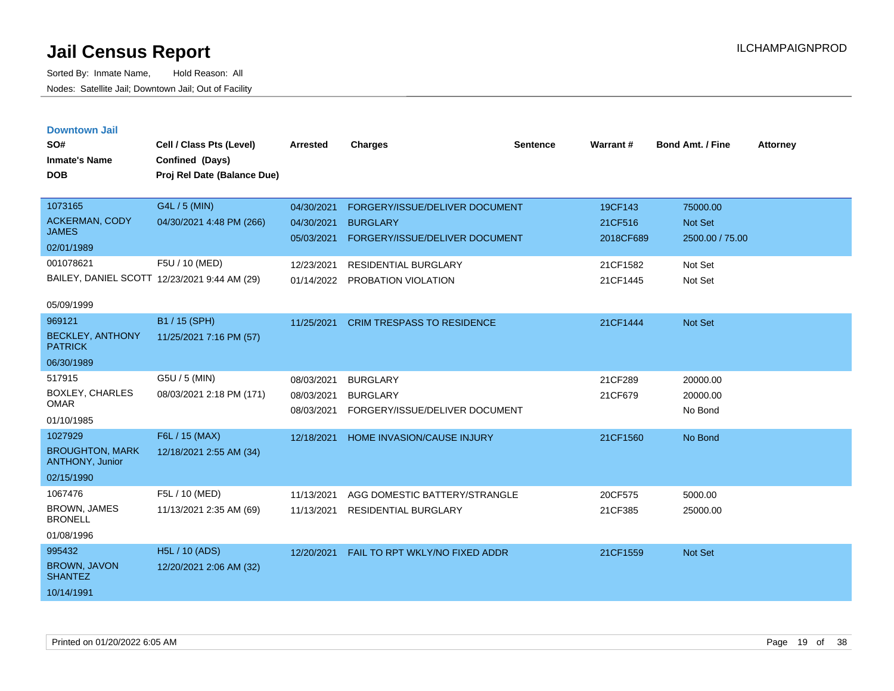| <b>Downtown Jail</b> |  |
|----------------------|--|
|                      |  |
|                      |  |

| SO#<br><b>Inmate's Name</b><br><b>DOB</b> | Cell / Class Pts (Level)<br>Confined (Days)<br>Proj Rel Date (Balance Due) | <b>Arrested</b> | <b>Charges</b>                    | <b>Sentence</b> | Warrant#  | Bond Amt. / Fine | <b>Attorney</b> |
|-------------------------------------------|----------------------------------------------------------------------------|-----------------|-----------------------------------|-----------------|-----------|------------------|-----------------|
| 1073165                                   | G4L / 5 (MIN)                                                              | 04/30/2021      | FORGERY/ISSUE/DELIVER DOCUMENT    |                 | 19CF143   | 75000.00         |                 |
| <b>ACKERMAN, CODY</b><br><b>JAMES</b>     | 04/30/2021 4:48 PM (266)                                                   | 04/30/2021      | <b>BURGLARY</b>                   |                 | 21CF516   | <b>Not Set</b>   |                 |
| 02/01/1989                                |                                                                            | 05/03/2021      | FORGERY/ISSUE/DELIVER DOCUMENT    |                 | 2018CF689 | 2500.00 / 75.00  |                 |
| 001078621                                 | F5U / 10 (MED)                                                             | 12/23/2021      | <b>RESIDENTIAL BURGLARY</b>       |                 | 21CF1582  | Not Set          |                 |
|                                           | BAILEY, DANIEL SCOTT 12/23/2021 9:44 AM (29)                               |                 | 01/14/2022 PROBATION VIOLATION    |                 | 21CF1445  | Not Set          |                 |
| 05/09/1999                                |                                                                            |                 |                                   |                 |           |                  |                 |
| 969121                                    | B1 / 15 (SPH)                                                              | 11/25/2021      | <b>CRIM TRESPASS TO RESIDENCE</b> |                 | 21CF1444  | Not Set          |                 |
| <b>BECKLEY, ANTHONY</b><br><b>PATRICK</b> | 11/25/2021 7:16 PM (57)                                                    |                 |                                   |                 |           |                  |                 |
| 06/30/1989                                |                                                                            |                 |                                   |                 |           |                  |                 |
| 517915                                    | G5U / 5 (MIN)                                                              | 08/03/2021      | <b>BURGLARY</b>                   |                 | 21CF289   | 20000.00         |                 |
| <b>BOXLEY, CHARLES</b><br><b>OMAR</b>     | 08/03/2021 2:18 PM (171)                                                   | 08/03/2021      | <b>BURGLARY</b>                   |                 | 21CF679   | 20000.00         |                 |
| 01/10/1985                                |                                                                            | 08/03/2021      | FORGERY/ISSUE/DELIVER DOCUMENT    |                 |           | No Bond          |                 |
| 1027929                                   | F6L / 15 (MAX)                                                             | 12/18/2021      | HOME INVASION/CAUSE INJURY        |                 | 21CF1560  | No Bond          |                 |
| <b>BROUGHTON, MARK</b><br>ANTHONY, Junior | 12/18/2021 2:55 AM (34)                                                    |                 |                                   |                 |           |                  |                 |
| 02/15/1990                                |                                                                            |                 |                                   |                 |           |                  |                 |
| 1067476                                   | F5L / 10 (MED)                                                             | 11/13/2021      | AGG DOMESTIC BATTERY/STRANGLE     |                 | 20CF575   | 5000.00          |                 |
| BROWN, JAMES<br><b>BRONELL</b>            | 11/13/2021 2:35 AM (69)                                                    | 11/13/2021      | <b>RESIDENTIAL BURGLARY</b>       |                 | 21CF385   | 25000.00         |                 |
| 01/08/1996                                |                                                                            |                 |                                   |                 |           |                  |                 |
| 995432                                    | <b>H5L / 10 (ADS)</b>                                                      | 12/20/2021      | FAIL TO RPT WKLY/NO FIXED ADDR    |                 | 21CF1559  | <b>Not Set</b>   |                 |
| <b>BROWN, JAVON</b><br><b>SHANTEZ</b>     | 12/20/2021 2:06 AM (32)                                                    |                 |                                   |                 |           |                  |                 |
| 10/14/1991                                |                                                                            |                 |                                   |                 |           |                  |                 |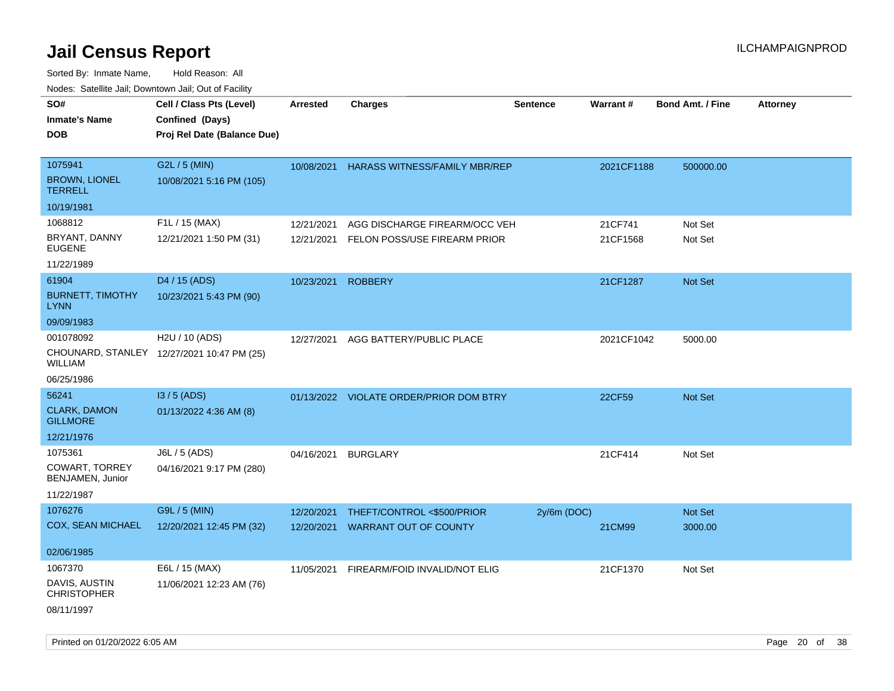| 10000. Catolino can, Domntonn can, Oat or I domt<br>SO#<br>Inmate's Name<br><b>DOB</b> | Cell / Class Pts (Level)<br>Confined (Days)<br>Proj Rel Date (Balance Due) | Arrested   | <b>Charges</b>                          | <b>Sentence</b> | Warrant#   | <b>Bond Amt. / Fine</b> | Attorney |
|----------------------------------------------------------------------------------------|----------------------------------------------------------------------------|------------|-----------------------------------------|-----------------|------------|-------------------------|----------|
| 1075941<br><b>BROWN, LIONEL</b><br>TERRELL                                             | G2L / 5 (MIN)<br>10/08/2021 5:16 PM (105)                                  | 10/08/2021 | <b>HARASS WITNESS/FAMILY MBR/REP</b>    |                 | 2021CF1188 | 500000.00               |          |
| 10/19/1981                                                                             |                                                                            |            |                                         |                 |            |                         |          |
| 1068812                                                                                | F1L / 15 (MAX)                                                             | 12/21/2021 | AGG DISCHARGE FIREARM/OCC VEH           |                 | 21CF741    | Not Set                 |          |
| BRYANT, DANNY<br>EUGENE                                                                | 12/21/2021 1:50 PM (31)                                                    | 12/21/2021 | FELON POSS/USE FIREARM PRIOR            |                 | 21CF1568   | Not Set                 |          |
| 11/22/1989                                                                             |                                                                            |            |                                         |                 |            |                         |          |
| 61904                                                                                  | D4 / 15 (ADS)                                                              | 10/23/2021 | <b>ROBBERY</b>                          |                 | 21CF1287   | <b>Not Set</b>          |          |
| <b>BURNETT, TIMOTHY</b><br>LYNN                                                        | 10/23/2021 5:43 PM (90)                                                    |            |                                         |                 |            |                         |          |
| 09/09/1983                                                                             |                                                                            |            |                                         |                 |            |                         |          |
| 001078092                                                                              | H2U / 10 (ADS)                                                             | 12/27/2021 | AGG BATTERY/PUBLIC PLACE                |                 | 2021CF1042 | 5000.00                 |          |
| WILLIAM                                                                                | CHOUNARD, STANLEY 12/27/2021 10:47 PM (25)                                 |            |                                         |                 |            |                         |          |
| 06/25/1986                                                                             |                                                                            |            |                                         |                 |            |                         |          |
| 56241                                                                                  | I3 / 5 (ADS)                                                               |            | 01/13/2022 VIOLATE ORDER/PRIOR DOM BTRY |                 | 22CF59     | <b>Not Set</b>          |          |
| <b>CLARK, DAMON</b><br><b>GILLMORE</b>                                                 | 01/13/2022 4:36 AM (8)                                                     |            |                                         |                 |            |                         |          |
| 12/21/1976                                                                             |                                                                            |            |                                         |                 |            |                         |          |
| 1075361                                                                                | J6L / 5 (ADS)                                                              | 04/16/2021 | <b>BURGLARY</b>                         |                 | 21CF414    | Not Set                 |          |
| COWART, TORREY<br>BENJAMEN, Junior                                                     | 04/16/2021 9:17 PM (280)                                                   |            |                                         |                 |            |                         |          |
| 11/22/1987                                                                             |                                                                            |            |                                         |                 |            |                         |          |
| 1076276                                                                                | G9L / 5 (MIN)                                                              | 12/20/2021 | THEFT/CONTROL <\$500/PRIOR              | $2y/6m$ (DOC)   |            | <b>Not Set</b>          |          |
| COX, SEAN MICHAEL                                                                      | 12/20/2021 12:45 PM (32)                                                   | 12/20/2021 | <b>WARRANT OUT OF COUNTY</b>            |                 | 21CM99     | 3000.00                 |          |
| 02/06/1985                                                                             |                                                                            |            |                                         |                 |            |                         |          |
| 1067370                                                                                | E6L / 15 (MAX)                                                             | 11/05/2021 | FIREARM/FOID INVALID/NOT ELIG           |                 | 21CF1370   | Not Set                 |          |
| DAVIS, AUSTIN<br>CHRISTOPHER                                                           | 11/06/2021 12:23 AM (76)                                                   |            |                                         |                 |            |                         |          |
| 08/11/1997                                                                             |                                                                            |            |                                         |                 |            |                         |          |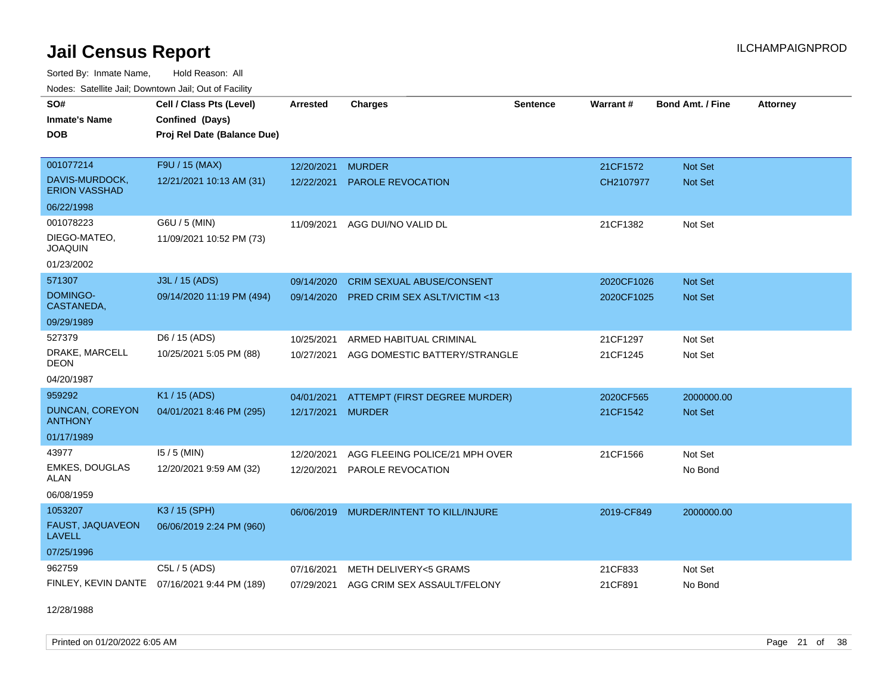Sorted By: Inmate Name, Hold Reason: All Nodes: Satellite Jail; Downtown Jail; Out of Facility

| rioucs. Odichilc Jah, Downtown Jah, Out of Facility |                                              |                 |                                         |                 |            |                         |                 |
|-----------------------------------------------------|----------------------------------------------|-----------------|-----------------------------------------|-----------------|------------|-------------------------|-----------------|
| SO#                                                 | Cell / Class Pts (Level)                     | <b>Arrested</b> | <b>Charges</b>                          | <b>Sentence</b> | Warrant#   | <b>Bond Amt. / Fine</b> | <b>Attorney</b> |
| <b>Inmate's Name</b>                                | Confined (Days)                              |                 |                                         |                 |            |                         |                 |
| <b>DOB</b>                                          | Proj Rel Date (Balance Due)                  |                 |                                         |                 |            |                         |                 |
|                                                     |                                              |                 |                                         |                 |            |                         |                 |
| 001077214                                           | F9U / 15 (MAX)                               | 12/20/2021      | <b>MURDER</b>                           |                 | 21CF1572   | Not Set                 |                 |
| DAVIS-MURDOCK,<br><b>ERION VASSHAD</b>              | 12/21/2021 10:13 AM (31)                     | 12/22/2021      | <b>PAROLE REVOCATION</b>                |                 | CH2107977  | <b>Not Set</b>          |                 |
| 06/22/1998                                          |                                              |                 |                                         |                 |            |                         |                 |
| 001078223                                           | G6U / 5 (MIN)                                |                 | 11/09/2021 AGG DUI/NO VALID DL          |                 | 21CF1382   | Not Set                 |                 |
| DIEGO-MATEO,<br><b>JOAQUIN</b>                      | 11/09/2021 10:52 PM (73)                     |                 |                                         |                 |            |                         |                 |
| 01/23/2002                                          |                                              |                 |                                         |                 |            |                         |                 |
| 571307                                              | J3L / 15 (ADS)                               | 09/14/2020      | <b>CRIM SEXUAL ABUSE/CONSENT</b>        |                 | 2020CF1026 | Not Set                 |                 |
| DOMINGO-<br>CASTANEDA,                              | 09/14/2020 11:19 PM (494)                    | 09/14/2020      | <b>PRED CRIM SEX ASLT/VICTIM &lt;13</b> |                 | 2020CF1025 | <b>Not Set</b>          |                 |
| 09/29/1989                                          |                                              |                 |                                         |                 |            |                         |                 |
| 527379                                              | D6 / 15 (ADS)                                | 10/25/2021      | ARMED HABITUAL CRIMINAL                 |                 | 21CF1297   | Not Set                 |                 |
| DRAKE, MARCELL<br><b>DEON</b>                       | 10/25/2021 5:05 PM (88)                      | 10/27/2021      | AGG DOMESTIC BATTERY/STRANGLE           |                 | 21CF1245   | Not Set                 |                 |
| 04/20/1987                                          |                                              |                 |                                         |                 |            |                         |                 |
| 959292                                              | K1 / 15 (ADS)                                | 04/01/2021      | ATTEMPT (FIRST DEGREE MURDER)           |                 | 2020CF565  | 2000000.00              |                 |
| <b>DUNCAN, COREYON</b><br><b>ANTHONY</b>            | 04/01/2021 8:46 PM (295)                     | 12/17/2021      | <b>MURDER</b>                           |                 | 21CF1542   | <b>Not Set</b>          |                 |
| 01/17/1989                                          |                                              |                 |                                         |                 |            |                         |                 |
| 43977                                               | $15/5$ (MIN)                                 | 12/20/2021      | AGG FLEEING POLICE/21 MPH OVER          |                 | 21CF1566   | Not Set                 |                 |
| EMKES, DOUGLAS<br>ALAN                              | 12/20/2021 9:59 AM (32)                      | 12/20/2021      | PAROLE REVOCATION                       |                 |            | No Bond                 |                 |
| 06/08/1959                                          |                                              |                 |                                         |                 |            |                         |                 |
| 1053207                                             | K3 / 15 (SPH)                                | 06/06/2019      | MURDER/INTENT TO KILL/INJURE            |                 | 2019-CF849 | 2000000.00              |                 |
| FAUST, JAQUAVEON<br><b>LAVELL</b>                   | 06/06/2019 2:24 PM (960)                     |                 |                                         |                 |            |                         |                 |
| 07/25/1996                                          |                                              |                 |                                         |                 |            |                         |                 |
| 962759                                              | C5L / 5 (ADS)                                | 07/16/2021      | METH DELIVERY<5 GRAMS                   |                 | 21CF833    | Not Set                 |                 |
|                                                     | FINLEY, KEVIN DANTE 07/16/2021 9:44 PM (189) |                 | 07/29/2021 AGG CRIM SEX ASSAULT/FELONY  |                 | 21CF891    | No Bond                 |                 |

12/28/1988

Printed on 01/20/2022 6:05 AM Page 21 of 38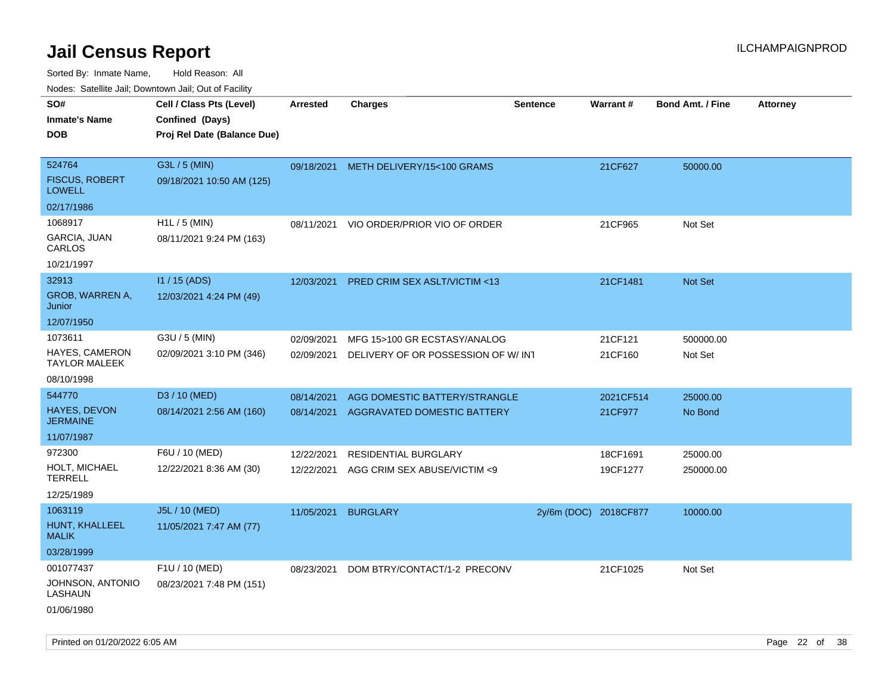| Nodes. Salenne Jan, Downlown Jan, Out of Facility |                             |            |                                    |                       |           |                         |                 |
|---------------------------------------------------|-----------------------------|------------|------------------------------------|-----------------------|-----------|-------------------------|-----------------|
| SO#                                               | Cell / Class Pts (Level)    | Arrested   | <b>Charges</b>                     | <b>Sentence</b>       | Warrant#  | <b>Bond Amt. / Fine</b> | <b>Attorney</b> |
| <b>Inmate's Name</b>                              | Confined (Days)             |            |                                    |                       |           |                         |                 |
| DOB                                               | Proj Rel Date (Balance Due) |            |                                    |                       |           |                         |                 |
|                                                   |                             |            |                                    |                       |           |                         |                 |
| 524764                                            | G3L / 5 (MIN)               | 09/18/2021 | METH DELIVERY/15<100 GRAMS         |                       | 21CF627   | 50000.00                |                 |
| <b>FISCUS, ROBERT</b><br>LOWELL                   | 09/18/2021 10:50 AM (125)   |            |                                    |                       |           |                         |                 |
| 02/17/1986                                        |                             |            |                                    |                       |           |                         |                 |
| 1068917                                           | $H1L / 5$ (MIN)             | 08/11/2021 | VIO ORDER/PRIOR VIO OF ORDER       |                       | 21CF965   | Not Set                 |                 |
| GARCIA, JUAN<br>CARLOS                            | 08/11/2021 9:24 PM (163)    |            |                                    |                       |           |                         |                 |
| 10/21/1997                                        |                             |            |                                    |                       |           |                         |                 |
| 32913                                             | $11/15$ (ADS)               | 12/03/2021 | PRED CRIM SEX ASLT/VICTIM <13      |                       | 21CF1481  | <b>Not Set</b>          |                 |
| GROB, WARREN A,<br>Junior                         | 12/03/2021 4:24 PM (49)     |            |                                    |                       |           |                         |                 |
| 12/07/1950                                        |                             |            |                                    |                       |           |                         |                 |
| 1073611                                           | G3U / 5 (MIN)               | 02/09/2021 | MFG 15>100 GR ECSTASY/ANALOG       |                       | 21CF121   | 500000.00               |                 |
| <b>HAYES, CAMERON</b><br>TAYLOR MALEEK            | 02/09/2021 3:10 PM (346)    | 02/09/2021 | DELIVERY OF OR POSSESSION OF W/INT |                       | 21CF160   | Not Set                 |                 |
| 08/10/1998                                        |                             |            |                                    |                       |           |                         |                 |
| 544770                                            | D3 / 10 (MED)               | 08/14/2021 | AGG DOMESTIC BATTERY/STRANGLE      |                       | 2021CF514 | 25000.00                |                 |
| HAYES, DEVON<br>JERMAINE                          | 08/14/2021 2:56 AM (160)    | 08/14/2021 | AGGRAVATED DOMESTIC BATTERY        |                       | 21CF977   | No Bond                 |                 |
| 11/07/1987                                        |                             |            |                                    |                       |           |                         |                 |
| 972300                                            | F6U / 10 (MED)              | 12/22/2021 | <b>RESIDENTIAL BURGLARY</b>        |                       | 18CF1691  | 25000.00                |                 |
| HOLT, MICHAEL<br>TERRELL                          | 12/22/2021 8:36 AM (30)     | 12/22/2021 | AGG CRIM SEX ABUSE/VICTIM <9       |                       | 19CF1277  | 250000.00               |                 |
| 12/25/1989                                        |                             |            |                                    |                       |           |                         |                 |
| 1063119                                           | J5L / 10 (MED)              | 11/05/2021 | <b>BURGLARY</b>                    | 2y/6m (DOC) 2018CF877 |           | 10000.00                |                 |
| HUNT, KHALLEEL<br>MALIK                           | 11/05/2021 7:47 AM (77)     |            |                                    |                       |           |                         |                 |
| 03/28/1999                                        |                             |            |                                    |                       |           |                         |                 |
| 001077437                                         | F1U / 10 (MED)              | 08/23/2021 | DOM BTRY/CONTACT/1-2 PRECONV       |                       | 21CF1025  | Not Set                 |                 |
| JOHNSON, ANTONIO<br>LASHAUN                       | 08/23/2021 7:48 PM (151)    |            |                                    |                       |           |                         |                 |
| 01/06/1980                                        |                             |            |                                    |                       |           |                         |                 |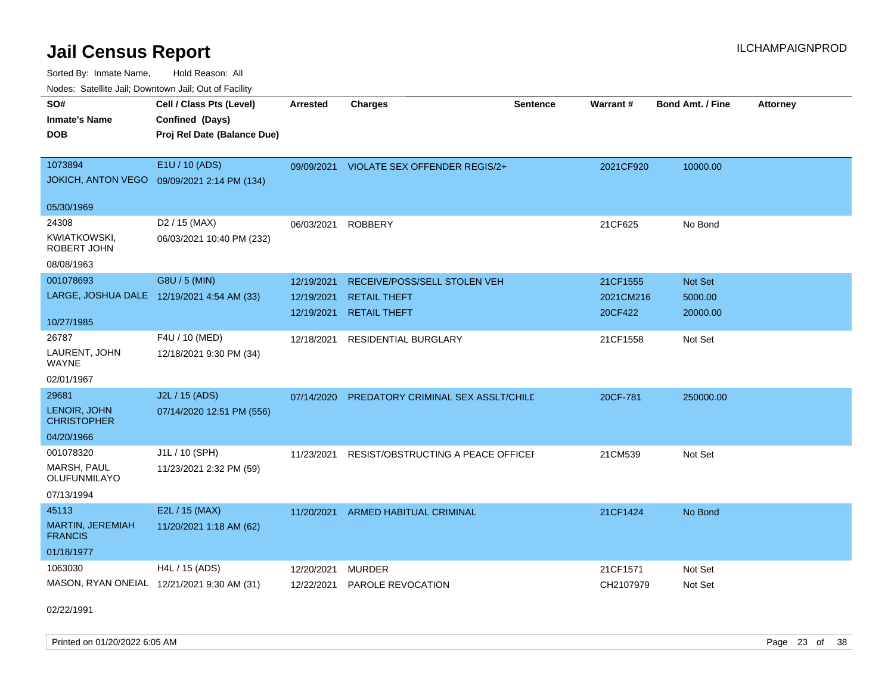Sorted By: Inmate Name, Hold Reason: All Nodes: Satellite Jail; Downtown Jail; Out of Facility

| rougs. Calcing Jan, Downtown Jan, Out of Facility |                                             |                 |                                          |                 |                 |                         |                 |
|---------------------------------------------------|---------------------------------------------|-----------------|------------------------------------------|-----------------|-----------------|-------------------------|-----------------|
| SO#<br><b>Inmate's Name</b>                       | Cell / Class Pts (Level)<br>Confined (Days) | <b>Arrested</b> | <b>Charges</b>                           | <b>Sentence</b> | <b>Warrant#</b> | <b>Bond Amt. / Fine</b> | <b>Attorney</b> |
| <b>DOB</b>                                        | Proj Rel Date (Balance Due)                 |                 |                                          |                 |                 |                         |                 |
| 1073894                                           | E1U / 10 (ADS)                              |                 | 09/09/2021 VIOLATE SEX OFFENDER REGIS/2+ |                 | 2021CF920       | 10000.00                |                 |
|                                                   | JOKICH, ANTON VEGO 09/09/2021 2:14 PM (134) |                 |                                          |                 |                 |                         |                 |
| 05/30/1969                                        |                                             |                 |                                          |                 |                 |                         |                 |
| 24308                                             | D2 / 15 (MAX)                               | 06/03/2021      | <b>ROBBERY</b>                           |                 | 21CF625         | No Bond                 |                 |
| KWIATKOWSKI,<br>ROBERT JOHN                       | 06/03/2021 10:40 PM (232)                   |                 |                                          |                 |                 |                         |                 |
| 08/08/1963                                        |                                             |                 |                                          |                 |                 |                         |                 |
| 001078693                                         | G8U / 5 (MIN)                               | 12/19/2021      | RECEIVE/POSS/SELL STOLEN VEH             |                 | 21CF1555        | Not Set                 |                 |
|                                                   | LARGE, JOSHUA DALE 12/19/2021 4:54 AM (33)  | 12/19/2021      | <b>RETAIL THEFT</b>                      |                 | 2021CM216       | 5000.00                 |                 |
| 10/27/1985                                        |                                             | 12/19/2021      | <b>RETAIL THEFT</b>                      |                 | 20CF422         | 20000.00                |                 |
| 26787                                             | F4U / 10 (MED)                              | 12/18/2021      | <b>RESIDENTIAL BURGLARY</b>              |                 | 21CF1558        | Not Set                 |                 |
| LAURENT, JOHN<br>WAYNE                            | 12/18/2021 9:30 PM (34)                     |                 |                                          |                 |                 |                         |                 |
| 02/01/1967                                        |                                             |                 |                                          |                 |                 |                         |                 |
| 29681                                             | J2L / 15 (ADS)                              | 07/14/2020      | PREDATORY CRIMINAL SEX ASSLT/CHILD       |                 | 20CF-781        | 250000.00               |                 |
| LENOIR, JOHN<br><b>CHRISTOPHER</b>                | 07/14/2020 12:51 PM (556)                   |                 |                                          |                 |                 |                         |                 |
| 04/20/1966                                        |                                             |                 |                                          |                 |                 |                         |                 |
| 001078320                                         | J1L / 10 (SPH)                              | 11/23/2021      | RESIST/OBSTRUCTING A PEACE OFFICEL       |                 | 21CM539         | Not Set                 |                 |
| MARSH, PAUL<br><b>OLUFUNMILAYO</b>                | 11/23/2021 2:32 PM (59)                     |                 |                                          |                 |                 |                         |                 |
| 07/13/1994                                        |                                             |                 |                                          |                 |                 |                         |                 |
| 45113                                             | E2L / 15 (MAX)                              | 11/20/2021      | ARMED HABITUAL CRIMINAL                  |                 | 21CF1424        | No Bond                 |                 |
| <b>MARTIN, JEREMIAH</b><br><b>FRANCIS</b>         | 11/20/2021 1:18 AM (62)                     |                 |                                          |                 |                 |                         |                 |
| 01/18/1977                                        |                                             |                 |                                          |                 |                 |                         |                 |
| 1063030                                           | H4L / 15 (ADS)                              | 12/20/2021      | <b>MURDER</b>                            |                 | 21CF1571        | Not Set                 |                 |
|                                                   | MASON, RYAN ONEIAL 12/21/2021 9:30 AM (31)  | 12/22/2021      | PAROLE REVOCATION                        |                 | CH2107979       | Not Set                 |                 |

02/22/1991

Printed on 01/20/2022 6:05 AM Page 23 of 38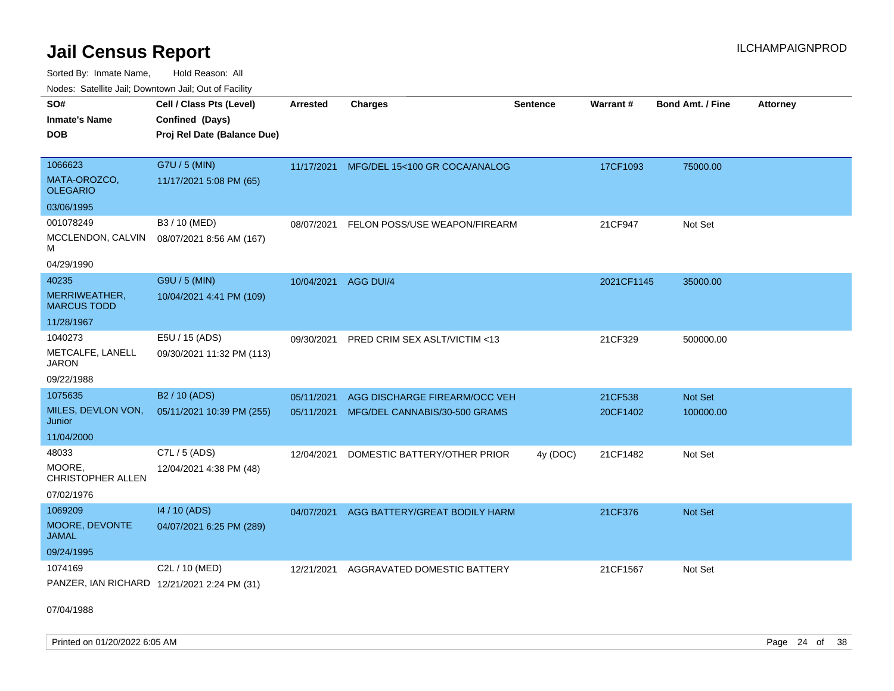Sorted By: Inmate Name, Hold Reason: All

|  | Nodes: Satellite Jail; Downtown Jail; Out of Facility |  |  |  |
|--|-------------------------------------------------------|--|--|--|
|--|-------------------------------------------------------|--|--|--|

| SO#<br><b>Inmate's Name</b><br><b>DOB</b> | Cell / Class Pts (Level)<br>Confined (Days)<br>Proj Rel Date (Balance Due) | <b>Arrested</b> | <b>Charges</b>                           | <b>Sentence</b> | <b>Warrant#</b> | Bond Amt. / Fine | <b>Attorney</b> |
|-------------------------------------------|----------------------------------------------------------------------------|-----------------|------------------------------------------|-----------------|-----------------|------------------|-----------------|
| 1066623<br>MATA-OROZCO,                   | G7U / 5 (MIN)<br>11/17/2021 5:08 PM (65)                                   |                 | 11/17/2021 MFG/DEL 15<100 GR COCA/ANALOG |                 | 17CF1093        | 75000.00         |                 |
| <b>OLEGARIO</b>                           |                                                                            |                 |                                          |                 |                 |                  |                 |
| 03/06/1995                                |                                                                            |                 |                                          |                 |                 |                  |                 |
| 001078249                                 | B3 / 10 (MED)                                                              | 08/07/2021      | FELON POSS/USE WEAPON/FIREARM            |                 | 21CF947         | Not Set          |                 |
| MCCLENDON, CALVIN<br>м                    | 08/07/2021 8:56 AM (167)                                                   |                 |                                          |                 |                 |                  |                 |
| 04/29/1990                                |                                                                            |                 |                                          |                 |                 |                  |                 |
| 40235                                     | G9U / 5 (MIN)                                                              |                 | 10/04/2021 AGG DUI/4                     |                 | 2021CF1145      | 35000.00         |                 |
| MERRIWEATHER,<br><b>MARCUS TODD</b>       | 10/04/2021 4:41 PM (109)                                                   |                 |                                          |                 |                 |                  |                 |
| 11/28/1967                                |                                                                            |                 |                                          |                 |                 |                  |                 |
| 1040273                                   | E5U / 15 (ADS)                                                             | 09/30/2021      | PRED CRIM SEX ASLT/VICTIM <13            |                 | 21CF329         | 500000.00        |                 |
| METCALFE, LANELL<br><b>JARON</b>          | 09/30/2021 11:32 PM (113)                                                  |                 |                                          |                 |                 |                  |                 |
| 09/22/1988                                |                                                                            |                 |                                          |                 |                 |                  |                 |
| 1075635                                   | B <sub>2</sub> / 10 (ADS)                                                  | 05/11/2021      | AGG DISCHARGE FIREARM/OCC VEH            |                 | 21CF538         | Not Set          |                 |
| MILES, DEVLON VON,<br>Junior              | 05/11/2021 10:39 PM (255)                                                  |                 | 05/11/2021 MFG/DEL CANNABIS/30-500 GRAMS |                 | 20CF1402        | 100000.00        |                 |
| 11/04/2000                                |                                                                            |                 |                                          |                 |                 |                  |                 |
| 48033                                     | C7L / 5 (ADS)                                                              | 12/04/2021      | DOMESTIC BATTERY/OTHER PRIOR             | 4y (DOC)        | 21CF1482        | Not Set          |                 |
| MOORE,<br>CHRISTOPHER ALLEN               | 12/04/2021 4:38 PM (48)                                                    |                 |                                          |                 |                 |                  |                 |
| 07/02/1976                                |                                                                            |                 |                                          |                 |                 |                  |                 |
| 1069209                                   | 14 / 10 (ADS)                                                              | 04/07/2021      | AGG BATTERY/GREAT BODILY HARM            |                 | 21CF376         | Not Set          |                 |
| MOORE, DEVONTE<br><b>JAMAL</b>            | 04/07/2021 6:25 PM (289)                                                   |                 |                                          |                 |                 |                  |                 |
| 09/24/1995                                |                                                                            |                 |                                          |                 |                 |                  |                 |
| 1074169                                   | C2L / 10 (MED)                                                             | 12/21/2021      | AGGRAVATED DOMESTIC BATTERY              |                 | 21CF1567        | Not Set          |                 |
|                                           | PANZER, IAN RICHARD 12/21/2021 2:24 PM (31)                                |                 |                                          |                 |                 |                  |                 |

07/04/1988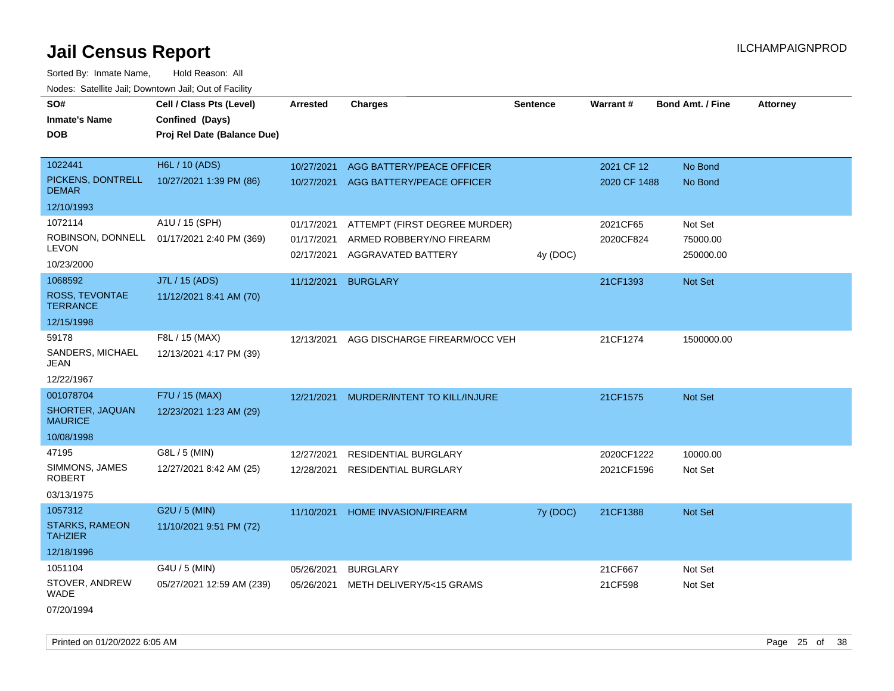Sorted By: Inmate Name, Hold Reason: All Nodes: Satellite Jail; Downtown Jail; Out of Facility

| SO#                                     | Cell / Class Pts (Level)    | Arrested                 | <b>Charges</b>                                 | <b>Sentence</b> | Warrant#     | <b>Bond Amt. / Fine</b> | <b>Attorney</b> |
|-----------------------------------------|-----------------------------|--------------------------|------------------------------------------------|-----------------|--------------|-------------------------|-----------------|
| <b>Inmate's Name</b>                    | Confined (Days)             |                          |                                                |                 |              |                         |                 |
| DOB                                     | Proj Rel Date (Balance Due) |                          |                                                |                 |              |                         |                 |
|                                         |                             |                          |                                                |                 |              |                         |                 |
| 1022441                                 | H6L / 10 (ADS)              | 10/27/2021               | AGG BATTERY/PEACE OFFICER                      |                 | 2021 CF 12   | No Bond                 |                 |
| PICKENS, DONTRELL<br><b>DEMAR</b>       | 10/27/2021 1:39 PM (86)     | 10/27/2021               | AGG BATTERY/PEACE OFFICER                      |                 | 2020 CF 1488 | No Bond                 |                 |
| 12/10/1993                              |                             |                          |                                                |                 |              |                         |                 |
| 1072114                                 | A1U / 15 (SPH)              | 01/17/2021               | ATTEMPT (FIRST DEGREE MURDER)                  |                 | 2021CF65     | Not Set                 |                 |
| ROBINSON, DONNELL<br>LEVON              | 01/17/2021 2:40 PM (369)    | 01/17/2021<br>02/17/2021 | ARMED ROBBERY/NO FIREARM<br>AGGRAVATED BATTERY | 4y (DOC)        | 2020CF824    | 75000.00<br>250000.00   |                 |
| 10/23/2000                              |                             |                          |                                                |                 |              |                         |                 |
| 1068592                                 | J7L / 15 (ADS)              | 11/12/2021               | <b>BURGLARY</b>                                |                 | 21CF1393     | <b>Not Set</b>          |                 |
| ROSS, TEVONTAE<br><b>TERRANCE</b>       | 11/12/2021 8:41 AM (70)     |                          |                                                |                 |              |                         |                 |
| 12/15/1998                              |                             |                          |                                                |                 |              |                         |                 |
| 59178                                   | F8L / 15 (MAX)              | 12/13/2021               | AGG DISCHARGE FIREARM/OCC VEH                  |                 | 21CF1274     | 1500000.00              |                 |
| SANDERS, MICHAEL<br>JEAN                | 12/13/2021 4:17 PM (39)     |                          |                                                |                 |              |                         |                 |
| 12/22/1967                              |                             |                          |                                                |                 |              |                         |                 |
| 001078704                               | F7U / 15 (MAX)              | 12/21/2021               | MURDER/INTENT TO KILL/INJURE                   |                 | 21CF1575     | Not Set                 |                 |
| SHORTER, JAQUAN<br><b>MAURICE</b>       | 12/23/2021 1:23 AM (29)     |                          |                                                |                 |              |                         |                 |
| 10/08/1998                              |                             |                          |                                                |                 |              |                         |                 |
| 47195                                   | G8L / 5 (MIN)               | 12/27/2021               | <b>RESIDENTIAL BURGLARY</b>                    |                 | 2020CF1222   | 10000.00                |                 |
| SIMMONS, JAMES<br><b>ROBERT</b>         | 12/27/2021 8:42 AM (25)     | 12/28/2021               | <b>RESIDENTIAL BURGLARY</b>                    |                 | 2021CF1596   | Not Set                 |                 |
| 03/13/1975                              |                             |                          |                                                |                 |              |                         |                 |
| 1057312                                 | G2U / 5 (MIN)               | 11/10/2021               | HOME INVASION/FIREARM                          | 7y (DOC)        | 21CF1388     | Not Set                 |                 |
| <b>STARKS, RAMEON</b><br><b>TAHZIER</b> | 11/10/2021 9:51 PM (72)     |                          |                                                |                 |              |                         |                 |
| 12/18/1996                              |                             |                          |                                                |                 |              |                         |                 |
| 1051104                                 | G4U / 5 (MIN)               | 05/26/2021               | <b>BURGLARY</b>                                |                 | 21CF667      | Not Set                 |                 |
| STOVER, ANDREW<br><b>WADE</b>           | 05/27/2021 12:59 AM (239)   | 05/26/2021               | METH DELIVERY/5<15 GRAMS                       |                 | 21CF598      | Not Set                 |                 |
|                                         |                             |                          |                                                |                 |              |                         |                 |

07/20/1994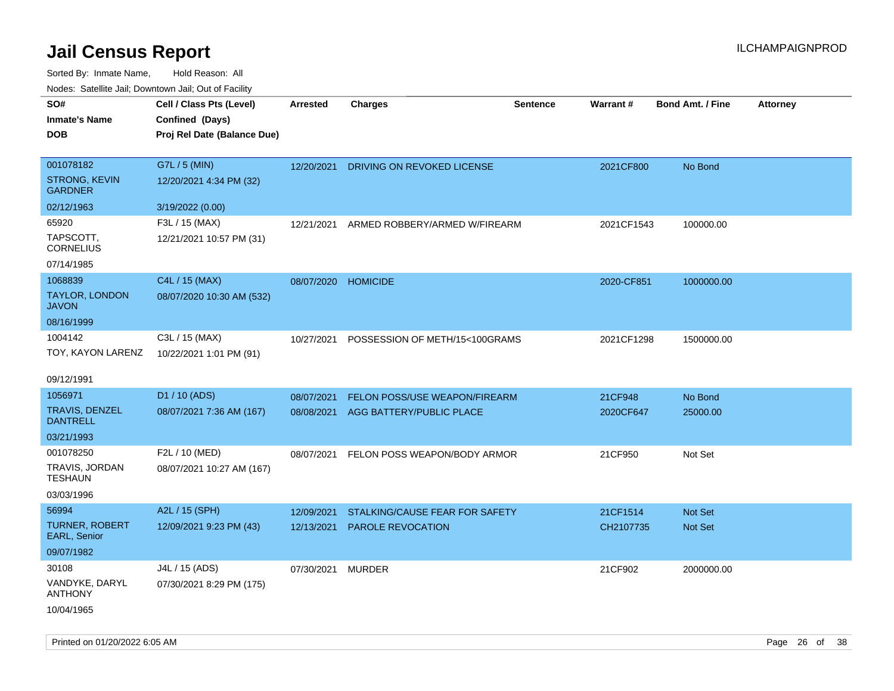| roaco. Calcinio dan, Downtown dan, Cal or Fability |                             |                     |                                       |                 |                 |                         |                 |
|----------------------------------------------------|-----------------------------|---------------------|---------------------------------------|-----------------|-----------------|-------------------------|-----------------|
| SO#                                                | Cell / Class Pts (Level)    | Arrested            | <b>Charges</b>                        | <b>Sentence</b> | <b>Warrant#</b> | <b>Bond Amt. / Fine</b> | <b>Attorney</b> |
| Inmate's Name                                      | Confined (Days)             |                     |                                       |                 |                 |                         |                 |
| <b>DOB</b>                                         | Proj Rel Date (Balance Due) |                     |                                       |                 |                 |                         |                 |
|                                                    |                             |                     |                                       |                 |                 |                         |                 |
| 001078182                                          | G7L / 5 (MIN)               |                     | 12/20/2021 DRIVING ON REVOKED LICENSE |                 | 2021CF800       | No Bond                 |                 |
| <b>STRONG, KEVIN</b><br><b>GARDNER</b>             | 12/20/2021 4:34 PM (32)     |                     |                                       |                 |                 |                         |                 |
| 02/12/1963                                         | 3/19/2022 (0.00)            |                     |                                       |                 |                 |                         |                 |
| 65920                                              | F3L / 15 (MAX)              | 12/21/2021          | ARMED ROBBERY/ARMED W/FIREARM         |                 | 2021CF1543      | 100000.00               |                 |
| TAPSCOTT.<br><b>CORNELIUS</b>                      | 12/21/2021 10:57 PM (31)    |                     |                                       |                 |                 |                         |                 |
| 07/14/1985                                         |                             |                     |                                       |                 |                 |                         |                 |
| 1068839                                            | C4L / 15 (MAX)              | 08/07/2020 HOMICIDE |                                       |                 | 2020-CF851      | 1000000.00              |                 |
| TAYLOR, LONDON<br>JAVON                            | 08/07/2020 10:30 AM (532)   |                     |                                       |                 |                 |                         |                 |
| 08/16/1999                                         |                             |                     |                                       |                 |                 |                         |                 |
| 1004142                                            | C3L / 15 (MAX)              | 10/27/2021          | POSSESSION OF METH/15<100GRAMS        |                 | 2021CF1298      | 1500000.00              |                 |
| TOY, KAYON LARENZ                                  | 10/22/2021 1:01 PM (91)     |                     |                                       |                 |                 |                         |                 |
|                                                    |                             |                     |                                       |                 |                 |                         |                 |
| 09/12/1991                                         |                             |                     |                                       |                 |                 |                         |                 |
| 1056971                                            | D1 / 10 (ADS)               | 08/07/2021          | FELON POSS/USE WEAPON/FIREARM         |                 | 21CF948         | No Bond                 |                 |
| TRAVIS, DENZEL<br><b>DANTRELL</b>                  | 08/07/2021 7:36 AM (167)    | 08/08/2021          | AGG BATTERY/PUBLIC PLACE              |                 | 2020CF647       | 25000.00                |                 |
| 03/21/1993                                         |                             |                     |                                       |                 |                 |                         |                 |
| 001078250                                          | F2L / 10 (MED)              | 08/07/2021          | FELON POSS WEAPON/BODY ARMOR          |                 | 21CF950         | Not Set                 |                 |
| TRAVIS, JORDAN<br>TESHAUN                          | 08/07/2021 10:27 AM (167)   |                     |                                       |                 |                 |                         |                 |
| 03/03/1996                                         |                             |                     |                                       |                 |                 |                         |                 |
| 56994                                              | A2L / 15 (SPH)              | 12/09/2021          | STALKING/CAUSE FEAR FOR SAFETY        |                 | 21CF1514        | <b>Not Set</b>          |                 |
| <b>TURNER, ROBERT</b><br>EARL, Senior              | 12/09/2021 9:23 PM (43)     | 12/13/2021          | <b>PAROLE REVOCATION</b>              |                 | CH2107735       | <b>Not Set</b>          |                 |
| 09/07/1982                                         |                             |                     |                                       |                 |                 |                         |                 |
| 30108                                              | J4L / 15 (ADS)              | 07/30/2021          | MURDER                                |                 | 21CF902         | 2000000.00              |                 |
| VANDYKE, DARYL<br>ANTHONY                          | 07/30/2021 8:29 PM (175)    |                     |                                       |                 |                 |                         |                 |
| 10/04/1965                                         |                             |                     |                                       |                 |                 |                         |                 |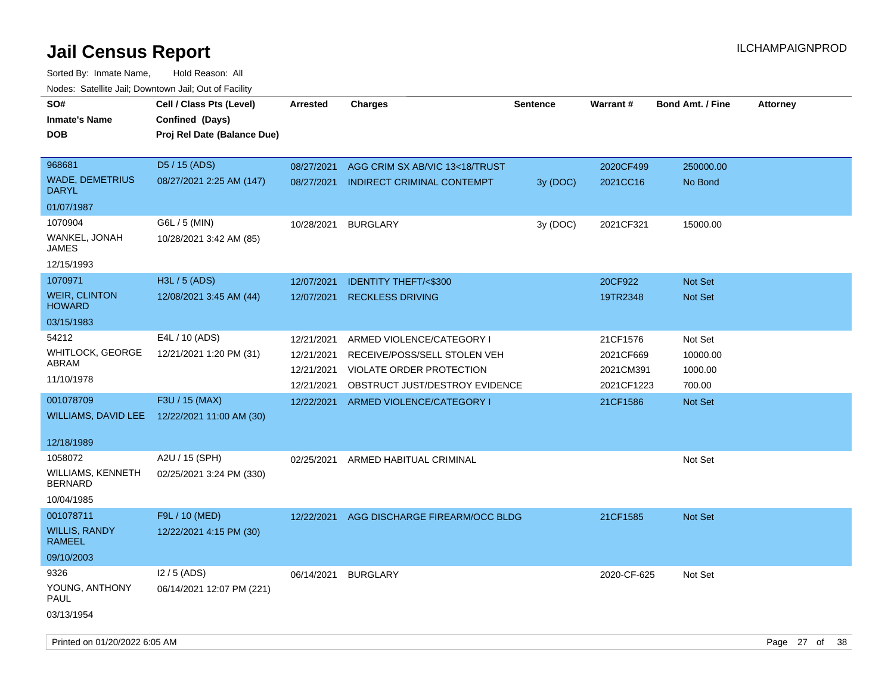| roacs. Catellite Jall, Downtown Jall, Out of Facility |                             |                 |                                   |                 |             |                  |                 |
|-------------------------------------------------------|-----------------------------|-----------------|-----------------------------------|-----------------|-------------|------------------|-----------------|
| SO#                                                   | Cell / Class Pts (Level)    | <b>Arrested</b> | <b>Charges</b>                    | <b>Sentence</b> | Warrant#    | Bond Amt. / Fine | <b>Attorney</b> |
| <b>Inmate's Name</b>                                  | Confined (Days)             |                 |                                   |                 |             |                  |                 |
| <b>DOB</b>                                            | Proj Rel Date (Balance Due) |                 |                                   |                 |             |                  |                 |
|                                                       |                             |                 |                                   |                 |             |                  |                 |
| 968681                                                | D5 / 15 (ADS)               | 08/27/2021      | AGG CRIM SX AB/VIC 13<18/TRUST    |                 | 2020CF499   | 250000.00        |                 |
| <b>WADE, DEMETRIUS</b><br><b>DARYL</b>                | 08/27/2021 2:25 AM (147)    | 08/27/2021      | <b>INDIRECT CRIMINAL CONTEMPT</b> | 3y (DOC)        | 2021CC16    | No Bond          |                 |
| 01/07/1987                                            |                             |                 |                                   |                 |             |                  |                 |
| 1070904                                               | G6L / 5 (MIN)               | 10/28/2021      | <b>BURGLARY</b>                   | 3y (DOC)        | 2021CF321   | 15000.00         |                 |
| WANKEL, JONAH<br>JAMES                                | 10/28/2021 3:42 AM (85)     |                 |                                   |                 |             |                  |                 |
| 12/15/1993                                            |                             |                 |                                   |                 |             |                  |                 |
| 1070971                                               | H3L / 5 (ADS)               | 12/07/2021      | <b>IDENTITY THEFT/&lt;\$300</b>   |                 | 20CF922     | Not Set          |                 |
| <b>WEIR, CLINTON</b><br><b>HOWARD</b>                 | 12/08/2021 3:45 AM (44)     | 12/07/2021      | <b>RECKLESS DRIVING</b>           |                 | 19TR2348    | <b>Not Set</b>   |                 |
| 03/15/1983                                            |                             |                 |                                   |                 |             |                  |                 |
| 54212                                                 | E4L / 10 (ADS)              | 12/21/2021      | ARMED VIOLENCE/CATEGORY I         |                 | 21CF1576    | Not Set          |                 |
| <b>WHITLOCK, GEORGE</b>                               | 12/21/2021 1:20 PM (31)     | 12/21/2021      | RECEIVE/POSS/SELL STOLEN VEH      |                 | 2021CF669   | 10000.00         |                 |
| ABRAM                                                 |                             | 12/21/2021      | VIOLATE ORDER PROTECTION          |                 | 2021CM391   | 1000.00          |                 |
| 11/10/1978                                            |                             | 12/21/2021      | OBSTRUCT JUST/DESTROY EVIDENCE    |                 | 2021CF1223  | 700.00           |                 |
| 001078709                                             | F3U / 15 (MAX)              | 12/22/2021      | ARMED VIOLENCE/CATEGORY I         |                 | 21CF1586    | Not Set          |                 |
| WILLIAMS, DAVID LEE                                   | 12/22/2021 11:00 AM (30)    |                 |                                   |                 |             |                  |                 |
|                                                       |                             |                 |                                   |                 |             |                  |                 |
| 12/18/1989                                            |                             |                 |                                   |                 |             |                  |                 |
| 1058072                                               | A2U / 15 (SPH)              | 02/25/2021      | ARMED HABITUAL CRIMINAL           |                 |             | Not Set          |                 |
| <b>WILLIAMS, KENNETH</b><br><b>BERNARD</b>            | 02/25/2021 3:24 PM (330)    |                 |                                   |                 |             |                  |                 |
| 10/04/1985                                            |                             |                 |                                   |                 |             |                  |                 |
| 001078711                                             | F9L / 10 (MED)              | 12/22/2021      | AGG DISCHARGE FIREARM/OCC BLDG    |                 | 21CF1585    | <b>Not Set</b>   |                 |
| <b>WILLIS, RANDY</b><br>RAMEEL                        | 12/22/2021 4:15 PM (30)     |                 |                                   |                 |             |                  |                 |
| 09/10/2003                                            |                             |                 |                                   |                 |             |                  |                 |
| 9326                                                  | $12/5$ (ADS)                | 06/14/2021      | <b>BURGLARY</b>                   |                 | 2020-CF-625 | Not Set          |                 |
| YOUNG, ANTHONY<br><b>PAUL</b>                         | 06/14/2021 12:07 PM (221)   |                 |                                   |                 |             |                  |                 |
| 03/13/1954                                            |                             |                 |                                   |                 |             |                  |                 |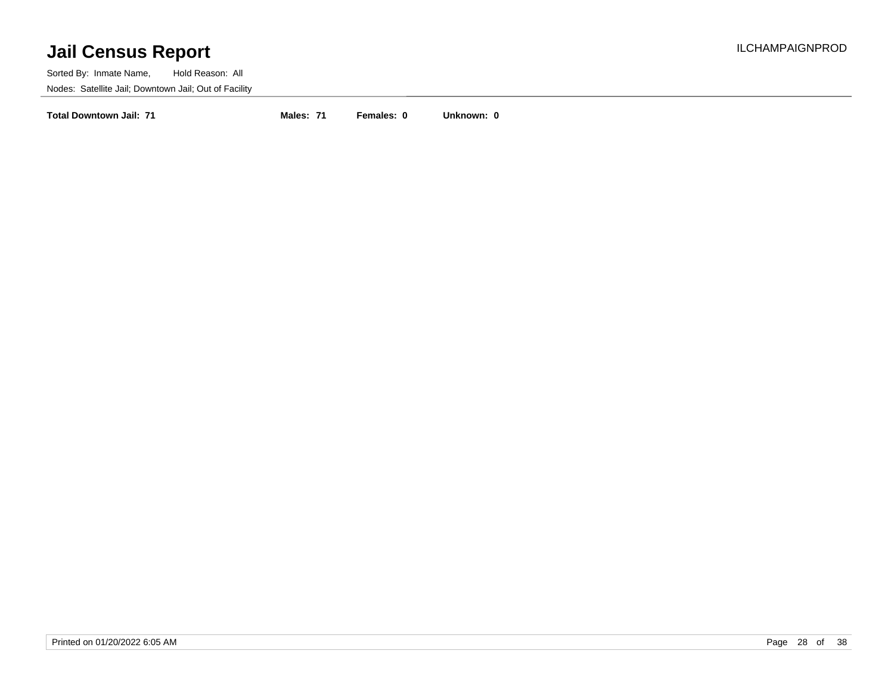Sorted By: Inmate Name, Hold Reason: All Nodes: Satellite Jail; Downtown Jail; Out of Facility

**Total Downtown Jail: 71 Males: 71 Females: 0 Unknown: 0**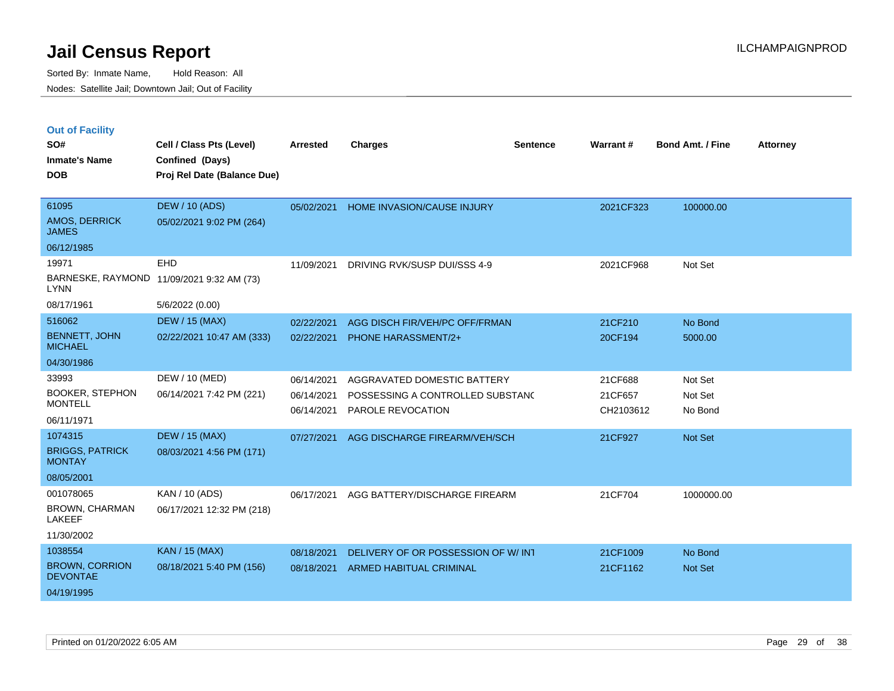|  | <b>Out of Facility</b> |  |
|--|------------------------|--|

| SO#<br><b>Inmate's Name</b><br><b>DOB</b> | Cell / Class Pts (Level)<br>Confined (Days)<br>Proj Rel Date (Balance Due) | <b>Arrested</b> | <b>Charges</b>                     | <b>Sentence</b> | Warrant#  | Bond Amt. / Fine | <b>Attorney</b> |
|-------------------------------------------|----------------------------------------------------------------------------|-----------------|------------------------------------|-----------------|-----------|------------------|-----------------|
| 61095<br>AMOS, DERRICK<br><b>JAMES</b>    | <b>DEW / 10 (ADS)</b><br>05/02/2021 9:02 PM (264)                          | 05/02/2021      | <b>HOME INVASION/CAUSE INJURY</b>  |                 | 2021CF323 | 100000.00        |                 |
| 06/12/1985                                |                                                                            |                 |                                    |                 |           |                  |                 |
| 19971                                     | <b>EHD</b>                                                                 | 11/09/2021      | DRIVING RVK/SUSP DUI/SSS 4-9       |                 | 2021CF968 | Not Set          |                 |
| <b>LYNN</b>                               | BARNESKE, RAYMOND 11/09/2021 9:32 AM (73)                                  |                 |                                    |                 |           |                  |                 |
| 08/17/1961                                | 5/6/2022 (0.00)                                                            |                 |                                    |                 |           |                  |                 |
| 516062                                    | <b>DEW / 15 (MAX)</b>                                                      | 02/22/2021      | AGG DISCH FIR/VEH/PC OFF/FRMAN     |                 | 21CF210   | No Bond          |                 |
| <b>BENNETT, JOHN</b><br><b>MICHAEL</b>    | 02/22/2021 10:47 AM (333)                                                  | 02/22/2021      | PHONE HARASSMENT/2+                |                 | 20CF194   | 5000.00          |                 |
| 04/30/1986                                |                                                                            |                 |                                    |                 |           |                  |                 |
| 33993                                     | DEW / 10 (MED)                                                             | 06/14/2021      | AGGRAVATED DOMESTIC BATTERY        |                 | 21CF688   | Not Set          |                 |
| <b>BOOKER, STEPHON</b>                    | 06/14/2021 7:42 PM (221)                                                   | 06/14/2021      | POSSESSING A CONTROLLED SUBSTANC   |                 | 21CF657   | Not Set          |                 |
| <b>MONTELL</b>                            |                                                                            | 06/14/2021      | <b>PAROLE REVOCATION</b>           |                 | CH2103612 | No Bond          |                 |
| 06/11/1971                                |                                                                            |                 |                                    |                 |           |                  |                 |
| 1074315                                   | <b>DEW / 15 (MAX)</b>                                                      | 07/27/2021      | AGG DISCHARGE FIREARM/VEH/SCH      |                 | 21CF927   | Not Set          |                 |
| <b>BRIGGS, PATRICK</b><br><b>MONTAY</b>   | 08/03/2021 4:56 PM (171)                                                   |                 |                                    |                 |           |                  |                 |
| 08/05/2001                                |                                                                            |                 |                                    |                 |           |                  |                 |
| 001078065                                 | KAN / 10 (ADS)                                                             | 06/17/2021      | AGG BATTERY/DISCHARGE FIREARM      |                 | 21CF704   | 1000000.00       |                 |
| BROWN, CHARMAN<br><b>LAKEEF</b>           | 06/17/2021 12:32 PM (218)                                                  |                 |                                    |                 |           |                  |                 |
| 11/30/2002                                |                                                                            |                 |                                    |                 |           |                  |                 |
| 1038554                                   | KAN / 15 (MAX)                                                             | 08/18/2021      | DELIVERY OF OR POSSESSION OF W/INT |                 | 21CF1009  | No Bond          |                 |
| <b>BROWN, CORRION</b><br><b>DEVONTAE</b>  | 08/18/2021 5:40 PM (156)                                                   | 08/18/2021      | ARMED HABITUAL CRIMINAL            |                 | 21CF1162  | Not Set          |                 |
| 04/19/1995                                |                                                                            |                 |                                    |                 |           |                  |                 |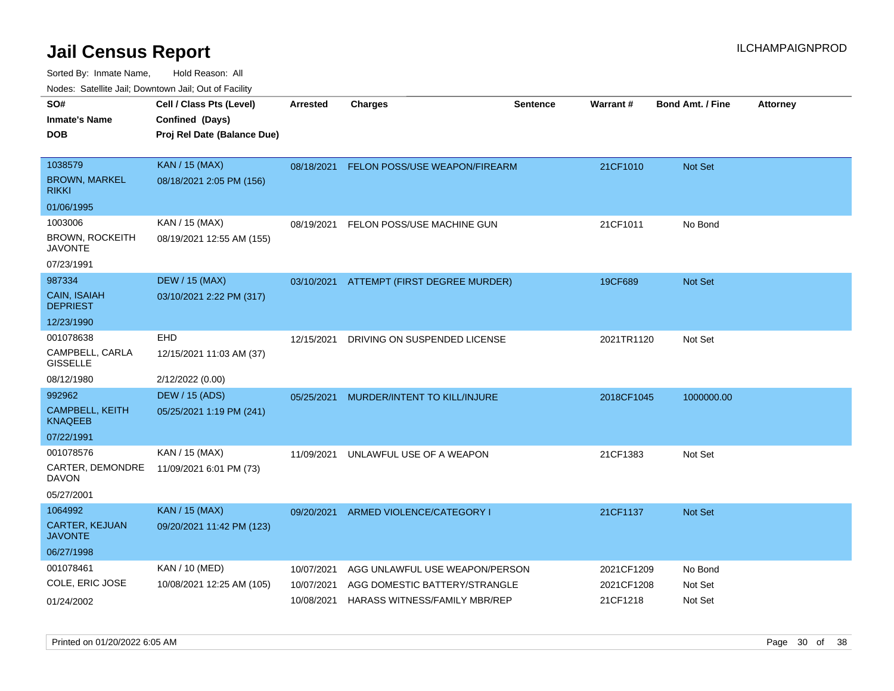| ivouss. Satellite Jali, Downtown Jali, Out of Facility |                             |                 |                                          |                 |            |                         |                 |
|--------------------------------------------------------|-----------------------------|-----------------|------------------------------------------|-----------------|------------|-------------------------|-----------------|
| SO#                                                    | Cell / Class Pts (Level)    | <b>Arrested</b> | <b>Charges</b>                           | <b>Sentence</b> | Warrant#   | <b>Bond Amt. / Fine</b> | <b>Attorney</b> |
| Inmate's Name                                          | Confined (Days)             |                 |                                          |                 |            |                         |                 |
| DOB                                                    | Proj Rel Date (Balance Due) |                 |                                          |                 |            |                         |                 |
|                                                        |                             |                 |                                          |                 |            |                         |                 |
| 1038579                                                | <b>KAN / 15 (MAX)</b>       | 08/18/2021      | FELON POSS/USE WEAPON/FIREARM            |                 | 21CF1010   | <b>Not Set</b>          |                 |
| BROWN, MARKEL<br>rikki                                 | 08/18/2021 2:05 PM (156)    |                 |                                          |                 |            |                         |                 |
| 01/06/1995                                             |                             |                 |                                          |                 |            |                         |                 |
| 1003006                                                | KAN / 15 (MAX)              | 08/19/2021      | FELON POSS/USE MACHINE GUN               |                 | 21CF1011   | No Bond                 |                 |
| BROWN, ROCKEITH<br><b>JAVONTE</b>                      | 08/19/2021 12:55 AM (155)   |                 |                                          |                 |            |                         |                 |
| 07/23/1991                                             |                             |                 |                                          |                 |            |                         |                 |
| 987334                                                 | <b>DEW / 15 (MAX)</b>       |                 | 03/10/2021 ATTEMPT (FIRST DEGREE MURDER) |                 | 19CF689    | <b>Not Set</b>          |                 |
| <b>CAIN, ISAIAH</b><br><b>DEPRIEST</b>                 | 03/10/2021 2:22 PM (317)    |                 |                                          |                 |            |                         |                 |
| 12/23/1990                                             |                             |                 |                                          |                 |            |                         |                 |
| 001078638                                              | <b>EHD</b>                  | 12/15/2021      | DRIVING ON SUSPENDED LICENSE             |                 | 2021TR1120 | Not Set                 |                 |
| CAMPBELL, CARLA<br>GISSELLE                            | 12/15/2021 11:03 AM (37)    |                 |                                          |                 |            |                         |                 |
| 08/12/1980                                             | 2/12/2022 (0.00)            |                 |                                          |                 |            |                         |                 |
| 992962                                                 | <b>DEW / 15 (ADS)</b>       | 05/25/2021      | MURDER/INTENT TO KILL/INJURE             |                 | 2018CF1045 | 1000000.00              |                 |
| CAMPBELL, KEITH<br>KNAQEEB                             | 05/25/2021 1:19 PM (241)    |                 |                                          |                 |            |                         |                 |
| 07/22/1991                                             |                             |                 |                                          |                 |            |                         |                 |
| 001078576                                              | KAN / 15 (MAX)              | 11/09/2021      | UNLAWFUL USE OF A WEAPON                 |                 | 21CF1383   | Not Set                 |                 |
| CARTER, DEMONDRE<br>DAVON                              | 11/09/2021 6:01 PM (73)     |                 |                                          |                 |            |                         |                 |
| 05/27/2001                                             |                             |                 |                                          |                 |            |                         |                 |
| 1064992                                                | <b>KAN / 15 (MAX)</b>       | 09/20/2021      | ARMED VIOLENCE/CATEGORY I                |                 | 21CF1137   | Not Set                 |                 |
| CARTER, KEJUAN<br>JAVONTE                              | 09/20/2021 11:42 PM (123)   |                 |                                          |                 |            |                         |                 |
| 06/27/1998                                             |                             |                 |                                          |                 |            |                         |                 |
| 001078461                                              | KAN / 10 (MED)              | 10/07/2021      | AGG UNLAWFUL USE WEAPON/PERSON           |                 | 2021CF1209 | No Bond                 |                 |
| COLE, ERIC JOSE                                        | 10/08/2021 12:25 AM (105)   | 10/07/2021      | AGG DOMESTIC BATTERY/STRANGLE            |                 | 2021CF1208 | Not Set                 |                 |
| 01/24/2002                                             |                             | 10/08/2021      | HARASS WITNESS/FAMILY MBR/REP            |                 | 21CF1218   | Not Set                 |                 |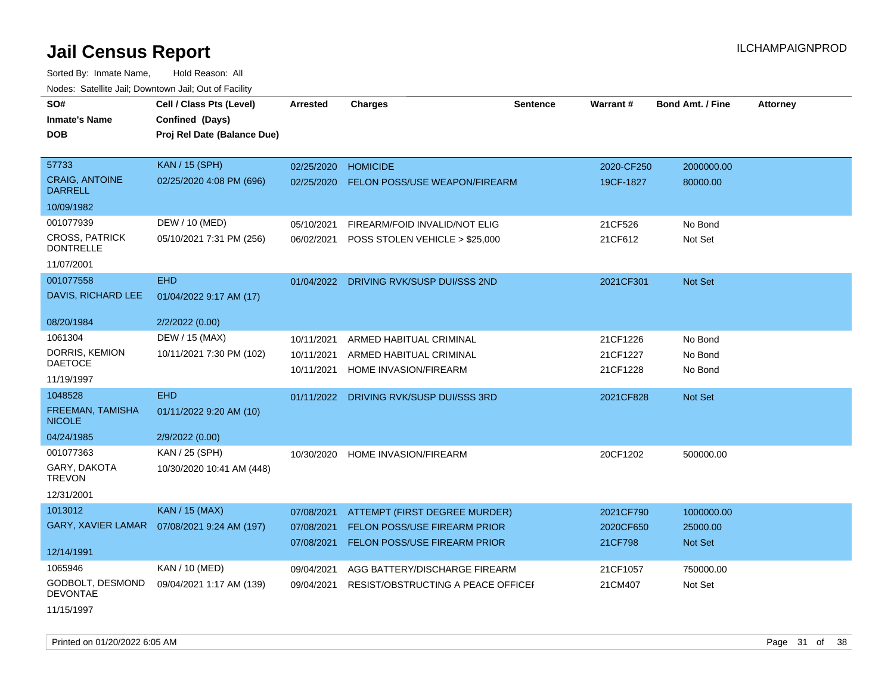Sorted By: Inmate Name, Hold Reason: All Nodes: Satellite Jail; Downtown Jail; Out of Facility

| voues. Saleline Jali, Downtown Jali, Out of Facility |                                              |                 |                                         |                 |            |                         |                 |
|------------------------------------------------------|----------------------------------------------|-----------------|-----------------------------------------|-----------------|------------|-------------------------|-----------------|
| SO#                                                  | Cell / Class Pts (Level)                     | <b>Arrested</b> | <b>Charges</b>                          | <b>Sentence</b> | Warrant#   | <b>Bond Amt. / Fine</b> | <b>Attorney</b> |
| <b>Inmate's Name</b>                                 | Confined (Days)                              |                 |                                         |                 |            |                         |                 |
| <b>DOB</b>                                           | Proj Rel Date (Balance Due)                  |                 |                                         |                 |            |                         |                 |
|                                                      |                                              |                 |                                         |                 |            |                         |                 |
| 57733                                                | KAN / 15 (SPH)                               | 02/25/2020      | <b>HOMICIDE</b>                         |                 | 2020-CF250 | 2000000.00              |                 |
| <b>CRAIG, ANTOINE</b><br><b>DARRELL</b>              | 02/25/2020 4:08 PM (696)                     | 02/25/2020      | <b>FELON POSS/USE WEAPON/FIREARM</b>    |                 | 19CF-1827  | 80000.00                |                 |
| 10/09/1982                                           |                                              |                 |                                         |                 |            |                         |                 |
| 001077939                                            | DEW / 10 (MED)                               | 05/10/2021      | FIREARM/FOID INVALID/NOT ELIG           |                 | 21CF526    | No Bond                 |                 |
| <b>CROSS, PATRICK</b><br><b>DONTRELLE</b>            | 05/10/2021 7:31 PM (256)                     | 06/02/2021      | POSS STOLEN VEHICLE > \$25,000          |                 | 21CF612    | Not Set                 |                 |
| 11/07/2001                                           |                                              |                 |                                         |                 |            |                         |                 |
| 001077558                                            | <b>EHD</b>                                   |                 | 01/04/2022 DRIVING RVK/SUSP DUI/SSS 2ND |                 | 2021CF301  | <b>Not Set</b>          |                 |
| DAVIS, RICHARD LEE                                   | 01/04/2022 9:17 AM (17)                      |                 |                                         |                 |            |                         |                 |
|                                                      |                                              |                 |                                         |                 |            |                         |                 |
| 08/20/1984                                           | 2/2/2022 (0.00)                              |                 |                                         |                 |            |                         |                 |
| 1061304                                              | DEW / 15 (MAX)                               | 10/11/2021      | ARMED HABITUAL CRIMINAL                 |                 | 21CF1226   | No Bond                 |                 |
| DORRIS, KEMION<br>DAETOCE                            | 10/11/2021 7:30 PM (102)                     | 10/11/2021      | ARMED HABITUAL CRIMINAL                 |                 | 21CF1227   | No Bond                 |                 |
|                                                      |                                              | 10/11/2021      | <b>HOME INVASION/FIREARM</b>            |                 | 21CF1228   | No Bond                 |                 |
| 11/19/1997                                           |                                              |                 |                                         |                 |            |                         |                 |
| 1048528                                              | <b>EHD</b>                                   | 01/11/2022      | DRIVING RVK/SUSP DUI/SSS 3RD            |                 | 2021CF828  | <b>Not Set</b>          |                 |
| <b>FREEMAN, TAMISHA</b><br><b>NICOLE</b>             | 01/11/2022 9:20 AM (10)                      |                 |                                         |                 |            |                         |                 |
| 04/24/1985                                           | 2/9/2022 (0.00)                              |                 |                                         |                 |            |                         |                 |
| 001077363                                            | KAN / 25 (SPH)                               | 10/30/2020      | HOME INVASION/FIREARM                   |                 | 20CF1202   | 500000.00               |                 |
| GARY, DAKOTA<br><b>TREVON</b>                        | 10/30/2020 10:41 AM (448)                    |                 |                                         |                 |            |                         |                 |
| 12/31/2001                                           |                                              |                 |                                         |                 |            |                         |                 |
| 1013012                                              | <b>KAN / 15 (MAX)</b>                        | 07/08/2021      | <b>ATTEMPT (FIRST DEGREE MURDER)</b>    |                 | 2021CF790  | 1000000.00              |                 |
|                                                      | GARY, XAVIER LAMAR  07/08/2021 9:24 AM (197) | 07/08/2021      | <b>FELON POSS/USE FIREARM PRIOR</b>     |                 | 2020CF650  | 25000.00                |                 |
|                                                      |                                              | 07/08/2021      | FELON POSS/USE FIREARM PRIOR            |                 | 21CF798    | Not Set                 |                 |
| 12/14/1991                                           |                                              |                 |                                         |                 |            |                         |                 |
| 1065946                                              | KAN / 10 (MED)                               | 09/04/2021      | AGG BATTERY/DISCHARGE FIREARM           |                 | 21CF1057   | 750000.00               |                 |
| GODBOLT, DESMOND<br><b>DEVONTAE</b>                  | 09/04/2021 1:17 AM (139)                     | 09/04/2021      | RESIST/OBSTRUCTING A PEACE OFFICEF      |                 | 21CM407    | Not Set                 |                 |
|                                                      |                                              |                 |                                         |                 |            |                         |                 |

11/15/1997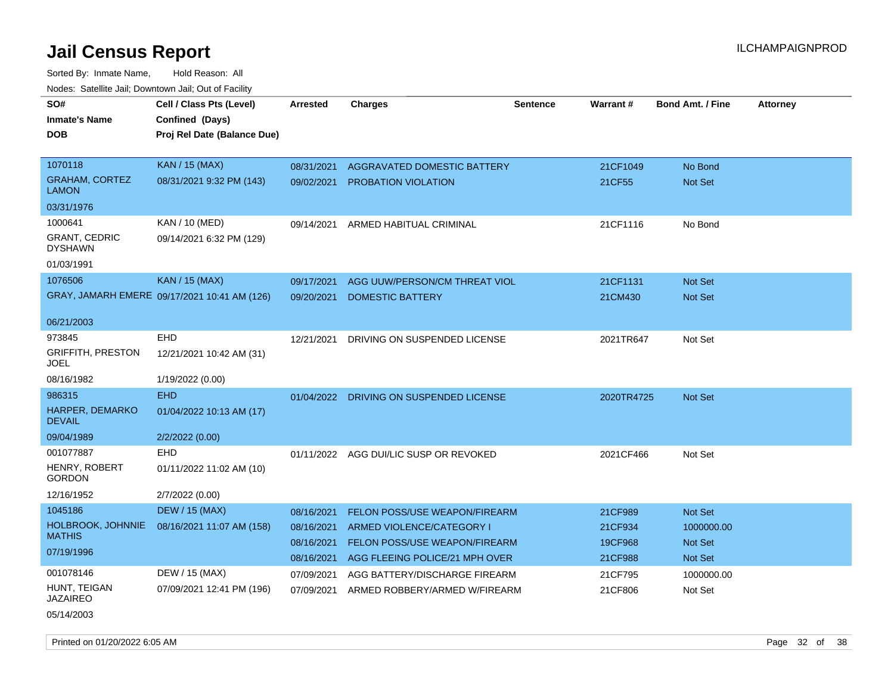| SO#                                    | Cell / Class Pts (Level)                     | Arrested   | <b>Charges</b>                          | <b>Sentence</b> | <b>Warrant#</b> | <b>Bond Amt. / Fine</b> | <b>Attorney</b> |
|----------------------------------------|----------------------------------------------|------------|-----------------------------------------|-----------------|-----------------|-------------------------|-----------------|
| <b>Inmate's Name</b>                   | Confined (Days)                              |            |                                         |                 |                 |                         |                 |
| <b>DOB</b>                             | Proj Rel Date (Balance Due)                  |            |                                         |                 |                 |                         |                 |
|                                        |                                              |            |                                         |                 |                 |                         |                 |
| 1070118                                | <b>KAN</b> / 15 (MAX)                        | 08/31/2021 | AGGRAVATED DOMESTIC BATTERY             |                 | 21CF1049        | No Bond                 |                 |
| <b>GRAHAM, CORTEZ</b><br><b>LAMON</b>  | 08/31/2021 9:32 PM (143)                     | 09/02/2021 | <b>PROBATION VIOLATION</b>              |                 | 21CF55          | Not Set                 |                 |
| 03/31/1976                             |                                              |            |                                         |                 |                 |                         |                 |
| 1000641                                | KAN / 10 (MED)                               | 09/14/2021 | ARMED HABITUAL CRIMINAL                 |                 | 21CF1116        | No Bond                 |                 |
| <b>GRANT, CEDRIC</b><br><b>DYSHAWN</b> | 09/14/2021 6:32 PM (129)                     |            |                                         |                 |                 |                         |                 |
| 01/03/1991                             |                                              |            |                                         |                 |                 |                         |                 |
| 1076506                                | KAN / 15 (MAX)                               | 09/17/2021 | AGG UUW/PERSON/CM THREAT VIOL           |                 | 21CF1131        | Not Set                 |                 |
|                                        | GRAY, JAMARH EMERE 09/17/2021 10:41 AM (126) | 09/20/2021 | <b>DOMESTIC BATTERY</b>                 |                 | 21CM430         | Not Set                 |                 |
|                                        |                                              |            |                                         |                 |                 |                         |                 |
| 06/21/2003                             |                                              |            |                                         |                 |                 |                         |                 |
| 973845                                 | <b>EHD</b>                                   | 12/21/2021 | DRIVING ON SUSPENDED LICENSE            |                 | 2021TR647       | Not Set                 |                 |
| <b>GRIFFITH, PRESTON</b><br>JOEL       | 12/21/2021 10:42 AM (31)                     |            |                                         |                 |                 |                         |                 |
| 08/16/1982                             | 1/19/2022 (0.00)                             |            |                                         |                 |                 |                         |                 |
| 986315                                 | <b>EHD</b>                                   |            | 01/04/2022 DRIVING ON SUSPENDED LICENSE |                 | 2020TR4725      | Not Set                 |                 |
| HARPER, DEMARKO<br><b>DEVAIL</b>       | 01/04/2022 10:13 AM (17)                     |            |                                         |                 |                 |                         |                 |
| 09/04/1989                             | 2/2/2022 (0.00)                              |            |                                         |                 |                 |                         |                 |
| 001077887                              | <b>EHD</b>                                   |            | 01/11/2022 AGG DUI/LIC SUSP OR REVOKED  |                 | 2021CF466       | Not Set                 |                 |
| HENRY, ROBERT<br><b>GORDON</b>         | 01/11/2022 11:02 AM (10)                     |            |                                         |                 |                 |                         |                 |
| 12/16/1952                             | 2/7/2022 (0.00)                              |            |                                         |                 |                 |                         |                 |
| 1045186                                | <b>DEW / 15 (MAX)</b>                        | 08/16/2021 | <b>FELON POSS/USE WEAPON/FIREARM</b>    |                 | 21CF989         | Not Set                 |                 |
| HOLBROOK, JOHNNIE                      | 08/16/2021 11:07 AM (158)                    | 08/16/2021 | <b>ARMED VIOLENCE/CATEGORY I</b>        |                 | 21CF934         | 1000000.00              |                 |
| <b>MATHIS</b>                          |                                              | 08/16/2021 | FELON POSS/USE WEAPON/FIREARM           |                 | 19CF968         | <b>Not Set</b>          |                 |
| 07/19/1996                             |                                              | 08/16/2021 | AGG FLEEING POLICE/21 MPH OVER          |                 | 21CF988         | Not Set                 |                 |
| 001078146                              | DEW / 15 (MAX)                               | 07/09/2021 | AGG BATTERY/DISCHARGE FIREARM           |                 | 21CF795         | 1000000.00              |                 |
| HUNT, TEIGAN<br><b>JAZAIREO</b>        | 07/09/2021 12:41 PM (196)                    | 07/09/2021 | ARMED ROBBERY/ARMED W/FIREARM           |                 | 21CF806         | Not Set                 |                 |
| 05/14/2003                             |                                              |            |                                         |                 |                 |                         |                 |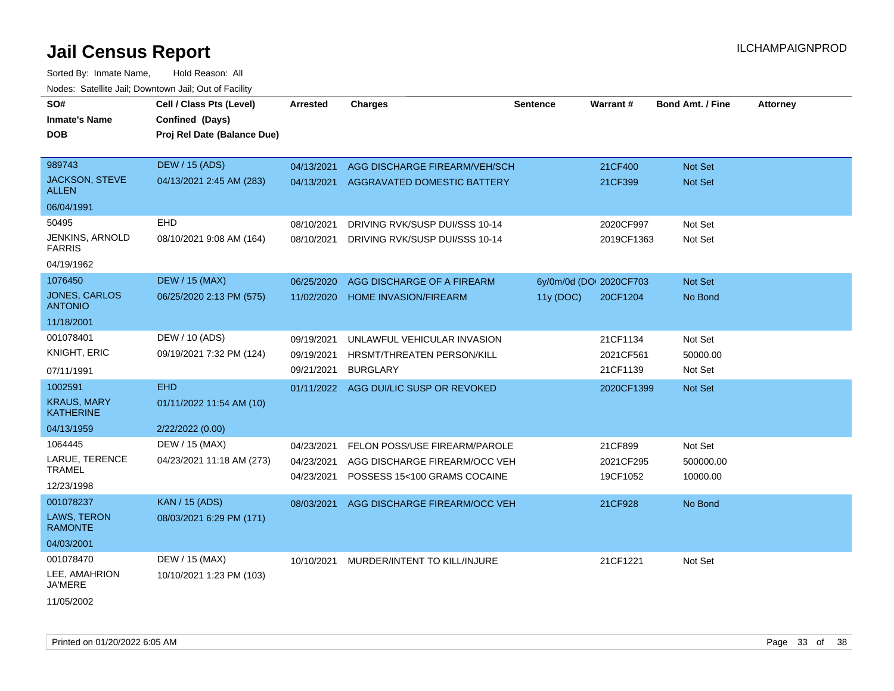Sorted By: Inmate Name, Hold Reason: All Nodes: Satellite Jail; Downtown Jail; Out of Facility

| SO#                                    | Cell / Class Pts (Level)    | <b>Arrested</b> | <b>Charges</b>                       | <b>Sentence</b> | <b>Warrant#</b>         | <b>Bond Amt. / Fine</b> | <b>Attorney</b> |
|----------------------------------------|-----------------------------|-----------------|--------------------------------------|-----------------|-------------------------|-------------------------|-----------------|
| <b>Inmate's Name</b>                   | Confined (Days)             |                 |                                      |                 |                         |                         |                 |
| <b>DOB</b>                             | Proj Rel Date (Balance Due) |                 |                                      |                 |                         |                         |                 |
|                                        |                             |                 |                                      |                 |                         |                         |                 |
| 989743                                 | <b>DEW / 15 (ADS)</b>       | 04/13/2021      | AGG DISCHARGE FIREARM/VEH/SCH        |                 | 21CF400                 | <b>Not Set</b>          |                 |
| <b>JACKSON, STEVE</b><br><b>ALLEN</b>  | 04/13/2021 2:45 AM (283)    | 04/13/2021      | AGGRAVATED DOMESTIC BATTERY          |                 | 21CF399                 | <b>Not Set</b>          |                 |
| 06/04/1991                             |                             |                 |                                      |                 |                         |                         |                 |
| 50495                                  | <b>EHD</b>                  | 08/10/2021      | DRIVING RVK/SUSP DUI/SSS 10-14       |                 | 2020CF997               | Not Set                 |                 |
| JENKINS, ARNOLD<br><b>FARRIS</b>       | 08/10/2021 9:08 AM (164)    | 08/10/2021      | DRIVING RVK/SUSP DUI/SSS 10-14       |                 | 2019CF1363              | Not Set                 |                 |
| 04/19/1962                             |                             |                 |                                      |                 |                         |                         |                 |
| 1076450                                | <b>DEW / 15 (MAX)</b>       | 06/25/2020      | AGG DISCHARGE OF A FIREARM           |                 | 6y/0m/0d (DOI 2020CF703 | Not Set                 |                 |
| <b>JONES, CARLOS</b><br><b>ANTONIO</b> | 06/25/2020 2:13 PM (575)    | 11/02/2020      | <b>HOME INVASION/FIREARM</b>         | 11y (DOC)       | 20CF1204                | No Bond                 |                 |
| 11/18/2001                             |                             |                 |                                      |                 |                         |                         |                 |
| 001078401                              | DEW / 10 (ADS)              | 09/19/2021      | UNLAWFUL VEHICULAR INVASION          |                 | 21CF1134                | Not Set                 |                 |
| KNIGHT, ERIC                           | 09/19/2021 7:32 PM (124)    | 09/19/2021      | HRSMT/THREATEN PERSON/KILL           |                 | 2021CF561               | 50000.00                |                 |
| 07/11/1991                             |                             | 09/21/2021      | <b>BURGLARY</b>                      |                 | 21CF1139                | Not Set                 |                 |
| 1002591                                | <b>EHD</b>                  | 01/11/2022      | AGG DUI/LIC SUSP OR REVOKED          |                 | 2020CF1399              | Not Set                 |                 |
| <b>KRAUS, MARY</b><br><b>KATHERINE</b> | 01/11/2022 11:54 AM (10)    |                 |                                      |                 |                         |                         |                 |
| 04/13/1959                             | 2/22/2022 (0.00)            |                 |                                      |                 |                         |                         |                 |
| 1064445                                | DEW / 15 (MAX)              | 04/23/2021      | <b>FELON POSS/USE FIREARM/PAROLE</b> |                 | 21CF899                 | Not Set                 |                 |
| LARUE, TERENCE                         | 04/23/2021 11:18 AM (273)   | 04/23/2021      | AGG DISCHARGE FIREARM/OCC VEH        |                 | 2021CF295               | 500000.00               |                 |
| <b>TRAMEL</b>                          |                             | 04/23/2021      | POSSESS 15<100 GRAMS COCAINE         |                 | 19CF1052                | 10000.00                |                 |
| 12/23/1998                             |                             |                 |                                      |                 |                         |                         |                 |
| 001078237                              | <b>KAN / 15 (ADS)</b>       | 08/03/2021      | AGG DISCHARGE FIREARM/OCC VEH        |                 | 21CF928                 | No Bond                 |                 |
| LAWS, TERON<br><b>RAMONTE</b>          | 08/03/2021 6:29 PM (171)    |                 |                                      |                 |                         |                         |                 |
| 04/03/2001                             |                             |                 |                                      |                 |                         |                         |                 |
| 001078470                              | DEW / 15 (MAX)              | 10/10/2021      | MURDER/INTENT TO KILL/INJURE         |                 | 21CF1221                | Not Set                 |                 |
| LEE, AMAHRION<br><b>JA'MERE</b>        | 10/10/2021 1:23 PM (103)    |                 |                                      |                 |                         |                         |                 |
| $1 + 1 = 1 = 1 = 1$                    |                             |                 |                                      |                 |                         |                         |                 |

11/05/2002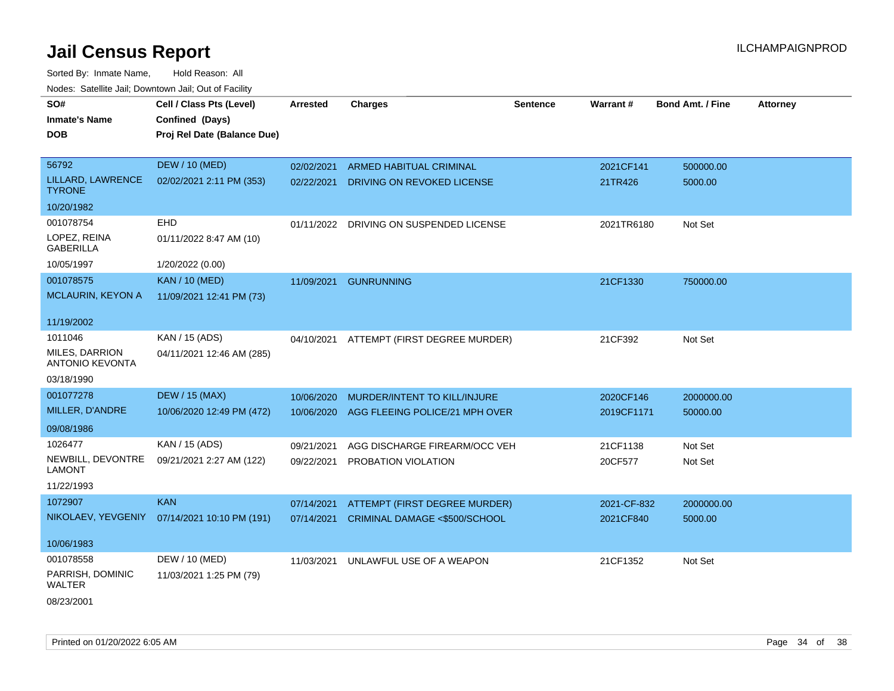| SO#                                             | Cell / Class Pts (Level)                     | <b>Arrested</b> | <b>Charges</b>                          | <b>Sentence</b> | Warrant#    | <b>Bond Amt. / Fine</b> | <b>Attorney</b> |
|-------------------------------------------------|----------------------------------------------|-----------------|-----------------------------------------|-----------------|-------------|-------------------------|-----------------|
| <b>Inmate's Name</b>                            | Confined (Days)                              |                 |                                         |                 |             |                         |                 |
| <b>DOB</b>                                      | Proj Rel Date (Balance Due)                  |                 |                                         |                 |             |                         |                 |
|                                                 |                                              |                 |                                         |                 |             |                         |                 |
| 56792                                           | <b>DEW / 10 (MED)</b>                        | 02/02/2021      | ARMED HABITUAL CRIMINAL                 |                 | 2021CF141   | 500000.00               |                 |
| LILLARD, LAWRENCE<br><b>TYRONE</b>              | 02/02/2021 2:11 PM (353)                     | 02/22/2021      | DRIVING ON REVOKED LICENSE              |                 | 21TR426     | 5000.00                 |                 |
| 10/20/1982                                      |                                              |                 |                                         |                 |             |                         |                 |
| 001078754                                       | <b>EHD</b>                                   |                 | 01/11/2022 DRIVING ON SUSPENDED LICENSE |                 | 2021TR6180  | Not Set                 |                 |
| LOPEZ, REINA<br><b>GABERILLA</b>                | 01/11/2022 8:47 AM (10)                      |                 |                                         |                 |             |                         |                 |
| 10/05/1997                                      | 1/20/2022 (0.00)                             |                 |                                         |                 |             |                         |                 |
| 001078575                                       | <b>KAN / 10 (MED)</b>                        | 11/09/2021      | <b>GUNRUNNING</b>                       |                 | 21CF1330    | 750000.00               |                 |
| <b>MCLAURIN, KEYON A</b>                        | 11/09/2021 12:41 PM (73)                     |                 |                                         |                 |             |                         |                 |
|                                                 |                                              |                 |                                         |                 |             |                         |                 |
| 11/19/2002                                      |                                              |                 |                                         |                 |             |                         |                 |
| 1011046                                         | KAN / 15 (ADS)                               | 04/10/2021      | ATTEMPT (FIRST DEGREE MURDER)           |                 | 21CF392     | Not Set                 |                 |
| <b>MILES, DARRION</b><br><b>ANTONIO KEVONTA</b> | 04/11/2021 12:46 AM (285)                    |                 |                                         |                 |             |                         |                 |
| 03/18/1990                                      |                                              |                 |                                         |                 |             |                         |                 |
| 001077278                                       | <b>DEW / 15 (MAX)</b>                        | 10/06/2020      | MURDER/INTENT TO KILL/INJURE            |                 | 2020CF146   | 2000000.00              |                 |
| MILLER, D'ANDRE                                 | 10/06/2020 12:49 PM (472)                    | 10/06/2020      | AGG FLEEING POLICE/21 MPH OVER          |                 | 2019CF1171  | 50000.00                |                 |
| 09/08/1986                                      |                                              |                 |                                         |                 |             |                         |                 |
| 1026477                                         | KAN / 15 (ADS)                               | 09/21/2021      | AGG DISCHARGE FIREARM/OCC VEH           |                 | 21CF1138    | Not Set                 |                 |
| NEWBILL, DEVONTRE<br><b>LAMONT</b>              | 09/21/2021 2:27 AM (122)                     | 09/22/2021      | PROBATION VIOLATION                     |                 | 20CF577     | Not Set                 |                 |
| 11/22/1993                                      |                                              |                 |                                         |                 |             |                         |                 |
| 1072907                                         | <b>KAN</b>                                   | 07/14/2021      | ATTEMPT (FIRST DEGREE MURDER)           |                 | 2021-CF-832 | 2000000.00              |                 |
|                                                 | NIKOLAEV, YEVGENIY 07/14/2021 10:10 PM (191) | 07/14/2021      | CRIMINAL DAMAGE <\$500/SCHOOL           |                 | 2021CF840   | 5000.00                 |                 |
| 10/06/1983                                      |                                              |                 |                                         |                 |             |                         |                 |
| 001078558                                       | DEW / 10 (MED)                               | 11/03/2021      | UNLAWFUL USE OF A WEAPON                |                 | 21CF1352    | Not Set                 |                 |
| PARRISH, DOMINIC<br>WALTER                      | 11/03/2021 1:25 PM (79)                      |                 |                                         |                 |             |                         |                 |
| 08/23/2001                                      |                                              |                 |                                         |                 |             |                         |                 |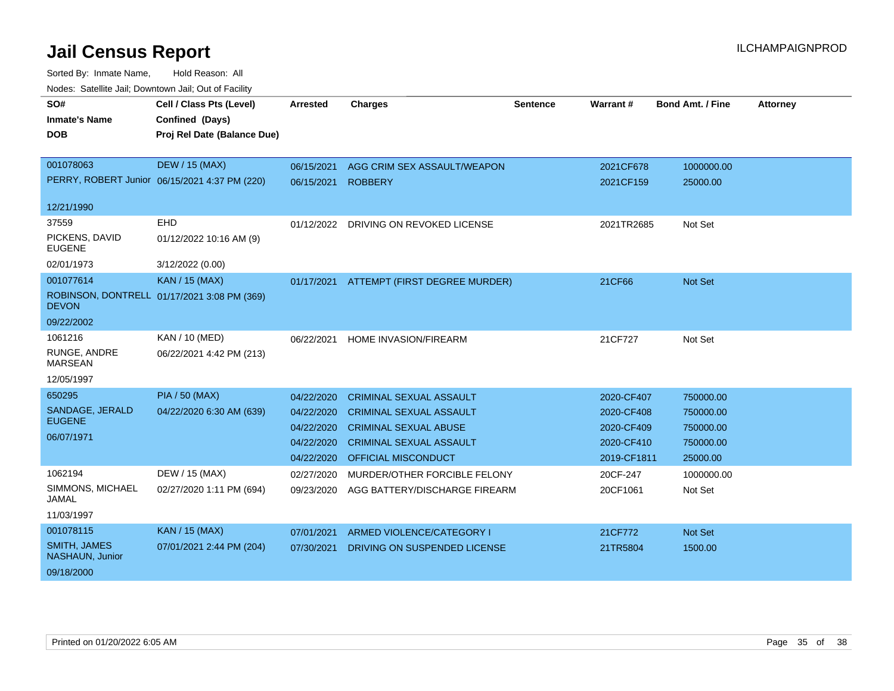| SO#                                    | Cell / Class Pts (Level)                      | <b>Arrested</b> | <b>Charges</b>                        | <b>Sentence</b> | Warrant#    | <b>Bond Amt. / Fine</b> | <b>Attorney</b> |
|----------------------------------------|-----------------------------------------------|-----------------|---------------------------------------|-----------------|-------------|-------------------------|-----------------|
| <b>Inmate's Name</b>                   | Confined (Days)                               |                 |                                       |                 |             |                         |                 |
| <b>DOB</b>                             | Proj Rel Date (Balance Due)                   |                 |                                       |                 |             |                         |                 |
|                                        |                                               |                 |                                       |                 |             |                         |                 |
| 001078063                              | <b>DEW / 15 (MAX)</b>                         | 06/15/2021      | AGG CRIM SEX ASSAULT/WEAPON           |                 | 2021CF678   | 1000000.00              |                 |
|                                        | PERRY, ROBERT Junior 06/15/2021 4:37 PM (220) | 06/15/2021      | <b>ROBBERY</b>                        |                 | 2021CF159   | 25000.00                |                 |
| 12/21/1990                             |                                               |                 |                                       |                 |             |                         |                 |
|                                        |                                               |                 |                                       |                 |             |                         |                 |
| 37559                                  | EHD                                           |                 | 01/12/2022 DRIVING ON REVOKED LICENSE |                 | 2021TR2685  | Not Set                 |                 |
| PICKENS, DAVID<br><b>EUGENE</b>        | 01/12/2022 10:16 AM (9)                       |                 |                                       |                 |             |                         |                 |
| 02/01/1973                             | 3/12/2022 (0.00)                              |                 |                                       |                 |             |                         |                 |
| 001077614                              | <b>KAN / 15 (MAX)</b>                         | 01/17/2021      | ATTEMPT (FIRST DEGREE MURDER)         |                 | 21CF66      | <b>Not Set</b>          |                 |
| <b>DEVON</b>                           | ROBINSON, DONTRELL 01/17/2021 3:08 PM (369)   |                 |                                       |                 |             |                         |                 |
| 09/22/2002                             |                                               |                 |                                       |                 |             |                         |                 |
| 1061216                                | KAN / 10 (MED)                                | 06/22/2021      | <b>HOME INVASION/FIREARM</b>          |                 | 21CF727     | Not Set                 |                 |
| RUNGE, ANDRE<br><b>MARSEAN</b>         | 06/22/2021 4:42 PM (213)                      |                 |                                       |                 |             |                         |                 |
| 12/05/1997                             |                                               |                 |                                       |                 |             |                         |                 |
| 650295                                 | <b>PIA / 50 (MAX)</b>                         | 04/22/2020      | <b>CRIMINAL SEXUAL ASSAULT</b>        |                 | 2020-CF407  | 750000.00               |                 |
| SANDAGE, JERALD                        | 04/22/2020 6:30 AM (639)                      | 04/22/2020      | <b>CRIMINAL SEXUAL ASSAULT</b>        |                 | 2020-CF408  | 750000.00               |                 |
| <b>EUGENE</b>                          |                                               | 04/22/2020      | <b>CRIMINAL SEXUAL ABUSE</b>          |                 | 2020-CF409  | 750000.00               |                 |
| 06/07/1971                             |                                               | 04/22/2020      | <b>CRIMINAL SEXUAL ASSAULT</b>        |                 | 2020-CF410  | 750000.00               |                 |
|                                        |                                               | 04/22/2020      | <b>OFFICIAL MISCONDUCT</b>            |                 | 2019-CF1811 | 25000.00                |                 |
| 1062194                                | DEW / 15 (MAX)                                | 02/27/2020      | MURDER/OTHER FORCIBLE FELONY          |                 | 20CF-247    | 1000000.00              |                 |
| SIMMONS, MICHAEL<br>JAMAL              | 02/27/2020 1:11 PM (694)                      | 09/23/2020      | AGG BATTERY/DISCHARGE FIREARM         |                 | 20CF1061    | Not Set                 |                 |
| 11/03/1997                             |                                               |                 |                                       |                 |             |                         |                 |
| 001078115                              | <b>KAN / 15 (MAX)</b>                         | 07/01/2021      | ARMED VIOLENCE/CATEGORY I             |                 | 21CF772     | Not Set                 |                 |
| <b>SMITH, JAMES</b><br>NASHAUN, Junior | 07/01/2021 2:44 PM (204)                      | 07/30/2021      | DRIVING ON SUSPENDED LICENSE          |                 | 21TR5804    | 1500.00                 |                 |
| 09/18/2000                             |                                               |                 |                                       |                 |             |                         |                 |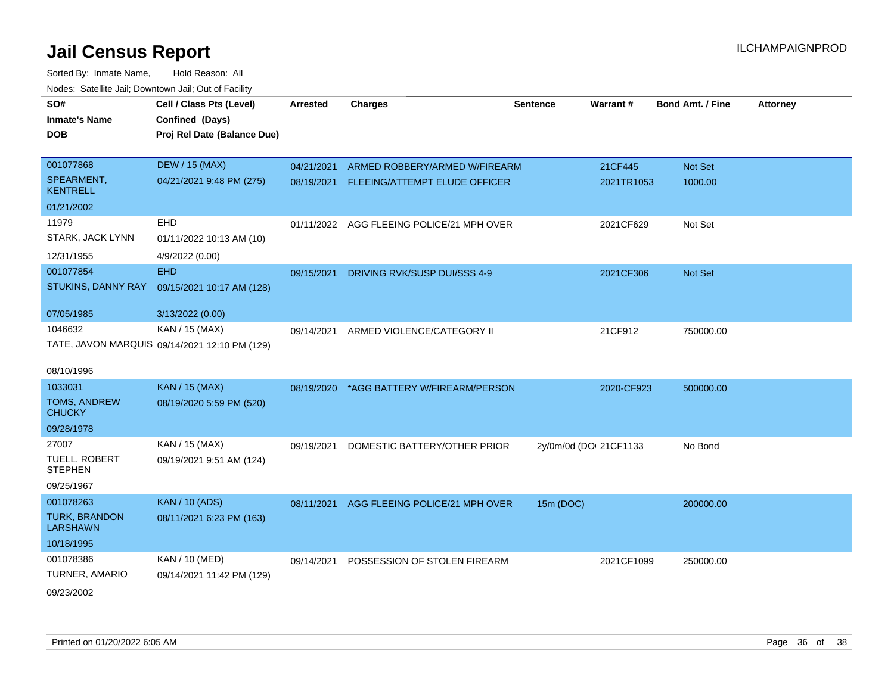| SO#                                     | Cell / Class Pts (Level)                      | <b>Arrested</b> | <b>Charges</b>                            | <b>Sentence</b>        | Warrant#   | <b>Bond Amt. / Fine</b> | <b>Attorney</b> |
|-----------------------------------------|-----------------------------------------------|-----------------|-------------------------------------------|------------------------|------------|-------------------------|-----------------|
| <b>Inmate's Name</b>                    | Confined (Days)                               |                 |                                           |                        |            |                         |                 |
| <b>DOB</b>                              | Proj Rel Date (Balance Due)                   |                 |                                           |                        |            |                         |                 |
|                                         |                                               |                 |                                           |                        |            |                         |                 |
| 001077868                               | <b>DEW / 15 (MAX)</b>                         | 04/21/2021      | ARMED ROBBERY/ARMED W/FIREARM             |                        | 21CF445    | Not Set                 |                 |
| SPEARMENT,<br><b>KENTRELL</b>           | 04/21/2021 9:48 PM (275)                      | 08/19/2021      | FLEEING/ATTEMPT ELUDE OFFICER             |                        | 2021TR1053 | 1000.00                 |                 |
| 01/21/2002                              |                                               |                 |                                           |                        |            |                         |                 |
| 11979                                   | EHD                                           |                 | 01/11/2022 AGG FLEEING POLICE/21 MPH OVER |                        | 2021CF629  | Not Set                 |                 |
| STARK, JACK LYNN                        | 01/11/2022 10:13 AM (10)                      |                 |                                           |                        |            |                         |                 |
| 12/31/1955                              | 4/9/2022 (0.00)                               |                 |                                           |                        |            |                         |                 |
| 001077854                               | <b>EHD</b>                                    | 09/15/2021      | DRIVING RVK/SUSP DUI/SSS 4-9              |                        | 2021CF306  | Not Set                 |                 |
| STUKINS, DANNY RAY                      | 09/15/2021 10:17 AM (128)                     |                 |                                           |                        |            |                         |                 |
| 07/05/1985                              | 3/13/2022 (0.00)                              |                 |                                           |                        |            |                         |                 |
| 1046632                                 | KAN / 15 (MAX)                                | 09/14/2021      | ARMED VIOLENCE/CATEGORY II                |                        | 21CF912    | 750000.00               |                 |
|                                         | TATE, JAVON MARQUIS 09/14/2021 12:10 PM (129) |                 |                                           |                        |            |                         |                 |
|                                         |                                               |                 |                                           |                        |            |                         |                 |
| 08/10/1996                              |                                               |                 |                                           |                        |            |                         |                 |
| 1033031                                 | <b>KAN / 15 (MAX)</b>                         | 08/19/2020      | *AGG BATTERY W/FIREARM/PERSON             |                        | 2020-CF923 | 500000.00               |                 |
| <b>TOMS, ANDREW</b><br><b>CHUCKY</b>    | 08/19/2020 5:59 PM (520)                      |                 |                                           |                        |            |                         |                 |
| 09/28/1978                              |                                               |                 |                                           |                        |            |                         |                 |
| 27007                                   | KAN / 15 (MAX)                                | 09/19/2021      | DOMESTIC BATTERY/OTHER PRIOR              | 2y/0m/0d (DOI 21CF1133 |            | No Bond                 |                 |
| TUELL, ROBERT<br><b>STEPHEN</b>         | 09/19/2021 9:51 AM (124)                      |                 |                                           |                        |            |                         |                 |
| 09/25/1967                              |                                               |                 |                                           |                        |            |                         |                 |
| 001078263                               | <b>KAN / 10 (ADS)</b>                         | 08/11/2021      | AGG FLEEING POLICE/21 MPH OVER            | 15m (DOC)              |            | 200000.00               |                 |
| <b>TURK, BRANDON</b><br><b>LARSHAWN</b> | 08/11/2021 6:23 PM (163)                      |                 |                                           |                        |            |                         |                 |
| 10/18/1995                              |                                               |                 |                                           |                        |            |                         |                 |
| 001078386                               | KAN / 10 (MED)                                | 09/14/2021      | POSSESSION OF STOLEN FIREARM              |                        | 2021CF1099 | 250000.00               |                 |
| TURNER, AMARIO                          | 09/14/2021 11:42 PM (129)                     |                 |                                           |                        |            |                         |                 |
| 09/23/2002                              |                                               |                 |                                           |                        |            |                         |                 |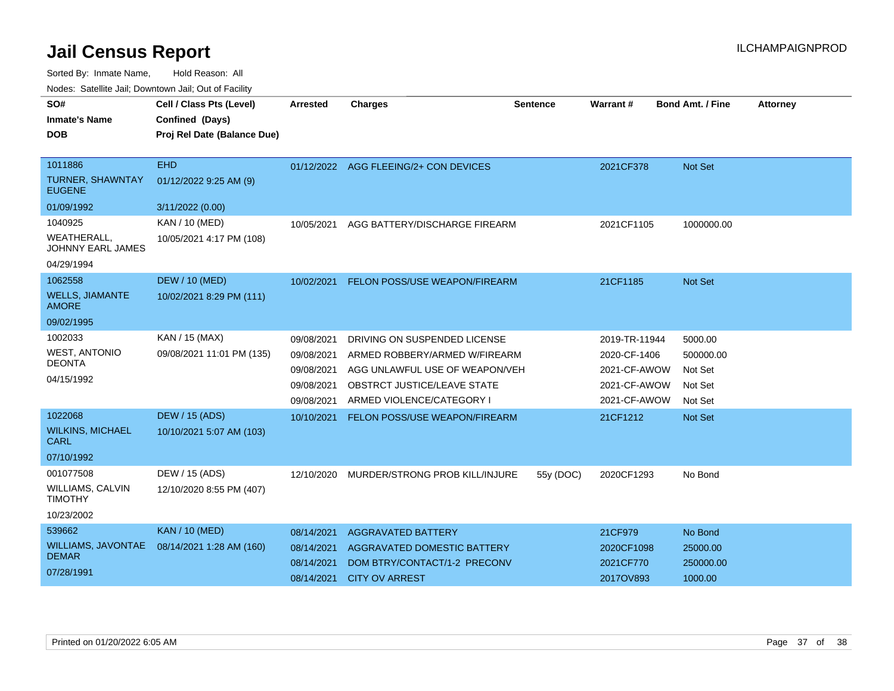Sorted By: Inmate Name, Hold Reason: All

|  |  |  | Nodes: Satellite Jail; Downtown Jail; Out of Facility |  |
|--|--|--|-------------------------------------------------------|--|
|--|--|--|-------------------------------------------------------|--|

| SO#<br><b>Inmate's Name</b><br><b>DOB</b>                                    | Cell / Class Pts (Level)<br>Confined (Days)<br>Proj Rel Date (Balance Due) | Arrested                                                           | <b>Charges</b>                                                                                                                                                     | <b>Sentence</b> | Warrant#                                                                      | <b>Bond Amt. / Fine</b>                               | <b>Attorney</b> |
|------------------------------------------------------------------------------|----------------------------------------------------------------------------|--------------------------------------------------------------------|--------------------------------------------------------------------------------------------------------------------------------------------------------------------|-----------------|-------------------------------------------------------------------------------|-------------------------------------------------------|-----------------|
| 1011886<br><b>TURNER, SHAWNTAY</b><br><b>EUGENE</b><br>01/09/1992<br>1040925 | <b>EHD</b><br>01/12/2022 9:25 AM (9)<br>3/11/2022 (0.00)<br>KAN / 10 (MED) | 10/05/2021                                                         | 01/12/2022 AGG FLEEING/2+ CON DEVICES<br>AGG BATTERY/DISCHARGE FIREARM                                                                                             |                 | 2021CF378<br>2021CF1105                                                       | Not Set<br>1000000.00                                 |                 |
| <b>WEATHERALL,</b><br><b>JOHNNY EARL JAMES</b><br>04/29/1994                 | 10/05/2021 4:17 PM (108)                                                   |                                                                    |                                                                                                                                                                    |                 |                                                                               |                                                       |                 |
| 1062558<br><b>WELLS, JIAMANTE</b><br><b>AMORE</b><br>09/02/1995              | <b>DEW / 10 (MED)</b><br>10/02/2021 8:29 PM (111)                          | 10/02/2021                                                         | FELON POSS/USE WEAPON/FIREARM                                                                                                                                      |                 | 21CF1185                                                                      | Not Set                                               |                 |
| 1002033<br><b>WEST, ANTONIO</b><br><b>DEONTA</b><br>04/15/1992               | KAN / 15 (MAX)<br>09/08/2021 11:01 PM (135)                                | 09/08/2021<br>09/08/2021<br>09/08/2021<br>09/08/2021<br>09/08/2021 | DRIVING ON SUSPENDED LICENSE<br>ARMED ROBBERY/ARMED W/FIREARM<br>AGG UNLAWFUL USE OF WEAPON/VEH<br><b>OBSTRCT JUSTICE/LEAVE STATE</b><br>ARMED VIOLENCE/CATEGORY I |                 | 2019-TR-11944<br>2020-CF-1406<br>2021-CF-AWOW<br>2021-CF-AWOW<br>2021-CF-AWOW | 5000.00<br>500000.00<br>Not Set<br>Not Set<br>Not Set |                 |
| 1022068<br><b>WILKINS, MICHAEL</b><br><b>CARL</b><br>07/10/1992              | <b>DEW / 15 (ADS)</b><br>10/10/2021 5:07 AM (103)                          | 10/10/2021                                                         | FELON POSS/USE WEAPON/FIREARM                                                                                                                                      |                 | 21CF1212                                                                      | <b>Not Set</b>                                        |                 |
| 001077508<br><b>WILLIAMS, CALVIN</b><br><b>TIMOTHY</b><br>10/23/2002         | DEW / 15 (ADS)<br>12/10/2020 8:55 PM (407)                                 | 12/10/2020                                                         | MURDER/STRONG PROB KILL/INJURE                                                                                                                                     | 55y (DOC)       | 2020CF1293                                                                    | No Bond                                               |                 |
| 539662<br><b>WILLIAMS, JAVONTAE</b><br><b>DEMAR</b><br>07/28/1991            | <b>KAN / 10 (MED)</b><br>08/14/2021 1:28 AM (160)                          | 08/14/2021<br>08/14/2021<br>08/14/2021<br>08/14/2021               | <b>AGGRAVATED BATTERY</b><br><b>AGGRAVATED DOMESTIC BATTERY</b><br>DOM BTRY/CONTACT/1-2 PRECONV<br><b>CITY OV ARREST</b>                                           |                 | 21CF979<br>2020CF1098<br>2021CF770<br>2017OV893                               | No Bond<br>25000.00<br>250000.00<br>1000.00           |                 |